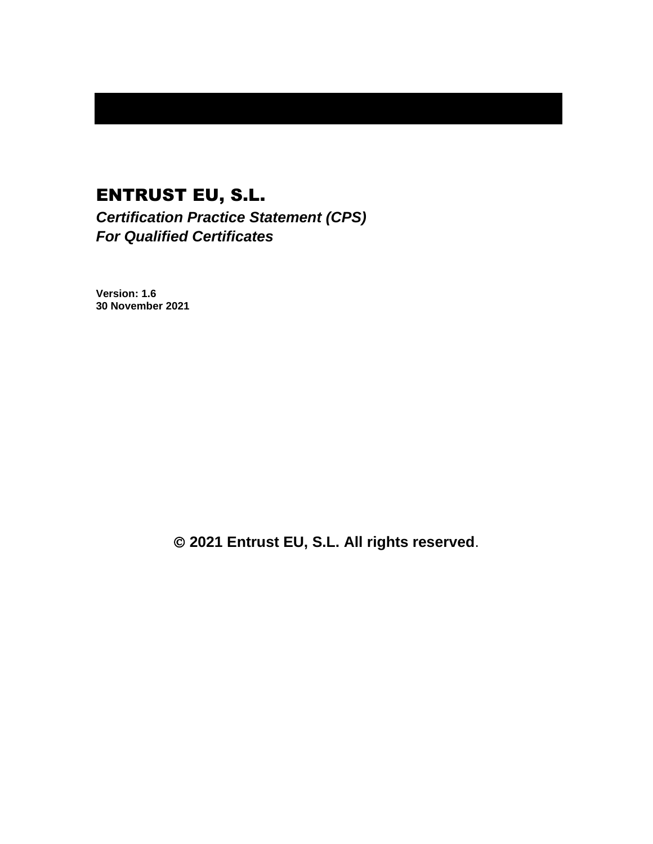# ENTRUST EU, S.L. *Certification Practice Statement (CPS)*

*For Qualified Certificates*

**Version: 1.6 30 November 2021**

© **2021 Entrust EU, S.L. All rights reserved**.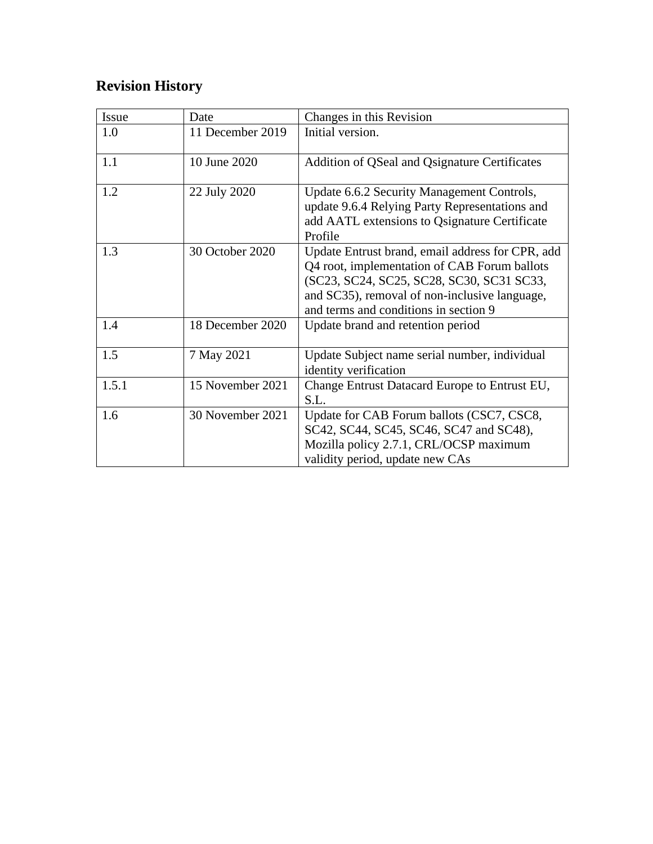# **Revision History**

| Issue | Date             | Changes in this Revision                                                                                                                                                                                                                |
|-------|------------------|-----------------------------------------------------------------------------------------------------------------------------------------------------------------------------------------------------------------------------------------|
| 1.0   | 11 December 2019 | Initial version.                                                                                                                                                                                                                        |
| 1.1   | 10 June 2020     | Addition of QSeal and Qsignature Certificates                                                                                                                                                                                           |
| 1.2   | 22 July 2020     | Update 6.6.2 Security Management Controls,<br>update 9.6.4 Relying Party Representations and<br>add AATL extensions to Qsignature Certificate<br>Profile                                                                                |
| 1.3   | 30 October 2020  | Update Entrust brand, email address for CPR, add<br>Q4 root, implementation of CAB Forum ballots<br>(SC23, SC24, SC25, SC28, SC30, SC31 SC33,<br>and SC35), removal of non-inclusive language,<br>and terms and conditions in section 9 |
| 1.4   | 18 December 2020 | Update brand and retention period                                                                                                                                                                                                       |
| 1.5   | 7 May 2021       | Update Subject name serial number, individual<br>identity verification                                                                                                                                                                  |
| 1.5.1 | 15 November 2021 | Change Entrust Datacard Europe to Entrust EU,<br>S.L.                                                                                                                                                                                   |
| 1.6   | 30 November 2021 | Update for CAB Forum ballots (CSC7, CSC8,<br>SC42, SC44, SC45, SC46, SC47 and SC48),<br>Mozilla policy 2.7.1, CRL/OCSP maximum<br>validity period, update new CAs                                                                       |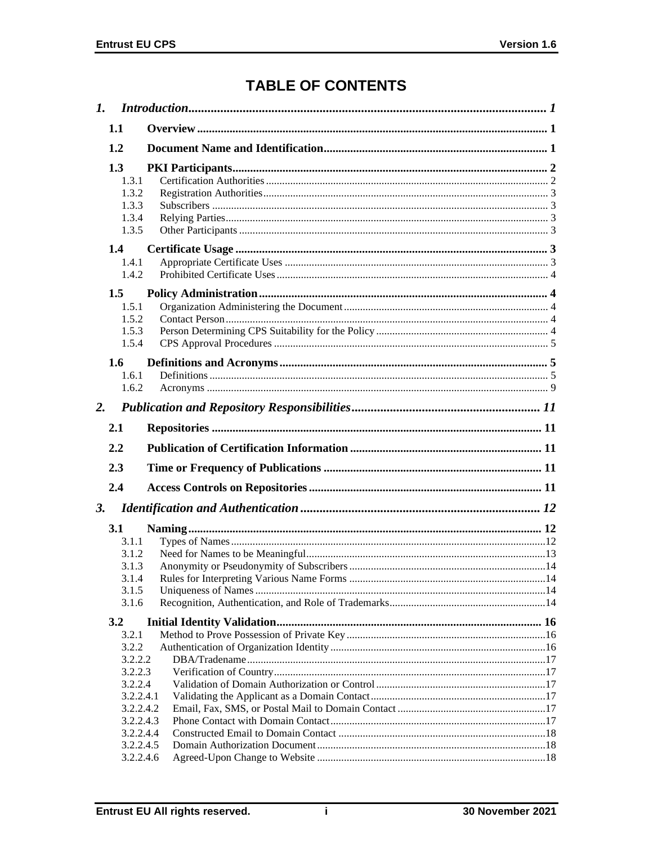# **TABLE OF CONTENTS**

|           | 1.1                                                                                                              |  |
|-----------|------------------------------------------------------------------------------------------------------------------|--|
|           | 1.2                                                                                                              |  |
|           | 1.3<br>1.3.1<br>1.3.2<br>1.3.3<br>1.3.4<br>1.3.5                                                                 |  |
|           | 1.4<br>1.4.1<br>1.4.2                                                                                            |  |
|           | 1.5<br>1.5.1<br>1.5.2<br>1.5.3<br>1.5.4                                                                          |  |
|           | 1.6<br>1.6.1<br>1.6.2                                                                                            |  |
| 2.        |                                                                                                                  |  |
|           | 2.1                                                                                                              |  |
|           | 2.2                                                                                                              |  |
|           | 2.3                                                                                                              |  |
|           | 2.4                                                                                                              |  |
|           |                                                                                                                  |  |
| <b>3.</b> |                                                                                                                  |  |
|           | 3.1<br>3.1.1<br>3.1.2<br>3.1.3<br>3.1.4<br>3.1.5<br>3.1.6                                                        |  |
|           | 3.2                                                                                                              |  |
|           | 3.2.1<br>3.2.2<br>3.2.2.2<br>3.2.2.3<br>3.2.2.4<br>3.2.2.4.1<br>3.2.2.4.2<br>3.2.2.4.3<br>3.2.2.4.4<br>3.2.2.4.5 |  |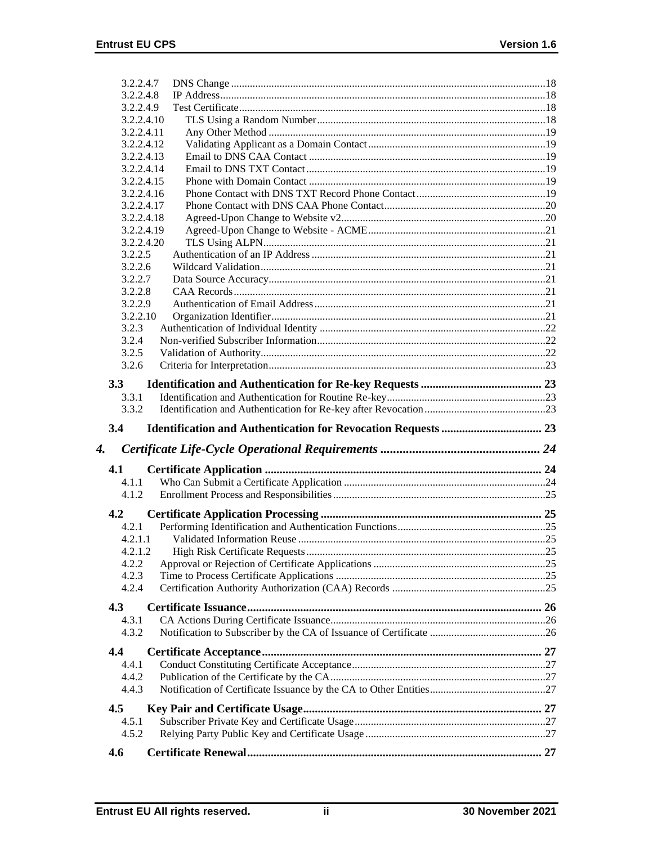|         | 3.2.2.4.7  |  |
|---------|------------|--|
|         | 3.2.2.4.8  |  |
|         | 3.2.2.4.9  |  |
|         | 3.2.2.4.10 |  |
|         | 3.2.2.4.11 |  |
|         | 3.2.2.4.12 |  |
|         | 3.2.2.4.13 |  |
|         | 3.2.2.4.14 |  |
|         | 3.2.2.4.15 |  |
|         | 3.2.2.4.16 |  |
|         | 3.2.2.4.17 |  |
|         | 3.2.2.4.18 |  |
|         | 3.2.2.4.19 |  |
|         | 3.2.2.4.20 |  |
| 3.2.2.5 |            |  |
| 3.2.2.6 |            |  |
| 3.2.2.7 |            |  |
| 3.2.2.8 |            |  |
| 3.2.2.9 |            |  |
|         | 3.2.2.10   |  |
| 3.2.3   |            |  |
| 3.2.4   |            |  |
| 3.2.5   |            |  |
| 3.2.6   |            |  |
|         |            |  |
| 3.3     |            |  |
| 3.3.1   |            |  |
| 3.3.2   |            |  |
|         |            |  |
| 3.4     |            |  |
|         |            |  |
| 4.      |            |  |
| 4.1     |            |  |
|         |            |  |
| 4.1.1   |            |  |
| 4.1.2   |            |  |
| 4.2     |            |  |
| 4.2.1   |            |  |
| 4.2.1.1 |            |  |
| 4.2.1.2 |            |  |
| 4.2.2   |            |  |
| 4.2.3   |            |  |
| 4.2.4   |            |  |
|         |            |  |
| 4.3     |            |  |
| 4.3.1   |            |  |
| 4.3.2   |            |  |
| 4.4     |            |  |
| 4.4.1   |            |  |
| 4.4.2   |            |  |
| 4.4.3   |            |  |
|         |            |  |
| 4.5     |            |  |
| 4.5.1   |            |  |
| 4.5.2   |            |  |
| 4.6     |            |  |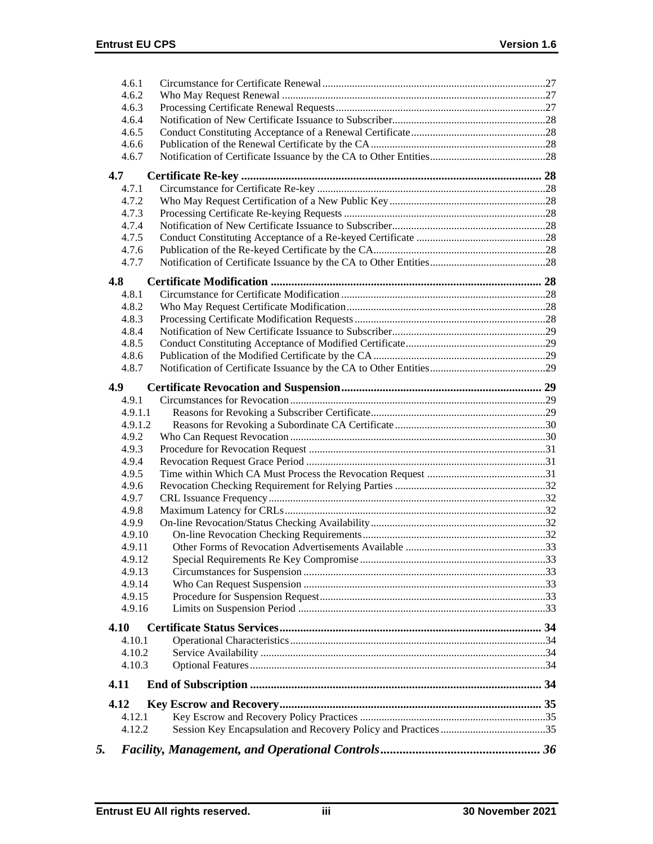| 4.6.1<br>4.6.2   |  |
|------------------|--|
| 4.6.3            |  |
| 4.6.4            |  |
| 4.6.5            |  |
| 4.6.6            |  |
| 4.6.7            |  |
| 4.7              |  |
| 4.7.1            |  |
| 4.7.2            |  |
| 4.7.3            |  |
| 4.7.4            |  |
| 4.7.5            |  |
| 4.7.6            |  |
| 4.7.7            |  |
| 4.8              |  |
| 4.8.1            |  |
| 4.8.2            |  |
| 4.8.3            |  |
| 4.8.4            |  |
| 4.8.5            |  |
| 4.8.6            |  |
| 4.8.7            |  |
| 4.9              |  |
| 4.9.1            |  |
| 4.9.1.1          |  |
| 4.9.1.2          |  |
| 4.9.2            |  |
| 4.9.3            |  |
| 4.9.4            |  |
| 4.9.5            |  |
| 4.9.6            |  |
| 4.9.7            |  |
| 4.9.8            |  |
| 4.9.9            |  |
| 4.9.10           |  |
| 4.9.11           |  |
| 4.9.12           |  |
| 4.9.13           |  |
| 4.9.14           |  |
| 4.9.15<br>4.9.16 |  |
|                  |  |
| 4.10<br>4.10.1   |  |
| 4.10.2           |  |
| 4.10.3           |  |
| 4.11             |  |
| 4.12             |  |
| 4.12.1           |  |
| 4.12.2           |  |
| 5.               |  |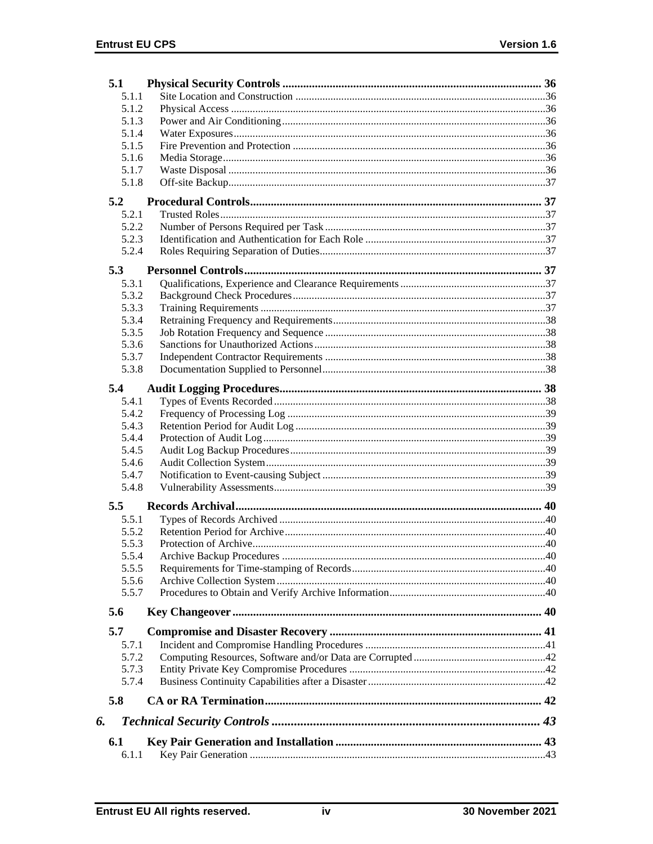|    | 5.1   |  |
|----|-------|--|
|    | 5.1.1 |  |
|    | 5.1.2 |  |
|    | 5.1.3 |  |
|    | 5.1.4 |  |
|    | 5.1.5 |  |
|    | 5.1.6 |  |
|    | 5.1.7 |  |
|    | 5.1.8 |  |
|    | 5.2   |  |
|    | 5.2.1 |  |
|    | 5.2.2 |  |
|    | 5.2.3 |  |
|    | 5.2.4 |  |
|    |       |  |
|    | 5.3   |  |
|    | 5.3.1 |  |
|    | 5.3.2 |  |
|    | 5.3.3 |  |
|    | 5.3.4 |  |
|    | 5.3.5 |  |
|    | 5.3.6 |  |
|    | 5.3.7 |  |
|    | 5.3.8 |  |
|    | 5.4   |  |
|    | 5.4.1 |  |
|    | 5.4.2 |  |
|    | 5.4.3 |  |
|    | 5.4.4 |  |
|    | 5.4.5 |  |
|    | 5.4.6 |  |
|    | 5.4.7 |  |
|    | 5.4.8 |  |
|    |       |  |
|    | 5.5   |  |
|    | 5.5.1 |  |
|    | 5.5.2 |  |
|    | 5.5.3 |  |
|    | 5.5.4 |  |
|    | 5.5.5 |  |
|    | 5.5.6 |  |
|    | 5.5.7 |  |
|    | 5.6   |  |
|    | 5.7   |  |
|    | 5.7.1 |  |
|    | 5.7.2 |  |
|    | 5.7.3 |  |
|    | 5.7.4 |  |
|    |       |  |
|    | 5.8   |  |
| 6. |       |  |
|    | 6.1   |  |
|    | 6.1.1 |  |
|    |       |  |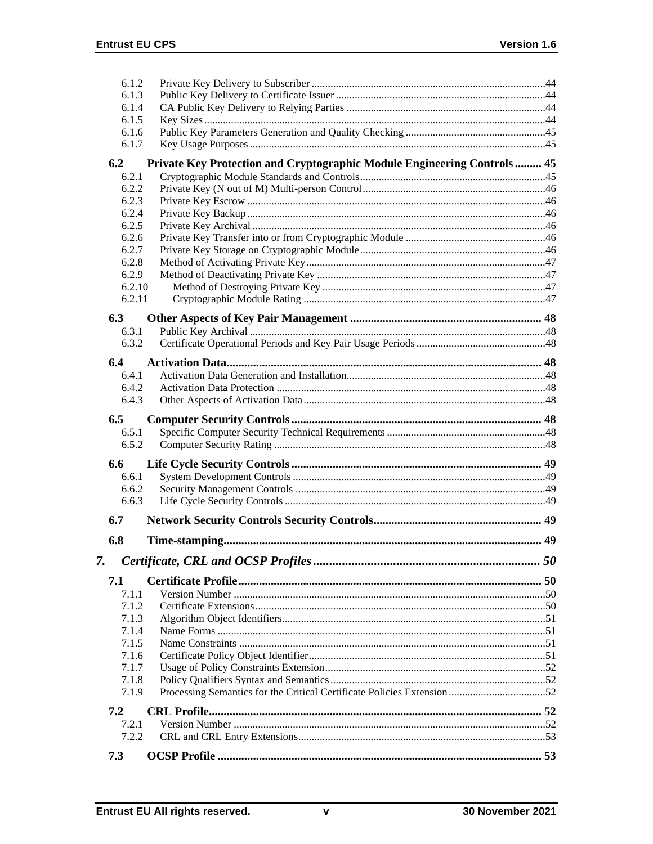| 6.1.2          |                                                                          |  |
|----------------|--------------------------------------------------------------------------|--|
| 6.1.3          |                                                                          |  |
| 6.1.4          |                                                                          |  |
| 6.1.5          |                                                                          |  |
| 6.1.6          |                                                                          |  |
| 6.1.7          |                                                                          |  |
| 6.2            | Private Key Protection and Cryptographic Module Engineering Controls  45 |  |
| 6.2.1          |                                                                          |  |
| 6.2.2          |                                                                          |  |
| 6.2.3          |                                                                          |  |
| 6.2.4          |                                                                          |  |
| 6.2.5          |                                                                          |  |
| 6.2.6          |                                                                          |  |
| 6.2.7          |                                                                          |  |
| 6.2.8          |                                                                          |  |
| 6.2.9          |                                                                          |  |
| 6.2.10         |                                                                          |  |
| 6.2.11         |                                                                          |  |
| 6.3            |                                                                          |  |
| 6.3.1          |                                                                          |  |
| 6.3.2          |                                                                          |  |
| 6.4            |                                                                          |  |
| 6.4.1          |                                                                          |  |
| 6.4.2          |                                                                          |  |
| 6.4.3          |                                                                          |  |
|                |                                                                          |  |
| 6.5            |                                                                          |  |
| 6.5.1<br>6.5.2 |                                                                          |  |
|                |                                                                          |  |
| 6.6            |                                                                          |  |
| 6.6.1          |                                                                          |  |
| 6.6.2          |                                                                          |  |
| 6.6.3          |                                                                          |  |
| 6.7            |                                                                          |  |
| 6.8            |                                                                          |  |
| 7.             |                                                                          |  |
|                |                                                                          |  |
| 7.1            |                                                                          |  |
| 7.1.1          |                                                                          |  |
| 7.1.2          |                                                                          |  |
| 7.1.3          |                                                                          |  |
| 7.1.4          |                                                                          |  |
| 7.1.5          |                                                                          |  |
| 7.1.6<br>7.1.7 |                                                                          |  |
| 7.1.8          |                                                                          |  |
| 7.1.9          |                                                                          |  |
|                |                                                                          |  |
| 7.2            |                                                                          |  |
| 7.2.1          |                                                                          |  |
| 7.2.2          |                                                                          |  |
| 7.3            |                                                                          |  |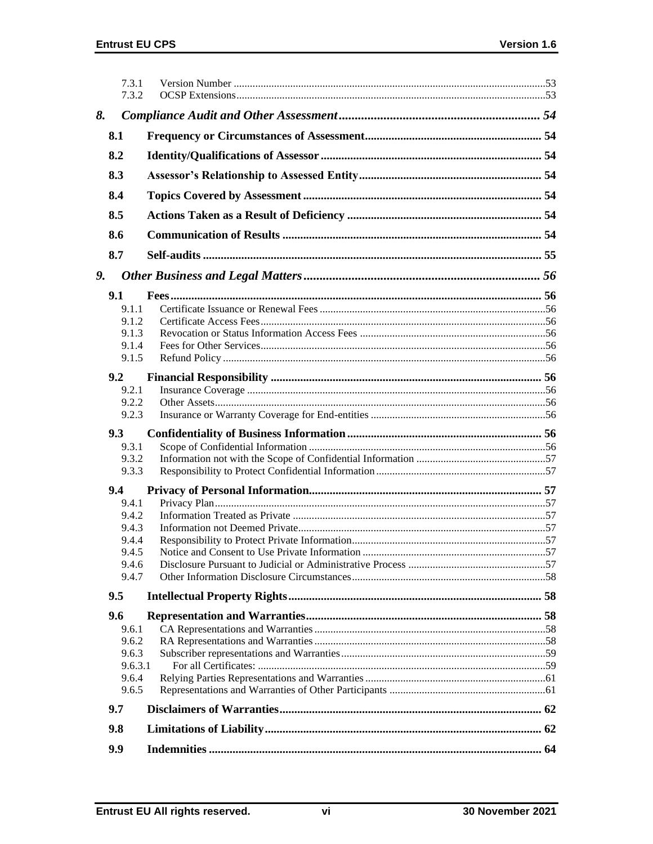|    | 7.3.1<br>7.3.2 |  |
|----|----------------|--|
| 8. |                |  |
|    | 8.1            |  |
|    |                |  |
|    | 8.2            |  |
|    | 8.3            |  |
|    | 8.4            |  |
|    | 8.5            |  |
|    | 8.6            |  |
|    | 8.7            |  |
| 9. |                |  |
|    | 9.1            |  |
|    | 9.1.1          |  |
|    | 9.1.2          |  |
|    | 9.1.3          |  |
|    | 9.1.4          |  |
|    | 9.1.5          |  |
|    | 9.2            |  |
|    | 9.2.1          |  |
|    | 9.2.2          |  |
|    | 9.2.3          |  |
|    | 9.3            |  |
|    | 9.3.1          |  |
|    | 9.3.2          |  |
|    | 9.3.3          |  |
|    | 9.4            |  |
|    | 9.4.1          |  |
|    | 9.4.2          |  |
|    | 9.4.3          |  |
|    | 9.4.4          |  |
|    | 9.4.5          |  |
|    | 9.4.6          |  |
|    | 9.4.7          |  |
|    | 9.5            |  |
|    | 9.6            |  |
|    | 9.6.1          |  |
|    | 9.6.2          |  |
|    | 9.6.3          |  |
|    | 9.6.3.1        |  |
|    | 9.6.4<br>9.6.5 |  |
|    |                |  |
|    | 9.7            |  |
|    | 9.8            |  |
|    | 9.9            |  |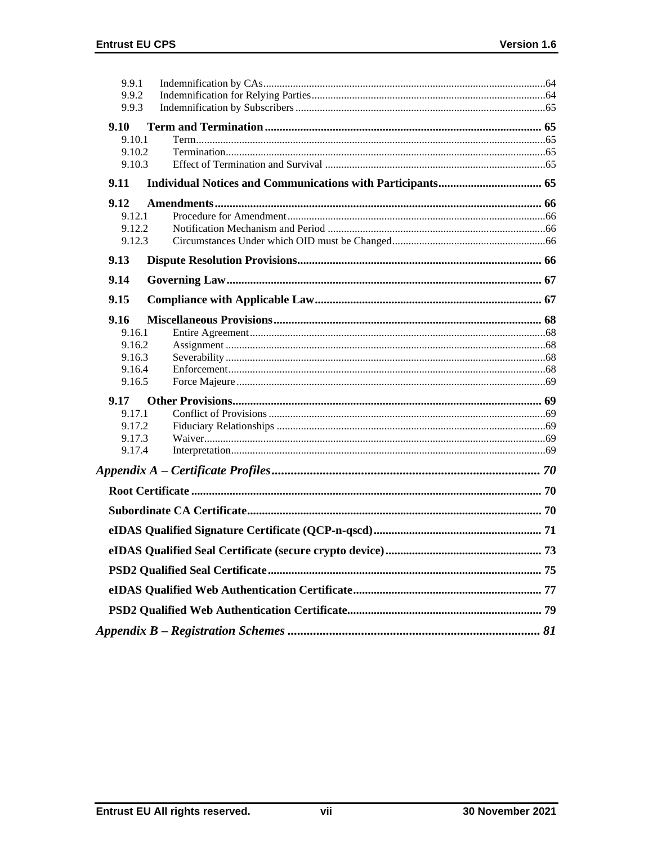| 9.9.1  |    |
|--------|----|
| 9.9.2  |    |
| 9.9.3  |    |
| 9.10   |    |
| 9.10.1 |    |
| 9.10.2 |    |
| 9.10.3 |    |
| 9.11   |    |
| 9.12   |    |
| 9.12.1 |    |
| 9.12.2 |    |
| 9.12.3 |    |
| 9.13   |    |
| 9.14   |    |
| 9.15   |    |
| 9.16   |    |
| 9.16.1 |    |
| 9.16.2 |    |
| 9.16.3 |    |
| 9.16.4 |    |
| 9.16.5 |    |
| 9.17   |    |
| 9.17.1 |    |
| 9.17.2 |    |
| 9.17.3 |    |
| 9.17.4 |    |
|        |    |
|        |    |
|        |    |
|        |    |
|        | 73 |
|        |    |
|        |    |
|        |    |
|        |    |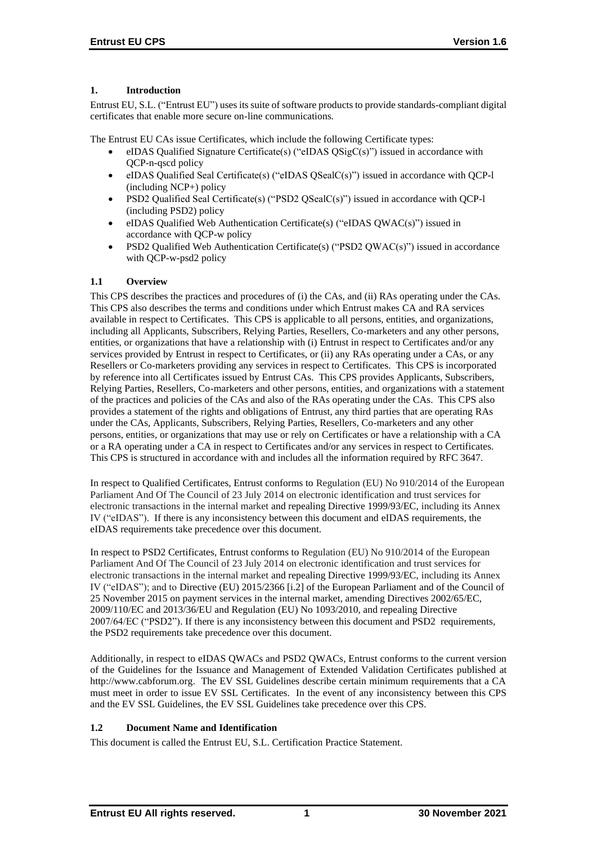# **1. Introduction**

Entrust EU, S.L. ("Entrust EU") uses its suite of software products to provide standards-compliant digital certificates that enable more secure on-line communications.

The Entrust EU CAs issue Certificates, which include the following Certificate types:

- eIDAS Qualified Signature Certificate(s) ("eIDAS  $OSigC(s)$ ") issued in accordance with OCP-n-ascd policy
- eIDAS Qualified Seal Certificate(s) ("eIDAS QSealC(s)") issued in accordance with QCP-l (including NCP+) policy
- PSD2 Qualified Seal Certificate(s) ("PSD2 QSealC(s)") issued in accordance with QCP-l (including PSD2) policy
- eIDAS Qualified Web Authentication Certificate(s) ("eIDAS QWAC(s)") issued in accordance with QCP-w policy
- PSD2 Qualified Web Authentication Certificate(s) ("PSD2 QWAC(s)") issued in accordance with QCP-w-psd2 policy

# **1.1 Overview**

This CPS describes the practices and procedures of (i) the CAs, and (ii) RAs operating under the CAs. This CPS also describes the terms and conditions under which Entrust makes CA and RA services available in respect to Certificates. This CPS is applicable to all persons, entities, and organizations, including all Applicants, Subscribers, Relying Parties, Resellers, Co-marketers and any other persons, entities, or organizations that have a relationship with (i) Entrust in respect to Certificates and/or any services provided by Entrust in respect to Certificates, or (ii) any RAs operating under a CAs, or any Resellers or Co-marketers providing any services in respect to Certificates. This CPS is incorporated by reference into all Certificates issued by Entrust CAs. This CPS provides Applicants, Subscribers, Relying Parties, Resellers, Co-marketers and other persons, entities, and organizations with a statement of the practices and policies of the CAs and also of the RAs operating under the CAs. This CPS also provides a statement of the rights and obligations of Entrust, any third parties that are operating RAs under the CAs, Applicants, Subscribers, Relying Parties, Resellers, Co-marketers and any other persons, entities, or organizations that may use or rely on Certificates or have a relationship with a CA or a RA operating under a CA in respect to Certificates and/or any services in respect to Certificates. This CPS is structured in accordance with and includes all the information required by RFC 3647.

In respect to Qualified Certificates, Entrust conforms to Regulation (EU) No 910/2014 of the European Parliament And Of The Council of 23 July 2014 on electronic identification and trust services for electronic transactions in the internal market and repealing Directive 1999/93/EC, including its Annex IV ("eIDAS"). If there is any inconsistency between this document and eIDAS requirements, the eIDAS requirements take precedence over this document.

In respect to PSD2 Certificates, Entrust conforms to Regulation (EU) No 910/2014 of the European Parliament And Of The Council of 23 July 2014 on electronic identification and trust services for electronic transactions in the internal market and repealing Directive 1999/93/EC, including its Annex IV ("eIDAS"); and to Directive (EU) 2015/2366 [i.2] of the European Parliament and of the Council of 25 November 2015 on payment services in the internal market, amending Directives 2002/65/EC, 2009/110/EC and 2013/36/EU and Regulation (EU) No 1093/2010, and repealing Directive 2007/64/EC ("PSD2"). If there is any inconsistency between this document and PSD2 requirements, the PSD2 requirements take precedence over this document.

Additionally, in respect to eIDAS QWACs and PSD2 QWACs, Entrust conforms to the current version of the Guidelines for the Issuance and Management of Extended Validation Certificates published at http://www.cabforum.org. The EV SSL Guidelines describe certain minimum requirements that a CA must meet in order to issue EV SSL Certificates. In the event of any inconsistency between this CPS and the EV SSL Guidelines, the EV SSL Guidelines take precedence over this CPS.

# **1.2 Document Name and Identification**

This document is called the Entrust EU, S.L. Certification Practice Statement.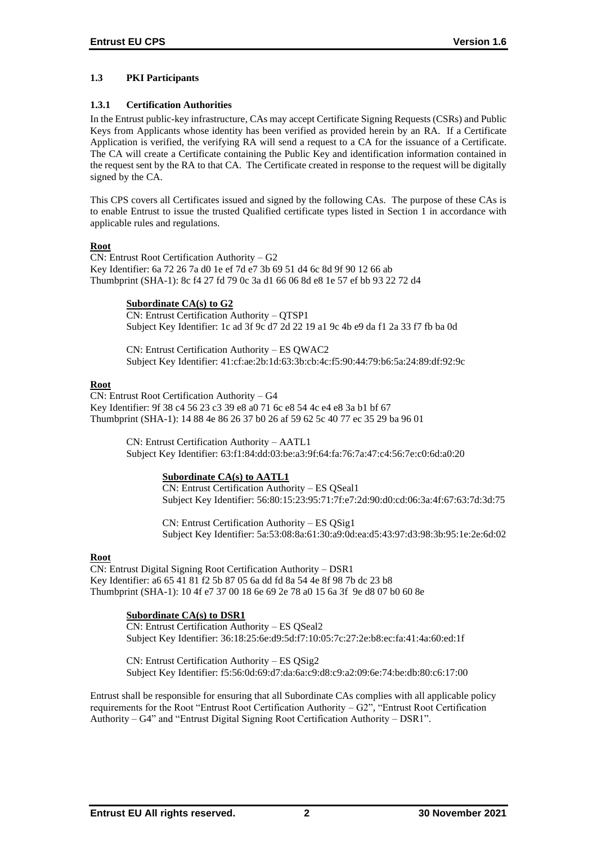# **1.3 PKI Participants**

# **1.3.1 Certification Authorities**

In the Entrust public-key infrastructure, CAs may accept Certificate Signing Requests (CSRs) and Public Keys from Applicants whose identity has been verified as provided herein by an RA. If a Certificate Application is verified, the verifying RA will send a request to a CA for the issuance of a Certificate. The CA will create a Certificate containing the Public Key and identification information contained in the request sent by the RA to that CA. The Certificate created in response to the request will be digitally signed by the CA.

This CPS covers all Certificates issued and signed by the following CAs. The purpose of these CAs is to enable Entrust to issue the trusted Qualified certificate types listed in Section 1 in accordance with applicable rules and regulations.

# **Root**

CN: Entrust Root Certification Authority – G2 Key Identifier: 6a 72 26 7a d0 1e ef 7d e7 3b 69 51 d4 6c 8d 9f 90 12 66 ab Thumbprint (SHA-1): 8c f4 27 fd 79 0c 3a d1 66 06 8d e8 1e 57 ef bb 93 22 72 d4

# **Subordinate CA(s) to G2**

CN: Entrust Certification Authority – QTSP1 Subject Key Identifier: 1c ad 3f 9c d7 2d 22 19 a1 9c 4b e9 da f1 2a 33 f7 fb ba 0d

CN: Entrust Certification Authority – ES QWAC2 Subject Key Identifier: 41:cf:ae:2b:1d:63:3b:cb:4c:f5:90:44:79:b6:5a:24:89:df:92:9c

# **Root**

CN: Entrust Root Certification Authority – G4 Key Identifier: 9f 38 c4 56 23 c3 39 e8 a0 71 6c e8 54 4c e4 e8 3a b1 bf 67 Thumbprint (SHA-1): 14 88 4e 86 26 37 b0 26 af 59 62 5c 40 77 ec 35 29 ba 96 01

> CN: Entrust Certification Authority – AATL1 Subject Key Identifier: 63:f1:84:dd:03:be:a3:9f:64:fa:76:7a:47:c4:56:7e:c0:6d:a0:20

# **Subordinate CA(s) to AATL1**

CN: Entrust Certification Authority – ES QSeal1 Subject Key Identifier: 56:80:15:23:95:71:7f:e7:2d:90:d0:cd:06:3a:4f:67:63:7d:3d:75

CN: Entrust Certification Authority – ES QSig1 Subject Key Identifier: 5a:53:08:8a:61:30:a9:0d:ea:d5:43:97:d3:98:3b:95:1e:2e:6d:02

# **Root**

CN: Entrust Digital Signing Root Certification Authority – DSR1 Key Identifier: a6 65 41 81 f2 5b 87 05 6a dd fd 8a 54 4e 8f 98 7b dc 23 b8 Thumbprint (SHA-1): 10 4f e7 37 00 18 6e 69 2e 78 a0 15 6a 3f 9e d8 07 b0 60 8e

# **Subordinate CA(s) to DSR1**

CN: Entrust Certification Authority – ES QSeal2 Subject Key Identifier: 36:18:25:6e:d9:5d:f7:10:05:7c:27:2e:b8:ec:fa:41:4a:60:ed:1f

CN: Entrust Certification Authority – ES QSig2 Subject Key Identifier: f5:56:0d:69:d7:da:6a:c9:d8:c9:a2:09:6e:74:be:db:80:c6:17:00

Entrust shall be responsible for ensuring that all Subordinate CAs complies with all applicable policy requirements for the Root "Entrust Root Certification Authority – G2", "Entrust Root Certification Authority – G4" and "Entrust Digital Signing Root Certification Authority – DSR1".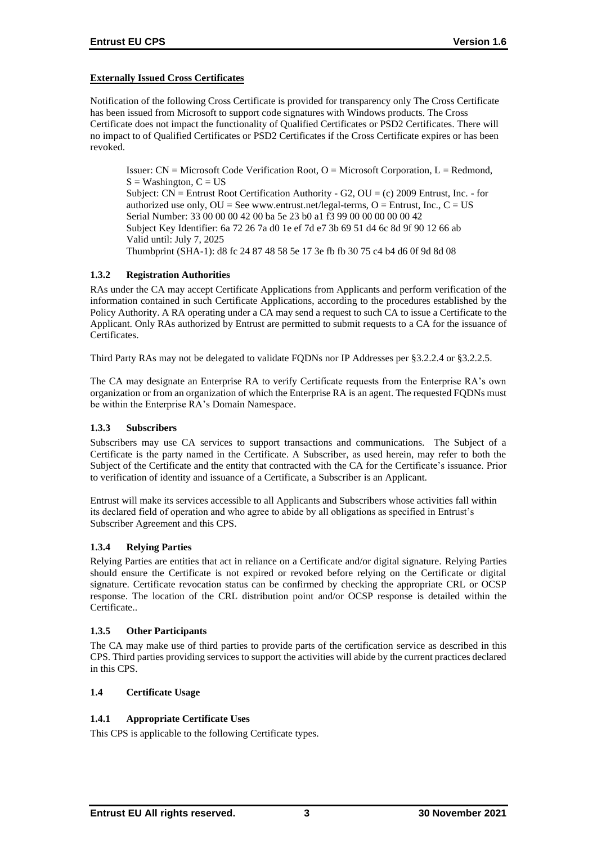# **Externally Issued Cross Certificates**

Notification of the following Cross Certificate is provided for transparency only The Cross Certificate has been issued from Microsoft to support code signatures with Windows products. The Cross Certificate does not impact the functionality of Qualified Certificates or PSD2 Certificates. There will no impact to of Qualified Certificates or PSD2 Certificates if the Cross Certificate expires or has been revoked.

Issuer:  $CN = Microsoft Code Verification Root, O = Microsoft Corporation, L = Redmond,$  $S =$  Washington,  $C = US$ Subject:  $CN =$  Entrust Root Certification Authority - G2,  $OU = (c)$  2009 Entrust, Inc. - for authorized use only,  $OU = See$  www.entrust.net/legal-terms,  $O =$  Entrust, Inc.,  $C = US$ Serial Number: 33 00 00 00 42 00 ba 5e 23 b0 a1 f3 99 00 00 00 00 00 42 Subject Key Identifier: 6a 72 26 7a d0 1e ef 7d e7 3b 69 51 d4 6c 8d 9f 90 12 66 ab Valid until: July 7, 2025 Thumbprint (SHA-1): d8 fc 24 87 48 58 5e 17 3e fb fb 30 75 c4 b4 d6 0f 9d 8d 08

# **1.3.2 Registration Authorities**

RAs under the CA may accept Certificate Applications from Applicants and perform verification of the information contained in such Certificate Applications, according to the procedures established by the Policy Authority. A RA operating under a CA may send a request to such CA to issue a Certificate to the Applicant. Only RAs authorized by Entrust are permitted to submit requests to a CA for the issuance of Certificates.

Third Party RAs may not be delegated to validate FQDNs nor IP Addresses per §3.2.2.4 or §3.2.2.5.

The CA may designate an Enterprise RA to verify Certificate requests from the Enterprise RA's own organization or from an organization of which the Enterprise RA is an agent. The requested FQDNs must be within the Enterprise RA's Domain Namespace.

# **1.3.3 Subscribers**

Subscribers may use CA services to support transactions and communications. The Subject of a Certificate is the party named in the Certificate. A Subscriber, as used herein, may refer to both the Subject of the Certificate and the entity that contracted with the CA for the Certificate's issuance. Prior to verification of identity and issuance of a Certificate, a Subscriber is an Applicant.

Entrust will make its services accessible to all Applicants and Subscribers whose activities fall within its declared field of operation and who agree to abide by all obligations as specified in Entrust's Subscriber Agreement and this CPS.

# **1.3.4 Relying Parties**

Relying Parties are entities that act in reliance on a Certificate and/or digital signature. Relying Parties should ensure the Certificate is not expired or revoked before relying on the Certificate or digital signature. Certificate revocation status can be confirmed by checking the appropriate CRL or OCSP response. The location of the CRL distribution point and/or OCSP response is detailed within the Certificate..

# **1.3.5 Other Participants**

The CA may make use of third parties to provide parts of the certification service as described in this CPS. Third parties providing services to support the activities will abide by the current practices declared in this CPS.

# **1.4 Certificate Usage**

# **1.4.1 Appropriate Certificate Uses**

This CPS is applicable to the following Certificate types.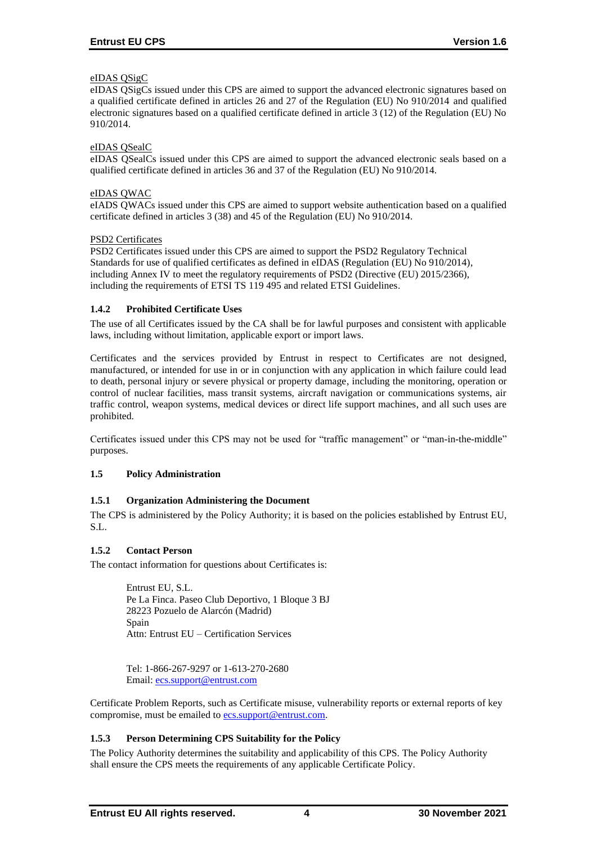# eIDAS QSigC

eIDAS QSigCs issued under this CPS are aimed to support the advanced electronic signatures based on a qualified certificate defined in articles 26 and 27 of the Regulation (EU) No 910/2014 and qualified electronic signatures based on a qualified certificate defined in article 3 (12) of the Regulation (EU) No 910/2014.

# eIDAS QSealC

eIDAS QSealCs issued under this CPS are aimed to support the advanced electronic seals based on a qualified certificate defined in articles 36 and 37 of the Regulation (EU) No 910/2014.

# eIDAS QWAC

eIADS QWACs issued under this CPS are aimed to support website authentication based on a qualified certificate defined in articles 3 (38) and 45 of the Regulation (EU) No 910/2014.

# PSD2 Certificates

PSD2 Certificates issued under this CPS are aimed to support the PSD2 Regulatory Technical Standards for use of qualified certificates as defined in eIDAS (Regulation (EU) No 910/2014), including Annex IV to meet the regulatory requirements of PSD2 (Directive (EU) 2015/2366), including the requirements of ETSI TS 119 495 and related ETSI Guidelines.

# **1.4.2 Prohibited Certificate Uses**

The use of all Certificates issued by the CA shall be for lawful purposes and consistent with applicable laws, including without limitation, applicable export or import laws.

Certificates and the services provided by Entrust in respect to Certificates are not designed, manufactured, or intended for use in or in conjunction with any application in which failure could lead to death, personal injury or severe physical or property damage, including the monitoring, operation or control of nuclear facilities, mass transit systems, aircraft navigation or communications systems, air traffic control, weapon systems, medical devices or direct life support machines, and all such uses are prohibited.

Certificates issued under this CPS may not be used for "traffic management" or "man-in-the-middle" purposes.

# **1.5 Policy Administration**

# **1.5.1 Organization Administering the Document**

The CPS is administered by the Policy Authority; it is based on the policies established by Entrust EU, S.L.

# **1.5.2 Contact Person**

The contact information for questions about Certificates is:

Entrust EU, S.L. Pe La Finca. Paseo Club Deportivo, 1 Bloque 3 BJ 28223 Pozuelo de Alarcón (Madrid) Spain Attn: Entrust EU – Certification Services

Tel: 1-866-267-9297 or 1-613-270-2680 Email: [ecs.support@entrust.com](mailto:ecs.support@entrust.com)

Certificate Problem Reports, such as Certificate misuse, vulnerability reports or external reports of key compromise, must be emailed to **ecs.support@entrust.com**.

# **1.5.3 Person Determining CPS Suitability for the Policy**

The Policy Authority determines the suitability and applicability of this CPS. The Policy Authority shall ensure the CPS meets the requirements of any applicable Certificate Policy.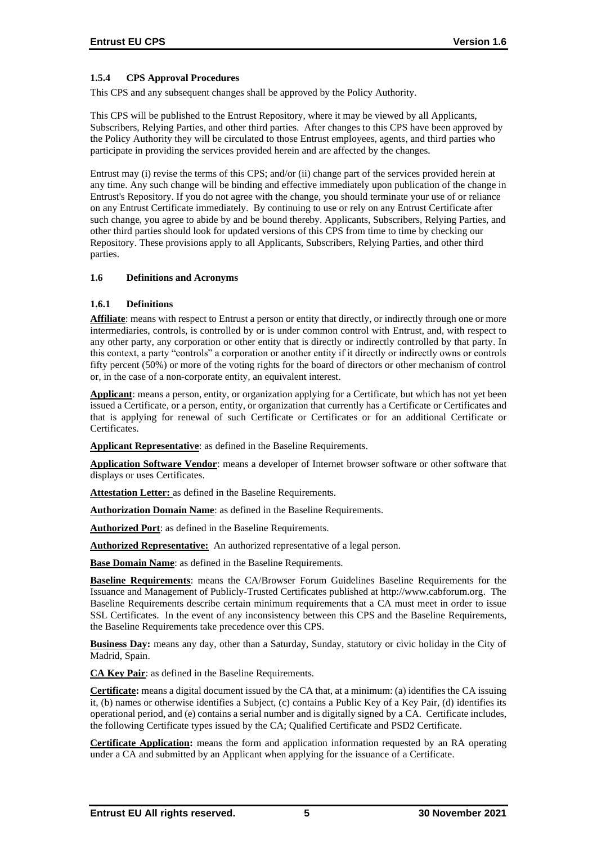# **1.5.4 CPS Approval Procedures**

This CPS and any subsequent changes shall be approved by the Policy Authority.

This CPS will be published to the Entrust Repository, where it may be viewed by all Applicants, Subscribers, Relying Parties, and other third parties. After changes to this CPS have been approved by the Policy Authority they will be circulated to those Entrust employees, agents, and third parties who participate in providing the services provided herein and are affected by the changes.

Entrust may (i) revise the terms of this CPS; and/or (ii) change part of the services provided herein at any time. Any such change will be binding and effective immediately upon publication of the change in Entrust's Repository. If you do not agree with the change, you should terminate your use of or reliance on any Entrust Certificate immediately. By continuing to use or rely on any Entrust Certificate after such change, you agree to abide by and be bound thereby. Applicants, Subscribers, Relying Parties, and other third parties should look for updated versions of this CPS from time to time by checking our Repository. These provisions apply to all Applicants, Subscribers, Relying Parties, and other third parties.

## **1.6 Definitions and Acronyms**

## **1.6.1 Definitions**

**Affiliate**: means with respect to Entrust a person or entity that directly, or indirectly through one or more intermediaries, controls, is controlled by or is under common control with Entrust, and, with respect to any other party, any corporation or other entity that is directly or indirectly controlled by that party. In this context, a party "controls" a corporation or another entity if it directly or indirectly owns or controls fifty percent (50%) or more of the voting rights for the board of directors or other mechanism of control or, in the case of a non-corporate entity, an equivalent interest.

**Applicant**: means a person, entity, or organization applying for a Certificate, but which has not yet been issued a Certificate, or a person, entity, or organization that currently has a Certificate or Certificates and that is applying for renewal of such Certificate or Certificates or for an additional Certificate or Certificates.

**Applicant Representative**: as defined in the Baseline Requirements.

**Application Software Vendor**: means a developer of Internet browser software or other software that displays or uses Certificates.

**Attestation Letter:** as defined in the Baseline Requirements.

**Authorization Domain Name**: as defined in the Baseline Requirements.

**Authorized Port**: as defined in the Baseline Requirements.

**Authorized Representative:** An authorized representative of a legal person.

**Base Domain Name**: as defined in the Baseline Requirements.

**Baseline Requirements**: means the CA/Browser Forum Guidelines Baseline Requirements for the Issuance and Management of Publicly-Trusted Certificates published at http://www.cabforum.org. The Baseline Requirements describe certain minimum requirements that a CA must meet in order to issue SSL Certificates. In the event of any inconsistency between this CPS and the Baseline Requirements, the Baseline Requirements take precedence over this CPS.

**Business Day:** means any day, other than a Saturday, Sunday, statutory or civic holiday in the City of Madrid, Spain.

**CA Key Pair**: as defined in the Baseline Requirements.

**Certificate:** means a digital document issued by the CA that, at a minimum: (a) identifies the CA issuing it, (b) names or otherwise identifies a Subject, (c) contains a Public Key of a Key Pair, (d) identifies its operational period, and (e) contains a serial number and is digitally signed by a CA. Certificate includes, the following Certificate types issued by the CA; Qualified Certificate and PSD2 Certificate.

**Certificate Application:** means the form and application information requested by an RA operating under a CA and submitted by an Applicant when applying for the issuance of a Certificate.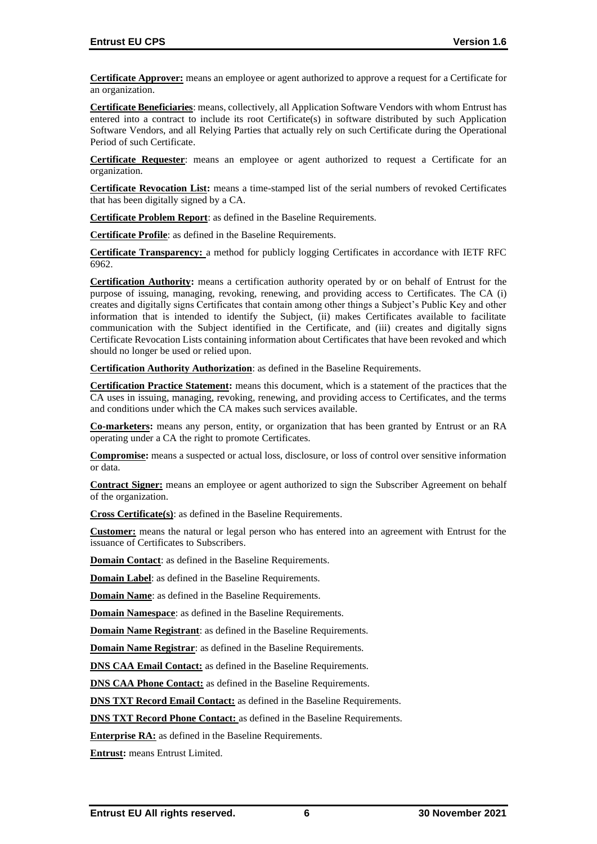**Certificate Approver:** means an employee or agent authorized to approve a request for a Certificate for an organization.

**Certificate Beneficiaries**: means, collectively, all Application Software Vendors with whom Entrust has entered into a contract to include its root Certificate(s) in software distributed by such Application Software Vendors, and all Relying Parties that actually rely on such Certificate during the Operational Period of such Certificate.

**Certificate Requester**: means an employee or agent authorized to request a Certificate for an organization.

**Certificate Revocation List:** means a time-stamped list of the serial numbers of revoked Certificates that has been digitally signed by a CA.

**Certificate Problem Report**: as defined in the Baseline Requirements.

**Certificate Profile**: as defined in the Baseline Requirements.

**Certificate Transparency:** a method for publicly logging Certificates in accordance with IETF RFC 6962.

**Certification Authority:** means a certification authority operated by or on behalf of Entrust for the purpose of issuing, managing, revoking, renewing, and providing access to Certificates. The CA (i) creates and digitally signs Certificates that contain among other things a Subject's Public Key and other information that is intended to identify the Subject, (ii) makes Certificates available to facilitate communication with the Subject identified in the Certificate, and (iii) creates and digitally signs Certificate Revocation Lists containing information about Certificates that have been revoked and which should no longer be used or relied upon.

**Certification Authority Authorization**: as defined in the Baseline Requirements.

**Certification Practice Statement:** means this document, which is a statement of the practices that the CA uses in issuing, managing, revoking, renewing, and providing access to Certificates, and the terms and conditions under which the CA makes such services available.

**Co-marketers:** means any person, entity, or organization that has been granted by Entrust or an RA operating under a CA the right to promote Certificates.

**Compromise:** means a suspected or actual loss, disclosure, or loss of control over sensitive information or data.

**Contract Signer:** means an employee or agent authorized to sign the Subscriber Agreement on behalf of the organization.

**Cross Certificate(s)**: as defined in the Baseline Requirements.

**Customer:** means the natural or legal person who has entered into an agreement with Entrust for the issuance of Certificates to Subscribers.

**Domain Contact**: as defined in the Baseline Requirements.

**Domain Label**: as defined in the Baseline Requirements.

**Domain Name**: as defined in the Baseline Requirements.

**Domain Namespace:** as defined in the Baseline Requirements.

**Domain Name Registrant**: as defined in the Baseline Requirements.

**Domain Name Registrar**: as defined in the Baseline Requirements.

**DNS CAA Email Contact:** as defined in the Baseline Requirements.

**DNS CAA Phone Contact:** as defined in the Baseline Requirements.

**DNS TXT Record Email Contact:** as defined in the Baseline Requirements.

**DNS TXT Record Phone Contact:** as defined in the Baseline Requirements.

**Enterprise RA:** as defined in the Baseline Requirements.

**Entrust:** means Entrust Limited.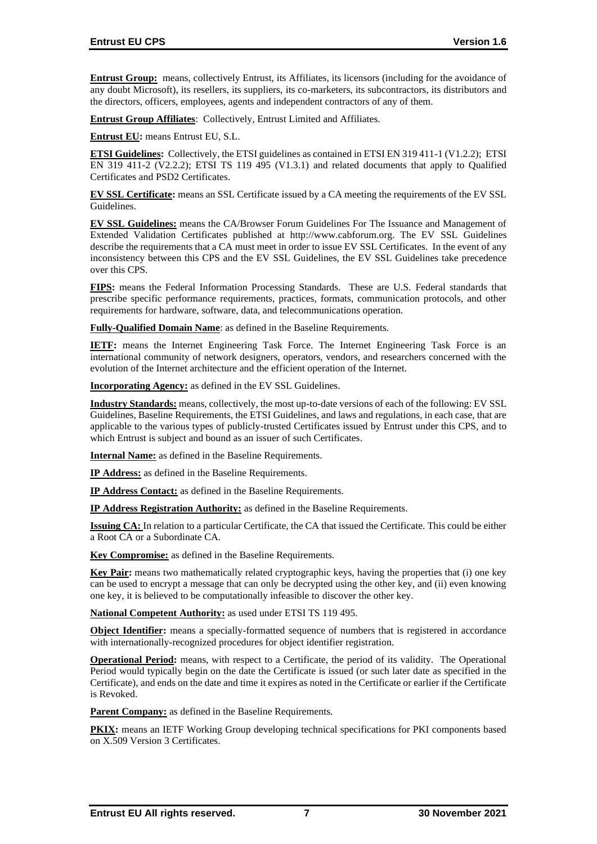**Entrust Group:** means, collectively Entrust, its Affiliates, its licensors (including for the avoidance of any doubt Microsoft), its resellers, its suppliers, its co-marketers, its subcontractors, its distributors and the directors, officers, employees, agents and independent contractors of any of them.

**Entrust Group Affiliates**: Collectively, Entrust Limited and Affiliates.

**Entrust EU:** means Entrust EU, S.L.

**ETSI Guidelines:** Collectively, the ETSI guidelines as contained in ETSI EN 319 411-1 (V1.2.2); ETSI EN 319 411-2 (V2.2.2); ETSI TS 119 495 (V1.3.1) and related documents that apply to Qualified Certificates and PSD2 Certificates.

**EV SSL Certificate:** means an SSL Certificate issued by a CA meeting the requirements of the EV SSL Guidelines.

**EV SSL Guidelines:** means the CA/Browser Forum Guidelines For The Issuance and Management of Extended Validation Certificates published at http://www.cabforum.org. The EV SSL Guidelines describe the requirements that a CA must meet in order to issue EV SSL Certificates. In the event of any inconsistency between this CPS and the EV SSL Guidelines, the EV SSL Guidelines take precedence over this CPS.

**FIPS:** means the Federal Information Processing Standards. These are U.S. Federal standards that prescribe specific performance requirements, practices, formats, communication protocols, and other requirements for hardware, software, data, and telecommunications operation.

**Fully-Qualified Domain Name**: as defined in the Baseline Requirements.

**IETF:** means the Internet Engineering Task Force. The Internet Engineering Task Force is an international community of network designers, operators, vendors, and researchers concerned with the evolution of the Internet architecture and the efficient operation of the Internet.

**Incorporating Agency:** as defined in the EV SSL Guidelines.

**Industry Standards:** means, collectively, the most up-to-date versions of each of the following: EV SSL Guidelines, Baseline Requirements, the ETSI Guidelines, and laws and regulations, in each case, that are applicable to the various types of publicly-trusted Certificates issued by Entrust under this CPS, and to which Entrust is subject and bound as an issuer of such Certificates.

**Internal Name:** as defined in the Baseline Requirements.

**IP Address:** as defined in the Baseline Requirements.

**IP Address Contact:** as defined in the Baseline Requirements.

**IP Address Registration Authority:** as defined in the Baseline Requirements.

**Issuing CA:** In relation to a particular Certificate, the CA that issued the Certificate. This could be either a Root CA or a Subordinate CA.

**Key Compromise:** as defined in the Baseline Requirements.

**Key Pair:** means two mathematically related cryptographic keys, having the properties that (i) one key can be used to encrypt a message that can only be decrypted using the other key, and (ii) even knowing one key, it is believed to be computationally infeasible to discover the other key.

**National Competent Authority:** as used under ETSI TS 119 495.

**Object Identifier:** means a specially-formatted sequence of numbers that is registered in accordance with internationally-recognized procedures for object identifier registration.

**Operational Period:** means, with respect to a Certificate, the period of its validity. The Operational Period would typically begin on the date the Certificate is issued (or such later date as specified in the Certificate), and ends on the date and time it expires as noted in the Certificate or earlier if the Certificate is Revoked.

**Parent Company:** as defined in the Baseline Requirements.

**PKIX:** means an IETF Working Group developing technical specifications for PKI components based on X.509 Version 3 Certificates.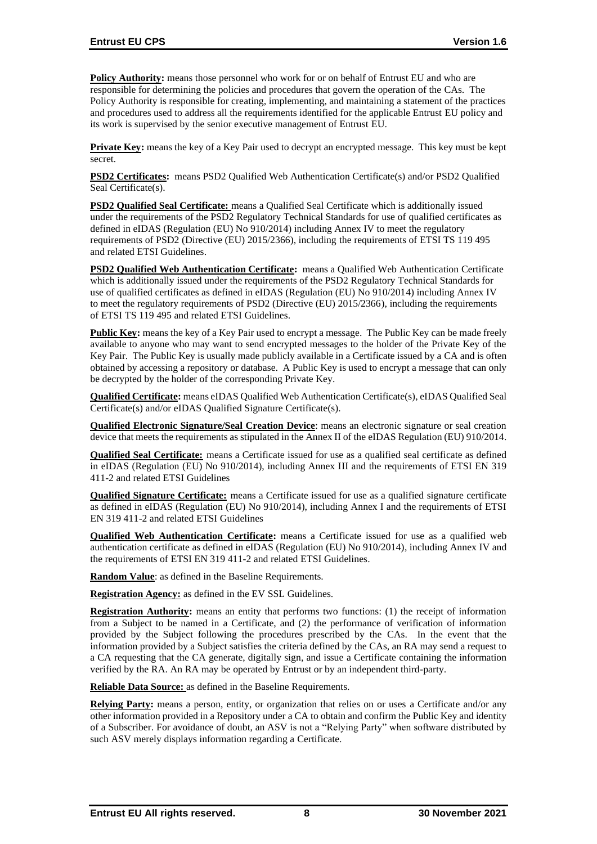**Policy Authority:** means those personnel who work for or on behalf of Entrust EU and who are responsible for determining the policies and procedures that govern the operation of the CAs. The Policy Authority is responsible for creating, implementing, and maintaining a statement of the practices and procedures used to address all the requirements identified for the applicable Entrust EU policy and its work is supervised by the senior executive management of Entrust EU.

**Private Key:** means the key of a Key Pair used to decrypt an encrypted message. This key must be kept secret.

**PSD2 Certificates:** means PSD2 Qualified Web Authentication Certificate(s) and/or PSD2 Qualified Seal Certificate(s).

**PSD2 Qualified Seal Certificate:** means a Qualified Seal Certificate which is additionally issued under the requirements of the PSD2 Regulatory Technical Standards for use of qualified certificates as defined in eIDAS (Regulation (EU) No 910/2014) including Annex IV to meet the regulatory requirements of PSD2 (Directive (EU) 2015/2366), including the requirements of ETSI TS 119 495 and related ETSI Guidelines.

**PSD2 Qualified Web Authentication Certificate:** means a Qualified Web Authentication Certificate which is additionally issued under the requirements of the PSD2 Regulatory Technical Standards for use of qualified certificates as defined in eIDAS (Regulation (EU) No 910/2014) including Annex IV to meet the regulatory requirements of PSD2 (Directive (EU) 2015/2366), including the requirements of ETSI TS 119 495 and related ETSI Guidelines.

**Public Key:** means the key of a Key Pair used to encrypt a message. The Public Key can be made freely available to anyone who may want to send encrypted messages to the holder of the Private Key of the Key Pair. The Public Key is usually made publicly available in a Certificate issued by a CA and is often obtained by accessing a repository or database. A Public Key is used to encrypt a message that can only be decrypted by the holder of the corresponding Private Key.

**Qualified Certificate:** means eIDAS Qualified Web Authentication Certificate(s), eIDAS Qualified Seal Certificate(s) and/or eIDAS Qualified Signature Certificate(s).

**Qualified Electronic Signature/Seal Creation Device**: means an electronic signature or seal creation device that meets the requirements as stipulated in the Annex II of the eIDAS Regulation (EU) 910/2014.

**Qualified Seal Certificate:** means a Certificate issued for use as a qualified seal certificate as defined in eIDAS (Regulation (EU) No 910/2014), including Annex III and the requirements of ETSI EN 319 411-2 and related ETSI Guidelines

**Qualified Signature Certificate:** means a Certificate issued for use as a qualified signature certificate as defined in eIDAS (Regulation (EU) No 910/2014), including Annex I and the requirements of ETSI EN 319 411-2 and related ETSI Guidelines

**Qualified Web Authentication Certificate:** means a Certificate issued for use as a qualified web authentication certificate as defined in eIDAS (Regulation (EU) No 910/2014), including Annex IV and the requirements of ETSI EN 319 411-2 and related ETSI Guidelines.

**Random Value**: as defined in the Baseline Requirements.

**Registration Agency:** as defined in the EV SSL Guidelines.

**Registration Authority:** means an entity that performs two functions: (1) the receipt of information from a Subject to be named in a Certificate, and (2) the performance of verification of information provided by the Subject following the procedures prescribed by the CAs. In the event that the information provided by a Subject satisfies the criteria defined by the CAs, an RA may send a request to a CA requesting that the CA generate, digitally sign, and issue a Certificate containing the information verified by the RA. An RA may be operated by Entrust or by an independent third-party.

**Reliable Data Source:** as defined in the Baseline Requirements.

**Relying Party:** means a person, entity, or organization that relies on or uses a Certificate and/or any other information provided in a Repository under a CA to obtain and confirm the Public Key and identity of a Subscriber. For avoidance of doubt, an ASV is not a "Relying Party" when software distributed by such ASV merely displays information regarding a Certificate.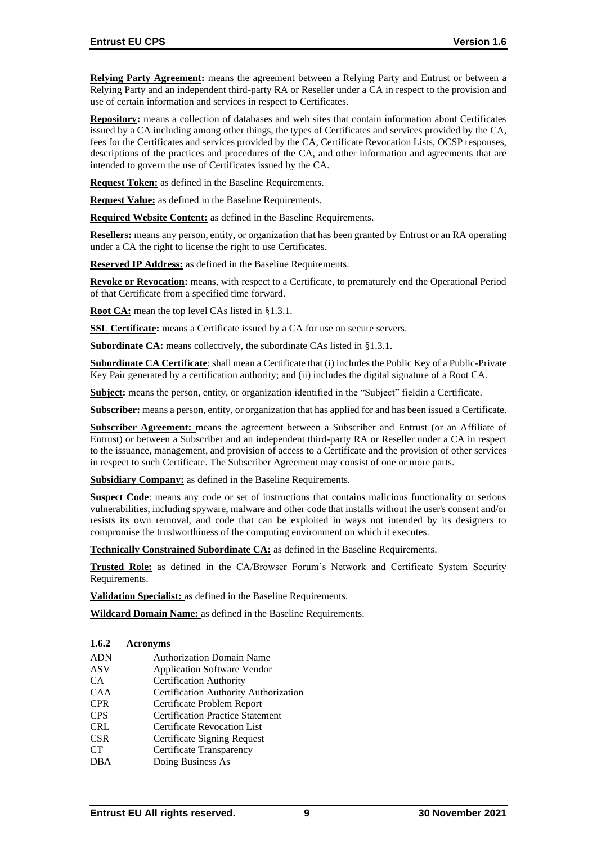**Relying Party Agreement:** means the agreement between a Relying Party and Entrust or between a Relying Party and an independent third-party RA or Reseller under a CA in respect to the provision and use of certain information and services in respect to Certificates.

**Repository:** means a collection of databases and web sites that contain information about Certificates issued by a CA including among other things, the types of Certificates and services provided by the CA, fees for the Certificates and services provided by the CA, Certificate Revocation Lists, OCSP responses, descriptions of the practices and procedures of the CA, and other information and agreements that are intended to govern the use of Certificates issued by the CA.

**Request Token:** as defined in the Baseline Requirements.

**Request Value:** as defined in the Baseline Requirements.

**Required Website Content:** as defined in the Baseline Requirements.

**Resellers:** means any person, entity, or organization that has been granted by Entrust or an RA operating under a CA the right to license the right to use Certificates.

**Reserved IP Address:** as defined in the Baseline Requirements.

**Revoke or Revocation:** means, with respect to a Certificate, to prematurely end the Operational Period of that Certificate from a specified time forward.

**Root CA:** mean the top level CAs listed in §1.3.1.

**SSL Certificate:** means a Certificate issued by a CA for use on secure servers.

**Subordinate CA:** means collectively, the subordinate CAs listed in §1.3.1.

**Subordinate CA Certificate**: shall mean a Certificate that (i) includes the Public Key of a Public-Private Key Pair generated by a certification authority; and (ii) includes the digital signature of a Root CA.

**Subject:** means the person, entity, or organization identified in the "Subject" fieldin a Certificate.

**Subscriber:** means a person, entity, or organization that has applied for and has been issued a Certificate.

**Subscriber Agreement:** means the agreement between a Subscriber and Entrust (or an Affiliate of Entrust) or between a Subscriber and an independent third-party RA or Reseller under a CA in respect to the issuance, management, and provision of access to a Certificate and the provision of other services in respect to such Certificate. The Subscriber Agreement may consist of one or more parts.

**Subsidiary Company:** as defined in the Baseline Requirements.

**Suspect Code**: means any code or set of instructions that contains malicious functionality or serious vulnerabilities, including spyware, malware and other code that installs without the user's consent and/or resists its own removal, and code that can be exploited in ways not intended by its designers to compromise the trustworthiness of the computing environment on which it executes.

**Technically Constrained Subordinate CA:** as defined in the Baseline Requirements.

**Trusted Role:** as defined in the CA/Browser Forum's Network and Certificate System Security Requirements.

**Validation Specialist:** as defined in the Baseline Requirements.

**Wildcard Domain Name:** as defined in the Baseline Requirements.

#### **1.6.2 Acronyms**

- ADN Authorization Domain Name
- ASV Application Software Vendor
- CA Certification Authority
- CAA Certification Authority Authorization
- CPR Certificate Problem Report
- CPS Certification Practice Statement
- CRL Certificate Revocation List
- CSR Certificate Signing Request
- CT Certificate Transparency
- DBA Doing Business As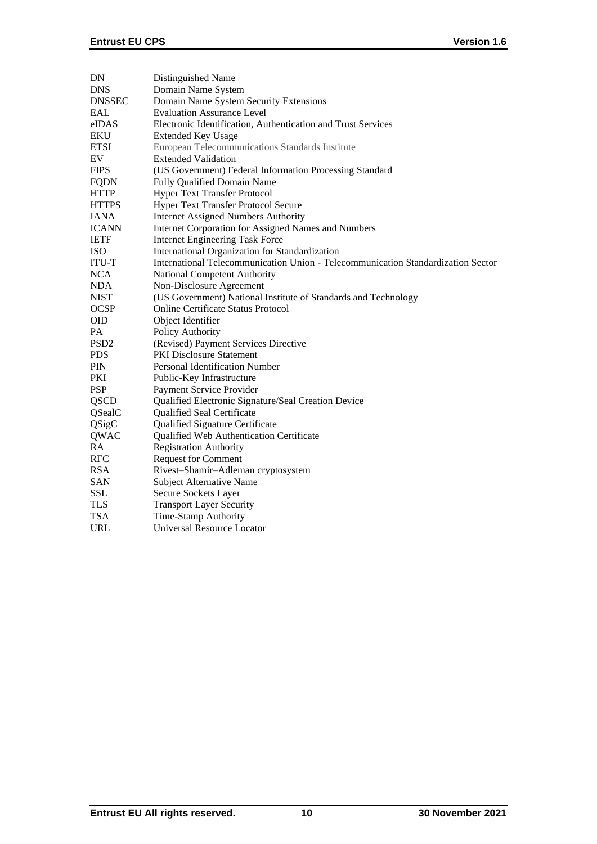| DN               | Distinguished Name                                                               |
|------------------|----------------------------------------------------------------------------------|
| <b>DNS</b>       | Domain Name System                                                               |
| <b>DNSSEC</b>    | Domain Name System Security Extensions                                           |
| EAL              | <b>Evaluation Assurance Level</b>                                                |
| eIDAS            | Electronic Identification, Authentication and Trust Services                     |
| <b>EKU</b>       | <b>Extended Key Usage</b>                                                        |
| <b>ETSI</b>      | European Telecommunications Standards Institute                                  |
| EV               | <b>Extended Validation</b>                                                       |
| <b>FIPS</b>      | (US Government) Federal Information Processing Standard                          |
| <b>FQDN</b>      | Fully Qualified Domain Name                                                      |
| <b>HTTP</b>      | <b>Hyper Text Transfer Protocol</b>                                              |
| <b>HTTPS</b>     | <b>Hyper Text Transfer Protocol Secure</b>                                       |
| <b>IANA</b>      | <b>Internet Assigned Numbers Authority</b>                                       |
| <b>ICANN</b>     | <b>Internet Corporation for Assigned Names and Numbers</b>                       |
| <b>IETF</b>      | <b>Internet Engineering Task Force</b>                                           |
| <b>ISO</b>       | International Organization for Standardization                                   |
| <b>ITU-T</b>     | International Telecommunication Union - Telecommunication Standardization Sector |
| <b>NCA</b>       | National Competent Authority                                                     |
| <b>NDA</b>       | Non-Disclosure Agreement                                                         |
| <b>NIST</b>      | (US Government) National Institute of Standards and Technology                   |
| <b>OCSP</b>      | <b>Online Certificate Status Protocol</b>                                        |
| <b>OID</b>       | Object Identifier                                                                |
| PA               | Policy Authority                                                                 |
| PSD <sub>2</sub> | (Revised) Payment Services Directive                                             |
| <b>PDS</b>       | <b>PKI</b> Disclosure Statement                                                  |
| <b>PIN</b>       | <b>Personal Identification Number</b>                                            |
| PKI              | Public-Key Infrastructure                                                        |
| <b>PSP</b>       | Payment Service Provider                                                         |
| <b>QSCD</b>      | Qualified Electronic Signature/Seal Creation Device                              |
| QSealC           | Qualified Seal Certificate                                                       |
| QSigC            | Qualified Signature Certificate                                                  |
| QWAC             | Qualified Web Authentication Certificate                                         |
| RA               | <b>Registration Authority</b>                                                    |
| <b>RFC</b>       | <b>Request for Comment</b>                                                       |
| <b>RSA</b>       | Rivest-Shamir-Adleman cryptosystem                                               |
| <b>SAN</b>       | Subject Alternative Name                                                         |
| <b>SSL</b>       | Secure Sockets Layer                                                             |
| <b>TLS</b>       | <b>Transport Layer Security</b>                                                  |
| <b>TSA</b>       | Time-Stamp Authority                                                             |
| <b>URL</b>       | Universal Resource Locator                                                       |
|                  |                                                                                  |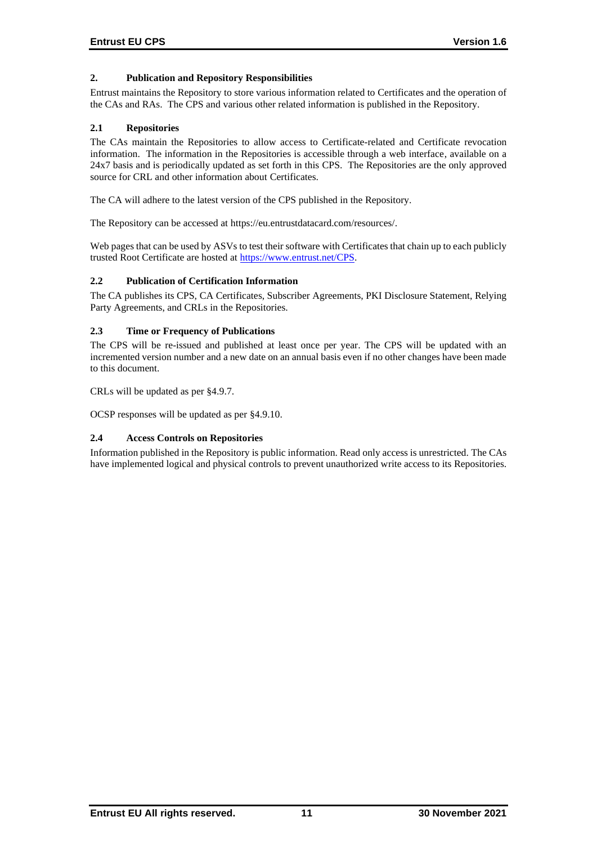# **2. Publication and Repository Responsibilities**

Entrust maintains the Repository to store various information related to Certificates and the operation of the CAs and RAs. The CPS and various other related information is published in the Repository.

# **2.1 Repositories**

The CAs maintain the Repositories to allow access to Certificate-related and Certificate revocation information. The information in the Repositories is accessible through a web interface, available on a 24x7 basis and is periodically updated as set forth in this CPS. The Repositories are the only approved source for CRL and other information about Certificates.

The CA will adhere to the latest version of the CPS published in the Repository.

The Repository can be accessed at https://eu.entrustdatacard.com/resources/.

Web pages that can be used by ASVs to test their software with Certificates that chain up to each publicly trusted Root Certificate are hosted at [https://www.entrust.net/CPS.](https://www.entrust.net/CPS)

# **2.2 Publication of Certification Information**

The CA publishes its CPS, CA Certificates, Subscriber Agreements, PKI Disclosure Statement, Relying Party Agreements, and CRLs in the Repositories.

# **2.3 Time or Frequency of Publications**

The CPS will be re-issued and published at least once per year. The CPS will be updated with an incremented version number and a new date on an annual basis even if no other changes have been made to this document.

CRLs will be updated as per §4.9.7.

OCSP responses will be updated as per §4.9.10.

# **2.4 Access Controls on Repositories**

Information published in the Repository is public information. Read only access is unrestricted. The CAs have implemented logical and physical controls to prevent unauthorized write access to its Repositories.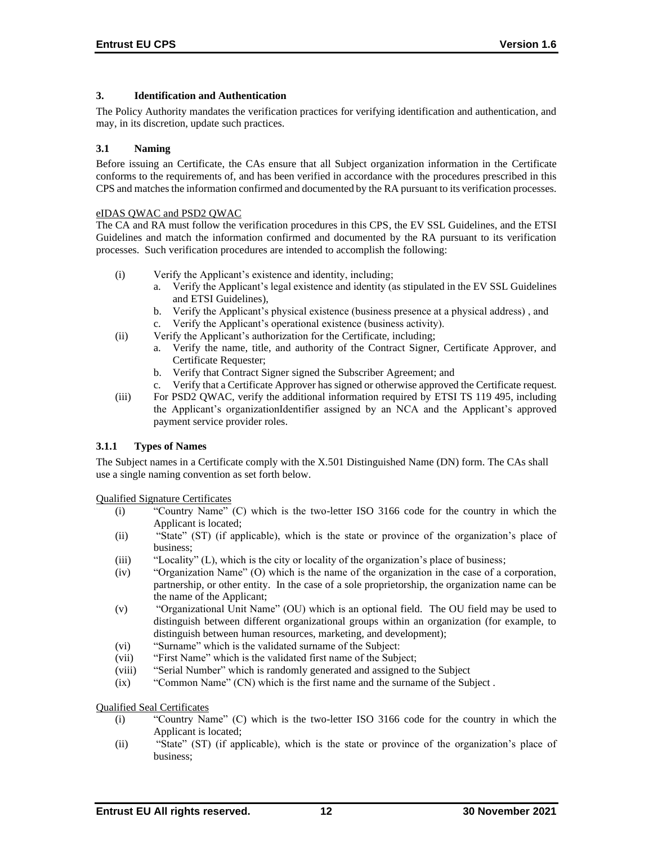## **3. Identification and Authentication**

The Policy Authority mandates the verification practices for verifying identification and authentication, and may, in its discretion, update such practices.

### **3.1 Naming**

Before issuing an Certificate, the CAs ensure that all Subject organization information in the Certificate conforms to the requirements of, and has been verified in accordance with the procedures prescribed in this CPS and matches the information confirmed and documented by the RA pursuant to its verification processes.

#### eIDAS QWAC and PSD2 QWAC

The CA and RA must follow the verification procedures in this CPS, the EV SSL Guidelines, and the ETSI Guidelines and match the information confirmed and documented by the RA pursuant to its verification processes. Such verification procedures are intended to accomplish the following:

- (i) Verify the Applicant's existence and identity, including;
	- a. Verify the Applicant's legal existence and identity (as stipulated in the EV SSL Guidelines and ETSI Guidelines),
	- b. Verify the Applicant's physical existence (business presence at a physical address) , and
	- c. Verify the Applicant's operational existence (business activity).
- (ii) Verify the Applicant's authorization for the Certificate, including;
	- a. Verify the name, title, and authority of the Contract Signer, Certificate Approver, and Certificate Requester;
	- b. Verify that Contract Signer signed the Subscriber Agreement; and
	- c. Verify that a Certificate Approver has signed or otherwise approved the Certificate request.
- (iii) For PSD2 QWAC, verify the additional information required by ETSI TS 119 495, including the Applicant's organizationIdentifier assigned by an NCA and the Applicant's approved payment service provider roles.

# **3.1.1 Types of Names**

The Subject names in a Certificate comply with the X.501 Distinguished Name (DN) form. The CAs shall use a single naming convention as set forth below.

Qualified Signature Certificates

- (i) "Country Name" (C) which is the two-letter ISO 3166 code for the country in which the Applicant is located;
- (ii) "State" (ST) (if applicable), which is the state or province of the organization's place of business;
- (iii) "Locality" (L), which is the city or locality of the organization's place of business;
- (iv) "Organization Name" (O) which is the name of the organization in the case of a corporation, partnership, or other entity. In the case of a sole proprietorship, the organization name can be the name of the Applicant;
- (v) "Organizational Unit Name" (OU) which is an optional field. The OU field may be used to distinguish between different organizational groups within an organization (for example, to distinguish between human resources, marketing, and development);
- (vi) "Surname" which is the validated surname of the Subject:
- (vii) "First Name" which is the validated first name of the Subject;
- (viii) "Serial Number" which is randomly generated and assigned to the Subject
- (ix) "Common Name" (CN) which is the first name and the surname of the Subject .

Qualified Seal Certificates

- (i) "Country Name" (C) which is the two-letter ISO 3166 code for the country in which the Applicant is located;
- (ii) "State" (ST) (if applicable), which is the state or province of the organization's place of business;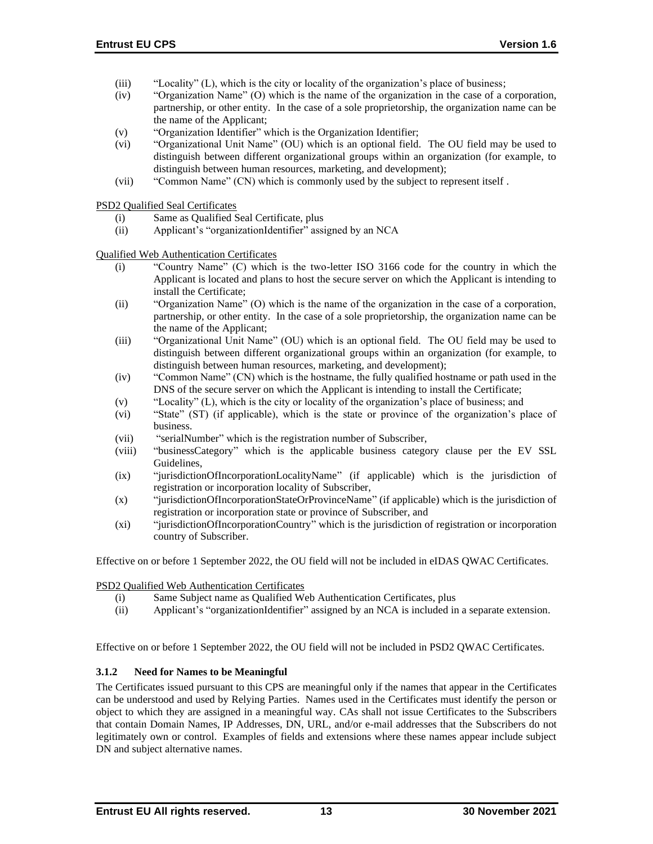- (iii) "Locality" (L), which is the city or locality of the organization's place of business;
- (iv) "Organization Name" (O) which is the name of the organization in the case of a corporation, partnership, or other entity. In the case of a sole proprietorship, the organization name can be the name of the Applicant;
- (v) "Organization Identifier" which is the Organization Identifier;
- (vi) "Organizational Unit Name" (OU) which is an optional field. The OU field may be used to distinguish between different organizational groups within an organization (for example, to distinguish between human resources, marketing, and development);
- (vii) "Common Name" (CN) which is commonly used by the subject to represent itself .

PSD2 Qualified Seal Certificates

- (i) Same as Qualified Seal Certificate, plus
- (ii) Applicant's "organizationIdentifier" assigned by an NCA

Qualified Web Authentication Certificates

- (i) "Country Name" (C) which is the two-letter ISO 3166 code for the country in which the Applicant is located and plans to host the secure server on which the Applicant is intending to install the Certificate;
- (ii) "Organization Name" (O) which is the name of the organization in the case of a corporation, partnership, or other entity. In the case of a sole proprietorship, the organization name can be the name of the Applicant;
- (iii) "Organizational Unit Name" (OU) which is an optional field. The OU field may be used to distinguish between different organizational groups within an organization (for example, to distinguish between human resources, marketing, and development);
- (iv) "Common Name" (CN) which is the hostname, the fully qualified hostname or path used in the DNS of the secure server on which the Applicant is intending to install the Certificate;
- (v) "Locality" (L), which is the city or locality of the organization's place of business; and
- (vi) "State" (ST) (if applicable), which is the state or province of the organization's place of business.
- (vii) "serialNumber" which is the registration number of Subscriber,
- (viii) "businessCategory" which is the applicable business category clause per the EV SSL Guidelines,
- (ix) "jurisdictionOfIncorporationLocalityName" (if applicable) which is the jurisdiction of registration or incorporation locality of Subscriber,
- (x) "jurisdictionOfIncorporationStateOrProvinceName" (if applicable) which is the jurisdiction of registration or incorporation state or province of Subscriber, and
- (xi) "jurisdictionOfIncorporationCountry" which is the jurisdiction of registration or incorporation country of Subscriber.

Effective on or before 1 September 2022, the OU field will not be included in eIDAS QWAC Certificates.

PSD2 Qualified Web Authentication Certificates

- (i) Same Subject name as Qualified Web Authentication Certificates, plus
- (ii) Applicant's "organizationIdentifier" assigned by an NCA is included in a separate extension.

Effective on or before 1 September 2022, the OU field will not be included in PSD2 QWAC Certificates.

# **3.1.2 Need for Names to be Meaningful**

The Certificates issued pursuant to this CPS are meaningful only if the names that appear in the Certificates can be understood and used by Relying Parties. Names used in the Certificates must identify the person or object to which they are assigned in a meaningful way. CAs shall not issue Certificates to the Subscribers that contain Domain Names, IP Addresses, DN, URL, and/or e-mail addresses that the Subscribers do not legitimately own or control. Examples of fields and extensions where these names appear include subject DN and subject alternative names.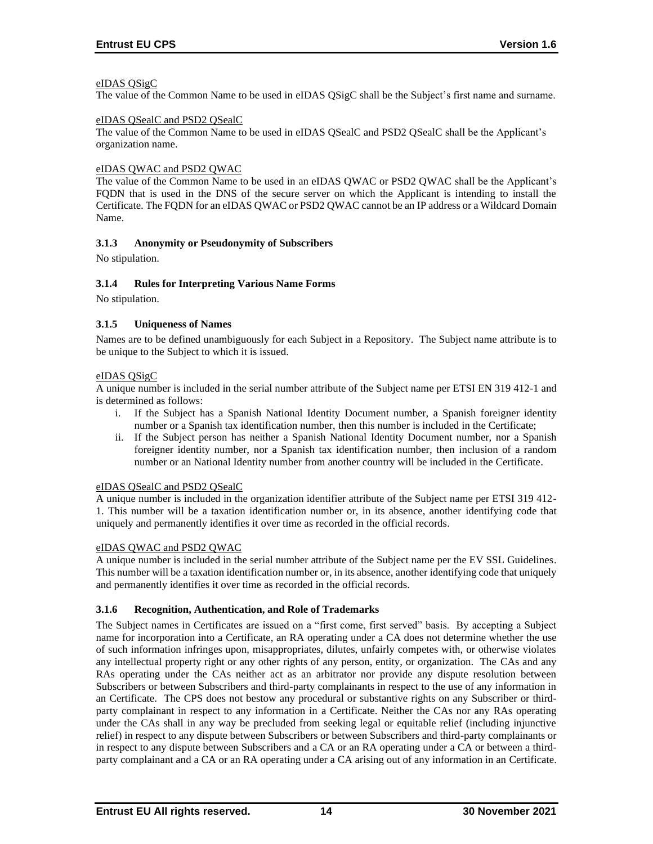## eIDAS QSigC

The value of the Common Name to be used in eIDAS QSigC shall be the Subject's first name and surname.

### eIDAS QSealC and PSD2 QSealC

The value of the Common Name to be used in eIDAS QSealC and PSD2 QSealC shall be the Applicant's organization name.

## eIDAS QWAC and PSD2 QWAC

The value of the Common Name to be used in an eIDAS QWAC or PSD2 QWAC shall be the Applicant's FQDN that is used in the DNS of the secure server on which the Applicant is intending to install the Certificate. The FQDN for an eIDAS QWAC or PSD2 QWAC cannot be an IP address or a Wildcard Domain Name.

# **3.1.3 Anonymity or Pseudonymity of Subscribers**

No stipulation.

## **3.1.4 Rules for Interpreting Various Name Forms**

No stipulation.

## **3.1.5 Uniqueness of Names**

Names are to be defined unambiguously for each Subject in a Repository. The Subject name attribute is to be unique to the Subject to which it is issued.

#### eIDAS QSigC

A unique number is included in the serial number attribute of the Subject name per ETSI EN 319 412-1 and is determined as follows:

- i. If the Subject has a Spanish National Identity Document number, a Spanish foreigner identity number or a Spanish tax identification number, then this number is included in the Certificate;
- ii. If the Subject person has neither a Spanish National Identity Document number, nor a Spanish foreigner identity number, nor a Spanish tax identification number, then inclusion of a random number or an National Identity number from another country will be included in the Certificate.

### eIDAS QSealC and PSD2 QSealC

A unique number is included in the organization identifier attribute of the Subject name per ETSI 319 412- 1. This number will be a taxation identification number or, in its absence, another identifying code that uniquely and permanently identifies it over time as recorded in the official records.

#### eIDAS QWAC and PSD2 QWAC

A unique number is included in the serial number attribute of the Subject name per the EV SSL Guidelines. This number will be a taxation identification number or, in its absence, another identifying code that uniquely and permanently identifies it over time as recorded in the official records.

#### **3.1.6 Recognition, Authentication, and Role of Trademarks**

The Subject names in Certificates are issued on a "first come, first served" basis. By accepting a Subject name for incorporation into a Certificate, an RA operating under a CA does not determine whether the use of such information infringes upon, misappropriates, dilutes, unfairly competes with, or otherwise violates any intellectual property right or any other rights of any person, entity, or organization. The CAs and any RAs operating under the CAs neither act as an arbitrator nor provide any dispute resolution between Subscribers or between Subscribers and third-party complainants in respect to the use of any information in an Certificate. The CPS does not bestow any procedural or substantive rights on any Subscriber or thirdparty complainant in respect to any information in a Certificate. Neither the CAs nor any RAs operating under the CAs shall in any way be precluded from seeking legal or equitable relief (including injunctive relief) in respect to any dispute between Subscribers or between Subscribers and third-party complainants or in respect to any dispute between Subscribers and a CA or an RA operating under a CA or between a thirdparty complainant and a CA or an RA operating under a CA arising out of any information in an Certificate.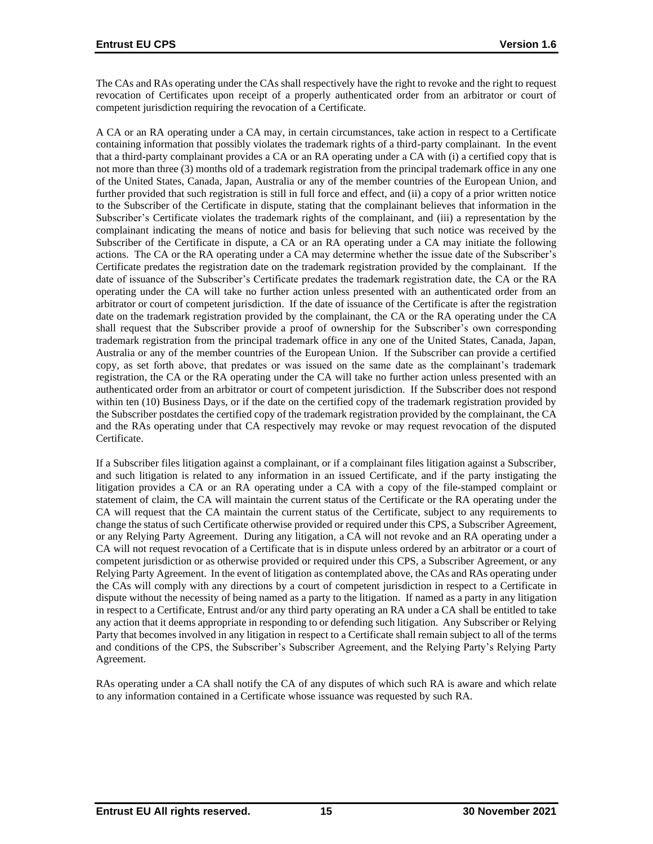The CAs and RAs operating under the CAs shall respectively have the right to revoke and the right to request revocation of Certificates upon receipt of a properly authenticated order from an arbitrator or court of competent jurisdiction requiring the revocation of a Certificate.

A CA or an RA operating under a CA may, in certain circumstances, take action in respect to a Certificate containing information that possibly violates the trademark rights of a third-party complainant. In the event that a third-party complainant provides a CA or an RA operating under a CA with (i) a certified copy that is not more than three (3) months old of a trademark registration from the principal trademark office in any one of the United States, Canada, Japan, Australia or any of the member countries of the European Union, and further provided that such registration is still in full force and effect, and (ii) a copy of a prior written notice to the Subscriber of the Certificate in dispute, stating that the complainant believes that information in the Subscriber's Certificate violates the trademark rights of the complainant, and (iii) a representation by the complainant indicating the means of notice and basis for believing that such notice was received by the Subscriber of the Certificate in dispute, a CA or an RA operating under a CA may initiate the following actions. The CA or the RA operating under a CA may determine whether the issue date of the Subscriber's Certificate predates the registration date on the trademark registration provided by the complainant. If the date of issuance of the Subscriber's Certificate predates the trademark registration date, the CA or the RA operating under the CA will take no further action unless presented with an authenticated order from an arbitrator or court of competent jurisdiction. If the date of issuance of the Certificate is after the registration date on the trademark registration provided by the complainant, the CA or the RA operating under the CA shall request that the Subscriber provide a proof of ownership for the Subscriber's own corresponding trademark registration from the principal trademark office in any one of the United States, Canada, Japan, Australia or any of the member countries of the European Union. If the Subscriber can provide a certified copy, as set forth above, that predates or was issued on the same date as the complainant's trademark registration, the CA or the RA operating under the CA will take no further action unless presented with an authenticated order from an arbitrator or court of competent jurisdiction. If the Subscriber does not respond within ten (10) Business Days, or if the date on the certified copy of the trademark registration provided by the Subscriber postdates the certified copy of the trademark registration provided by the complainant, the CA and the RAs operating under that CA respectively may revoke or may request revocation of the disputed Certificate.

If a Subscriber files litigation against a complainant, or if a complainant files litigation against a Subscriber, and such litigation is related to any information in an issued Certificate, and if the party instigating the litigation provides a CA or an RA operating under a CA with a copy of the file-stamped complaint or statement of claim, the CA will maintain the current status of the Certificate or the RA operating under the CA will request that the CA maintain the current status of the Certificate, subject to any requirements to change the status of such Certificate otherwise provided or required under this CPS, a Subscriber Agreement, or any Relying Party Agreement. During any litigation, a CA will not revoke and an RA operating under a CA will not request revocation of a Certificate that is in dispute unless ordered by an arbitrator or a court of competent jurisdiction or as otherwise provided or required under this CPS, a Subscriber Agreement, or any Relying Party Agreement. In the event of litigation as contemplated above, the CAs and RAs operating under the CAs will comply with any directions by a court of competent jurisdiction in respect to a Certificate in dispute without the necessity of being named as a party to the litigation. If named as a party in any litigation in respect to a Certificate, Entrust and/or any third party operating an RA under a CA shall be entitled to take any action that it deems appropriate in responding to or defending such litigation. Any Subscriber or Relying Party that becomes involved in any litigation in respect to a Certificate shall remain subject to all of the terms and conditions of the CPS, the Subscriber's Subscriber Agreement, and the Relying Party's Relying Party Agreement.

RAs operating under a CA shall notify the CA of any disputes of which such RA is aware and which relate to any information contained in a Certificate whose issuance was requested by such RA.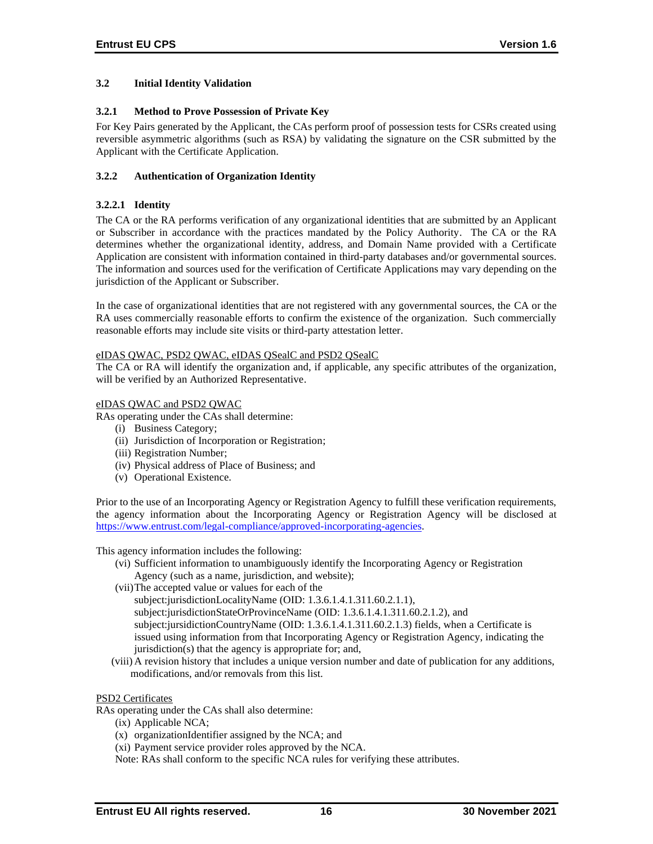## **3.2 Initial Identity Validation**

### **3.2.1 Method to Prove Possession of Private Key**

For Key Pairs generated by the Applicant, the CAs perform proof of possession tests for CSRs created using reversible asymmetric algorithms (such as RSA) by validating the signature on the CSR submitted by the Applicant with the Certificate Application.

## **3.2.2 Authentication of Organization Identity**

## **3.2.2.1 Identity**

The CA or the RA performs verification of any organizational identities that are submitted by an Applicant or Subscriber in accordance with the practices mandated by the Policy Authority. The CA or the RA determines whether the organizational identity, address, and Domain Name provided with a Certificate Application are consistent with information contained in third-party databases and/or governmental sources. The information and sources used for the verification of Certificate Applications may vary depending on the jurisdiction of the Applicant or Subscriber.

In the case of organizational identities that are not registered with any governmental sources, the CA or the RA uses commercially reasonable efforts to confirm the existence of the organization. Such commercially reasonable efforts may include site visits or third-party attestation letter.

#### eIDAS QWAC, PSD2 QWAC, eIDAS QSealC and PSD2 QSealC

The CA or RA will identify the organization and, if applicable, any specific attributes of the organization, will be verified by an Authorized Representative.

#### eIDAS QWAC and PSD2 QWAC

RAs operating under the CAs shall determine:

- (i) Business Category;
- (ii) Jurisdiction of Incorporation or Registration;
- (iii) Registration Number;
- (iv) Physical address of Place of Business; and
- (v) Operational Existence.

Prior to the use of an Incorporating Agency or Registration Agency to fulfill these verification requirements, the agency information about the Incorporating Agency or Registration Agency will be disclosed at [https://www.entrust.com/legal-compliance/approved-incorporating-agencies.](https://www.entrust.com/legal-compliance/approved-incorporating-agencies)

This agency information includes the following:

- (vi) Sufficient information to unambiguously identify the Incorporating Agency or Registration Agency (such as a name, jurisdiction, and website);
- (vii)The accepted value or values for each of the subject:jurisdictionLocalityName (OID: 1.3.6.1.4.1.311.60.2.1.1), subject:jurisdictionStateOrProvinceName (OID: 1.3.6.1.4.1.311.60.2.1.2), and subject:jursidictionCountryName (OID: 1.3.6.1.4.1.311.60.2.1.3) fields, when a Certificate is issued using information from that Incorporating Agency or Registration Agency, indicating the jurisdiction(s) that the agency is appropriate for; and,
- (viii) A revision history that includes a unique version number and date of publication for any additions, modifications, and/or removals from this list.

### PSD2 Certificates

RAs operating under the CAs shall also determine:

- (ix) Applicable NCA;
- (x) organizationIdentifier assigned by the NCA; and
- (xi) Payment service provider roles approved by the NCA.

Note: RAs shall conform to the specific NCA rules for verifying these attributes.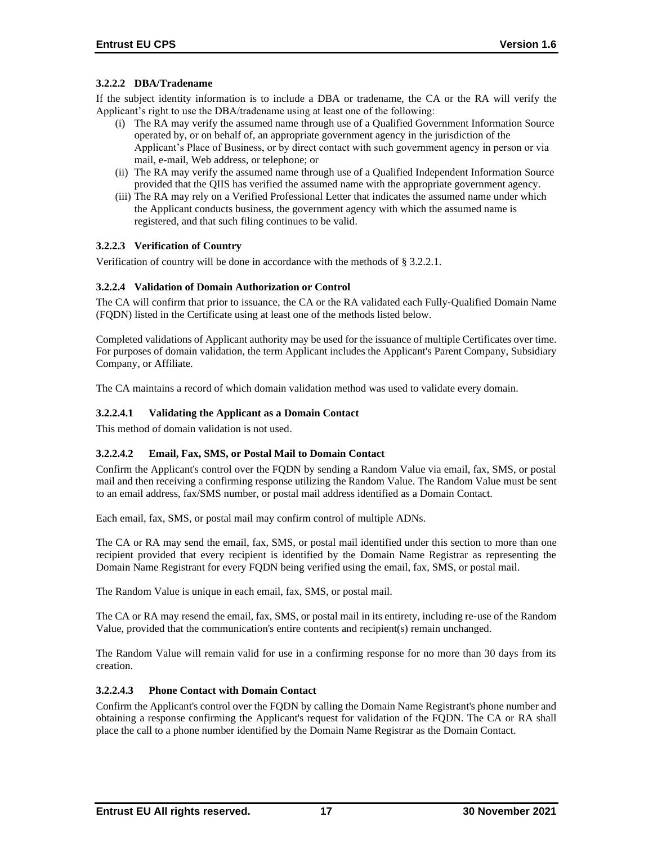# **3.2.2.2 DBA/Tradename**

If the subject identity information is to include a DBA or tradename, the CA or the RA will verify the Applicant's right to use the DBA/tradename using at least one of the following:

- (i) The RA may verify the assumed name through use of a Qualified Government Information Source operated by, or on behalf of, an appropriate government agency in the jurisdiction of the Applicant's Place of Business, or by direct contact with such government agency in person or via mail, e-mail, Web address, or telephone; or
- (ii) The RA may verify the assumed name through use of a Qualified Independent Information Source provided that the QIIS has verified the assumed name with the appropriate government agency.
- (iii) The RA may rely on a Verified Professional Letter that indicates the assumed name under which the Applicant conducts business, the government agency with which the assumed name is registered, and that such filing continues to be valid.

#### **3.2.2.3 Verification of Country**

Verification of country will be done in accordance with the methods of § 3.2.2.1.

## **3.2.2.4 Validation of Domain Authorization or Control**

The CA will confirm that prior to issuance, the CA or the RA validated each Fully‐Qualified Domain Name (FQDN) listed in the Certificate using at least one of the methods listed below.

Completed validations of Applicant authority may be used for the issuance of multiple Certificates over time. For purposes of domain validation, the term Applicant includes the Applicant's Parent Company, Subsidiary Company, or Affiliate.

The CA maintains a record of which domain validation method was used to validate every domain.

## **3.2.2.4.1 Validating the Applicant as a Domain Contact**

This method of domain validation is not used.

#### **3.2.2.4.2 Email, Fax, SMS, or Postal Mail to Domain Contact**

Confirm the Applicant's control over the FQDN by sending a Random Value via email, fax, SMS, or postal mail and then receiving a confirming response utilizing the Random Value. The Random Value must be sent to an email address, fax/SMS number, or postal mail address identified as a Domain Contact.

Each email, fax, SMS, or postal mail may confirm control of multiple ADNs.

The CA or RA may send the email, fax, SMS, or postal mail identified under this section to more than one recipient provided that every recipient is identified by the Domain Name Registrar as representing the Domain Name Registrant for every FQDN being verified using the email, fax, SMS, or postal mail.

The Random Value is unique in each email, fax, SMS, or postal mail.

The CA or RA may resend the email, fax, SMS, or postal mail in its entirety, including re-use of the Random Value, provided that the communication's entire contents and recipient(s) remain unchanged.

The Random Value will remain valid for use in a confirming response for no more than 30 days from its creation.

#### **3.2.2.4.3 Phone Contact with Domain Contact**

Confirm the Applicant's control over the FQDN by calling the Domain Name Registrant's phone number and obtaining a response confirming the Applicant's request for validation of the FQDN. The CA or RA shall place the call to a phone number identified by the Domain Name Registrar as the Domain Contact.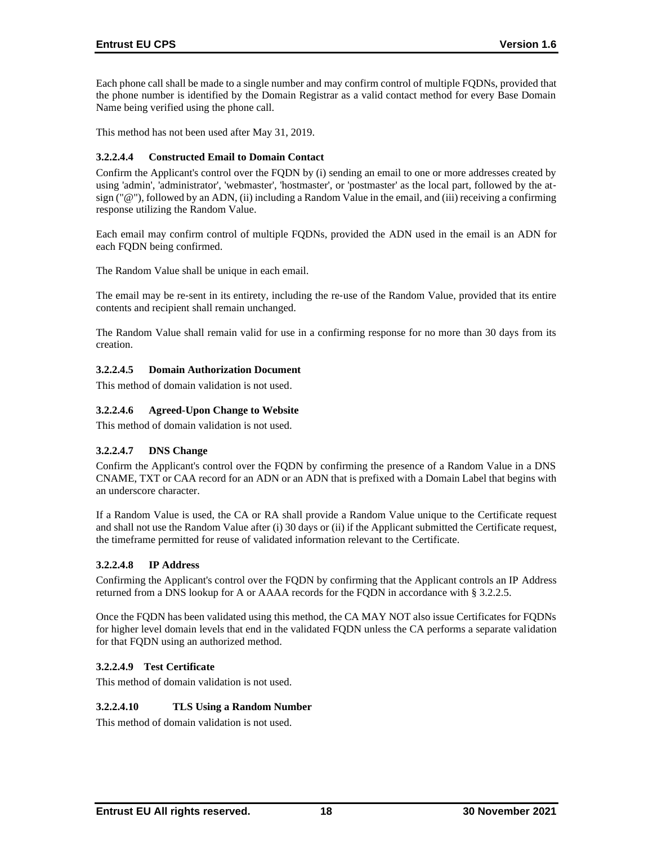Each phone call shall be made to a single number and may confirm control of multiple FQDNs, provided that the phone number is identified by the Domain Registrar as a valid contact method for every Base Domain Name being verified using the phone call.

This method has not been used after May 31, 2019.

## **3.2.2.4.4 Constructed Email to Domain Contact**

Confirm the Applicant's control over the FQDN by (i) sending an email to one or more addresses created by using 'admin', 'administrator', 'webmaster', 'hostmaster', or 'postmaster' as the local part, followed by the at‐ sign ("@"), followed by an ADN, (ii) including a Random Value in the email, and (iii) receiving a confirming response utilizing the Random Value.

Each email may confirm control of multiple FQDNs, provided the ADN used in the email is an ADN for each FQDN being confirmed.

The Random Value shall be unique in each email.

The email may be re-sent in its entirety, including the re-use of the Random Value, provided that its entire contents and recipient shall remain unchanged.

The Random Value shall remain valid for use in a confirming response for no more than 30 days from its creation.

## **3.2.2.4.5 Domain Authorization Document**

This method of domain validation is not used.

## **3.2.2.4.6 Agreed-Upon Change to Website**

This method of domain validation is not used.

#### **3.2.2.4.7 DNS Change**

Confirm the Applicant's control over the FQDN by confirming the presence of a Random Value in a DNS CNAME, TXT or CAA record for an ADN or an ADN that is prefixed with a Domain Label that begins with an underscore character.

If a Random Value is used, the CA or RA shall provide a Random Value unique to the Certificate request and shall not use the Random Value after (i) 30 days or (ii) if the Applicant submitted the Certificate request, the timeframe permitted for reuse of validated information relevant to the Certificate.

#### **3.2.2.4.8 IP Address**

Confirming the Applicant's control over the FQDN by confirming that the Applicant controls an IP Address returned from a DNS lookup for A or AAAA records for the FQDN in accordance with § 3.2.2.5.

Once the FQDN has been validated using this method, the CA MAY NOT also issue Certificates for FQDNs for higher level domain levels that end in the validated FQDN unless the CA performs a separate validation for that FQDN using an authorized method.

#### **3.2.2.4.9 Test Certificate**

This method of domain validation is not used.

#### **3.2.2.4.10 TLS Using a Random Number**

This method of domain validation is not used.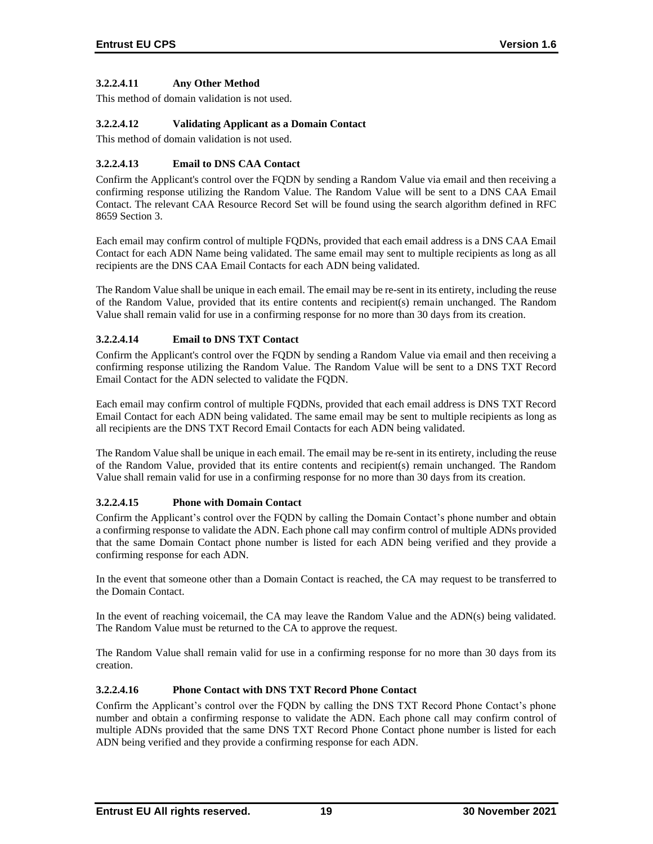## **3.2.2.4.11 Any Other Method**

This method of domain validation is not used.

## **3.2.2.4.12 Validating Applicant as a Domain Contact**

This method of domain validation is not used.

## **3.2.2.4.13 Email to DNS CAA Contact**

Confirm the Applicant's control over the FQDN by sending a Random Value via email and then receiving a confirming response utilizing the Random Value. The Random Value will be sent to a DNS CAA Email Contact. The relevant CAA Resource Record Set will be found using the search algorithm defined in RFC 8659 Section 3.

Each email may confirm control of multiple FQDNs, provided that each email address is a DNS CAA Email Contact for each ADN Name being validated. The same email may sent to multiple recipients as long as all recipients are the DNS CAA Email Contacts for each ADN being validated.

The Random Value shall be unique in each email. The email may be re-sent in its entirety, including the reuse of the Random Value, provided that its entire contents and recipient(s) remain unchanged. The Random Value shall remain valid for use in a confirming response for no more than 30 days from its creation.

## **3.2.2.4.14 Email to DNS TXT Contact**

Confirm the Applicant's control over the FQDN by sending a Random Value via email and then receiving a confirming response utilizing the Random Value. The Random Value will be sent to a DNS TXT Record Email Contact for the ADN selected to validate the FQDN.

Each email may confirm control of multiple FQDNs, provided that each email address is DNS TXT Record Email Contact for each ADN being validated. The same email may be sent to multiple recipients as long as all recipients are the DNS TXT Record Email Contacts for each ADN being validated.

The Random Value shall be unique in each email. The email may be re-sent in its entirety, including the reuse of the Random Value, provided that its entire contents and recipient(s) remain unchanged. The Random Value shall remain valid for use in a confirming response for no more than 30 days from its creation.

#### **3.2.2.4.15 Phone with Domain Contact**

Confirm the Applicant's control over the FQDN by calling the Domain Contact's phone number and obtain a confirming response to validate the ADN. Each phone call may confirm control of multiple ADNs provided that the same Domain Contact phone number is listed for each ADN being verified and they provide a confirming response for each ADN.

In the event that someone other than a Domain Contact is reached, the CA may request to be transferred to the Domain Contact.

In the event of reaching voicemail, the CA may leave the Random Value and the ADN(s) being validated. The Random Value must be returned to the CA to approve the request.

The Random Value shall remain valid for use in a confirming response for no more than 30 days from its creation.

## **3.2.2.4.16 Phone Contact with DNS TXT Record Phone Contact**

Confirm the Applicant's control over the FQDN by calling the DNS TXT Record Phone Contact's phone number and obtain a confirming response to validate the ADN. Each phone call may confirm control of multiple ADNs provided that the same DNS TXT Record Phone Contact phone number is listed for each ADN being verified and they provide a confirming response for each ADN.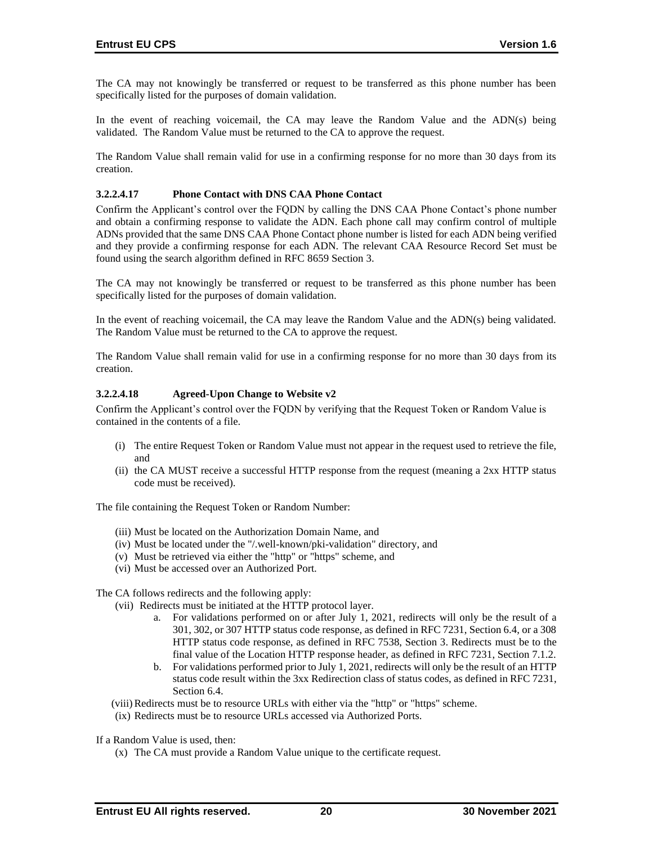The CA may not knowingly be transferred or request to be transferred as this phone number has been specifically listed for the purposes of domain validation.

In the event of reaching voicemail, the CA may leave the Random Value and the ADN(s) being validated. The Random Value must be returned to the CA to approve the request.

The Random Value shall remain valid for use in a confirming response for no more than 30 days from its creation.

### **3.2.2.4.17 Phone Contact with DNS CAA Phone Contact**

Confirm the Applicant's control over the FQDN by calling the DNS CAA Phone Contact's phone number and obtain a confirming response to validate the ADN. Each phone call may confirm control of multiple ADNs provided that the same DNS CAA Phone Contact phone number is listed for each ADN being verified and they provide a confirming response for each ADN. The relevant CAA Resource Record Set must be found using the search algorithm defined in RFC 8659 Section 3.

The CA may not knowingly be transferred or request to be transferred as this phone number has been specifically listed for the purposes of domain validation.

In the event of reaching voicemail, the CA may leave the Random Value and the ADN(s) being validated. The Random Value must be returned to the CA to approve the request.

The Random Value shall remain valid for use in a confirming response for no more than 30 days from its creation.

#### **3.2.2.4.18 Agreed-Upon Change to Website v2**

Confirm the Applicant's control over the FQDN by verifying that the Request Token or Random Value is contained in the contents of a file.

- (i) The entire Request Token or Random Value must not appear in the request used to retrieve the file, and
- (ii) the CA MUST receive a successful HTTP response from the request (meaning a 2xx HTTP status code must be received).

The file containing the Request Token or Random Number:

- (iii) Must be located on the Authorization Domain Name, and
- (iv) Must be located under the "/.well-known/pki-validation" directory, and
- (v) Must be retrieved via either the "http" or "https" scheme, and
- (vi) Must be accessed over an Authorized Port.

The CA follows redirects and the following apply:

- (vii) Redirects must be initiated at the HTTP protocol layer.
	- a. For validations performed on or after July 1, 2021, redirects will only be the result of a 301, 302, or 307 HTTP status code response, as defined in RFC 7231, Section 6.4, or a 308 HTTP status code response, as defined in RFC 7538, Section 3. Redirects must be to the final value of the Location HTTP response header, as defined in RFC 7231, Section 7.1.2.
	- b. For validations performed prior to July 1, 2021, redirects will only be the result of an HTTP status code result within the 3xx Redirection class of status codes, as defined in RFC 7231, Section 6.4.
- (viii)Redirects must be to resource URLs with either via the "http" or "https" scheme.
- (ix) Redirects must be to resource URLs accessed via Authorized Ports.

If a Random Value is used, then:

(x) The CA must provide a Random Value unique to the certificate request.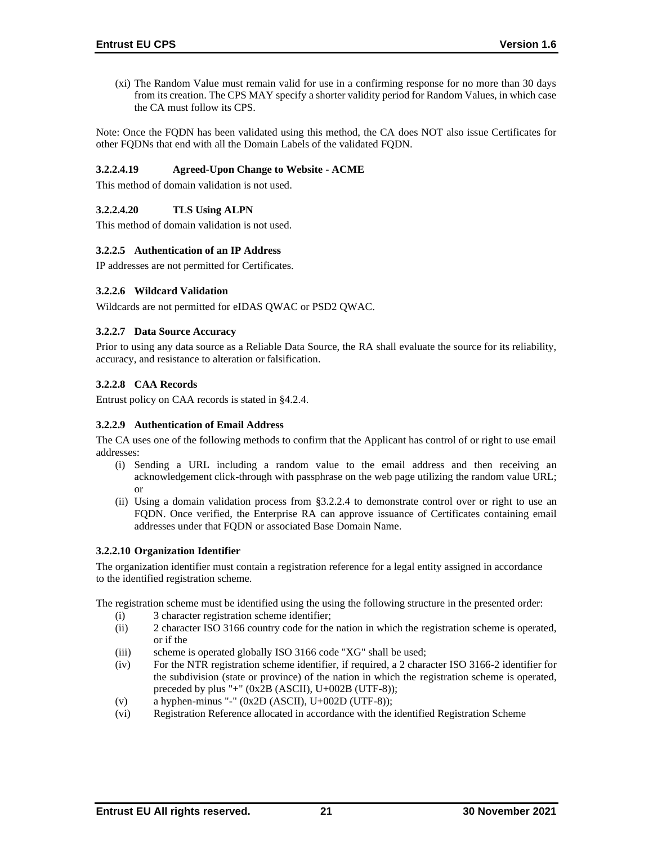(xi) The Random Value must remain valid for use in a confirming response for no more than 30 days from its creation. The CPS MAY specify a shorter validity period for Random Values, in which case the CA must follow its CPS.

Note: Once the FQDN has been validated using this method, the CA does NOT also issue Certificates for other FQDNs that end with all the Domain Labels of the validated FQDN.

## **3.2.2.4.19 Agreed-Upon Change to Website - ACME**

This method of domain validation is not used.

## **3.2.2.4.20 TLS Using ALPN**

This method of domain validation is not used.

#### **3.2.2.5 Authentication of an IP Address**

IP addresses are not permitted for Certificates.

#### **3.2.2.6 Wildcard Validation**

Wildcards are not permitted for eIDAS QWAC or PSD2 QWAC.

## **3.2.2.7 Data Source Accuracy**

Prior to using any data source as a Reliable Data Source, the RA shall evaluate the source for its reliability, accuracy, and resistance to alteration or falsification.

## **3.2.2.8 CAA Records**

Entrust policy on CAA records is stated in §4.2.4.

#### **3.2.2.9 Authentication of Email Address**

The CA uses one of the following methods to confirm that the Applicant has control of or right to use email addresses:

- (i) Sending a URL including a random value to the email address and then receiving an acknowledgement click-through with passphrase on the web page utilizing the random value URL; or
- (ii) Using a domain validation process from §3.2.2.4 to demonstrate control over or right to use an FQDN. Once verified, the Enterprise RA can approve issuance of Certificates containing email addresses under that FQDN or associated Base Domain Name.

### **3.2.2.10 Organization Identifier**

The organization identifier must contain a registration reference for a legal entity assigned in accordance to the identified registration scheme.

The registration scheme must be identified using the using the following structure in the presented order:

- (i) 3 character registration scheme identifier;
- (ii) 2 character ISO 3166 country code for the nation in which the registration scheme is operated, or if the
- (iii) scheme is operated globally ISO 3166 code "XG" shall be used;
- (iv) For the NTR registration scheme identifier, if required, a 2 character ISO 3166-2 identifier for the subdivision (state or province) of the nation in which the registration scheme is operated, preceded by plus "+"  $(0x2B (ASCII), U+002B (UTF-8));$
- (v) a hyphen-minus "-"  $(0x2D (ASCII), U+002D (UTF-8));$
- (vi) Registration Reference allocated in accordance with the identified Registration Scheme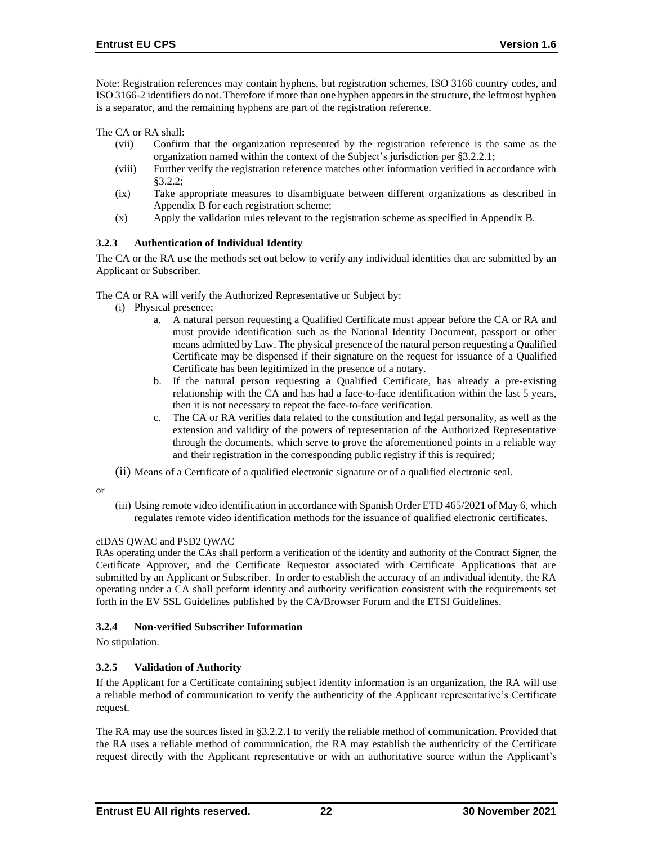Note: Registration references may contain hyphens, but registration schemes, ISO 3166 country codes, and ISO 3166-2 identifiers do not. Therefore if more than one hyphen appears in the structure, the leftmost hyphen is a separator, and the remaining hyphens are part of the registration reference.

The CA or RA shall:

- (vii) Confirm that the organization represented by the registration reference is the same as the organization named within the context of the Subject's jurisdiction per §3.2.2.1;
- (viii) Further verify the registration reference matches other information verified in accordance with §3.2.2;
- (ix) Take appropriate measures to disambiguate between different organizations as described in Appendix B for each registration scheme;
- (x) Apply the validation rules relevant to the registration scheme as specified in Appendix B.

## **3.2.3 Authentication of Individual Identity**

The CA or the RA use the methods set out below to verify any individual identities that are submitted by an Applicant or Subscriber.

The CA or RA will verify the Authorized Representative or Subject by:

- (i) Physical presence;
	- a. A natural person requesting a Qualified Certificate must appear before the CA or RA and must provide identification such as the National Identity Document, passport or other means admitted by Law. The physical presence of the natural person requesting a Qualified Certificate may be dispensed if their signature on the request for issuance of a Qualified Certificate has been legitimized in the presence of a notary.
	- b. If the natural person requesting a Qualified Certificate, has already a pre-existing relationship with the CA and has had a face-to-face identification within the last 5 years, then it is not necessary to repeat the face-to-face verification.
	- c. The CA or RA verifies data related to the constitution and legal personality, as well as the extension and validity of the powers of representation of the Authorized Representative through the documents, which serve to prove the aforementioned points in a reliable way and their registration in the corresponding public registry if this is required;
- (ii) Means of a Certificate of a qualified electronic signature or of a qualified electronic seal.
- or
- (iii) Using remote video identification in accordance with Spanish Order ETD 465/2021 of May 6, which regulates remote video identification methods for the issuance of qualified electronic certificates.

#### eIDAS QWAC and PSD2 QWAC

RAs operating under the CAs shall perform a verification of the identity and authority of the Contract Signer, the Certificate Approver, and the Certificate Requestor associated with Certificate Applications that are submitted by an Applicant or Subscriber. In order to establish the accuracy of an individual identity, the RA operating under a CA shall perform identity and authority verification consistent with the requirements set forth in the EV SSL Guidelines published by the CA/Browser Forum and the ETSI Guidelines.

# **3.2.4 Non-verified Subscriber Information**

No stipulation.

# **3.2.5 Validation of Authority**

If the Applicant for a Certificate containing subject identity information is an organization, the RA will use a reliable method of communication to verify the authenticity of the Applicant representative's Certificate request.

The RA may use the sources listed in §3.2.2.1 to verify the reliable method of communication. Provided that the RA uses a reliable method of communication, the RA may establish the authenticity of the Certificate request directly with the Applicant representative or with an authoritative source within the Applicant's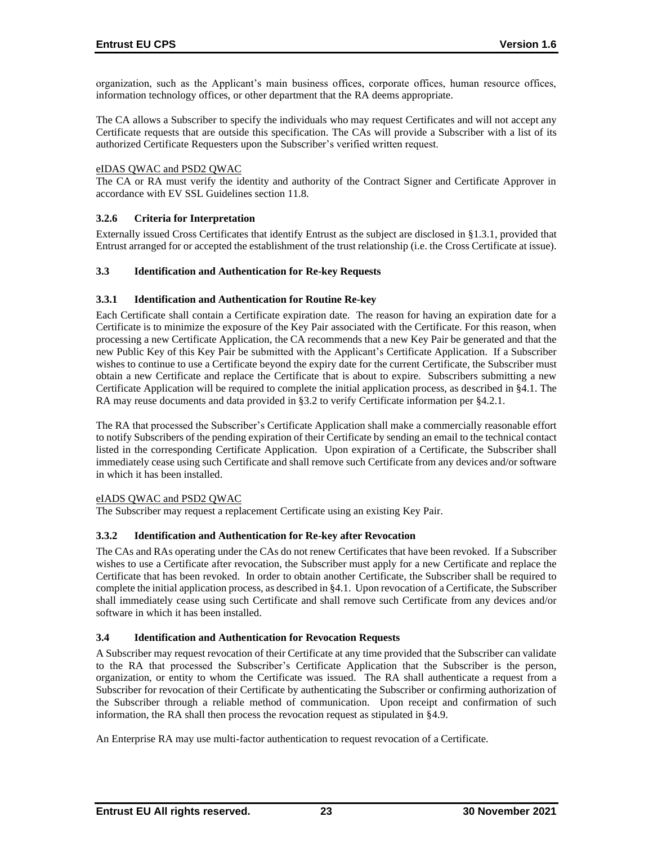organization, such as the Applicant's main business offices, corporate offices, human resource offices, information technology offices, or other department that the RA deems appropriate.

The CA allows a Subscriber to specify the individuals who may request Certificates and will not accept any Certificate requests that are outside this specification. The CAs will provide a Subscriber with a list of its authorized Certificate Requesters upon the Subscriber's verified written request.

#### eIDAS QWAC and PSD2 QWAC

The CA or RA must verify the identity and authority of the Contract Signer and Certificate Approver in accordance with EV SSL Guidelines section 11.8.

#### **3.2.6 Criteria for Interpretation**

Externally issued Cross Certificates that identify Entrust as the subject are disclosed in §1.3.1, provided that Entrust arranged for or accepted the establishment of the trust relationship (i.e. the Cross Certificate at issue).

#### **3.3 Identification and Authentication for Re-key Requests**

#### **3.3.1 Identification and Authentication for Routine Re-key**

Each Certificate shall contain a Certificate expiration date. The reason for having an expiration date for a Certificate is to minimize the exposure of the Key Pair associated with the Certificate. For this reason, when processing a new Certificate Application, the CA recommends that a new Key Pair be generated and that the new Public Key of this Key Pair be submitted with the Applicant's Certificate Application. If a Subscriber wishes to continue to use a Certificate beyond the expiry date for the current Certificate, the Subscriber must obtain a new Certificate and replace the Certificate that is about to expire. Subscribers submitting a new Certificate Application will be required to complete the initial application process, as described in §4.1. The RA may reuse documents and data provided in §3.2 to verify Certificate information per §4.2.1.

The RA that processed the Subscriber's Certificate Application shall make a commercially reasonable effort to notify Subscribers of the pending expiration of their Certificate by sending an email to the technical contact listed in the corresponding Certificate Application. Upon expiration of a Certificate, the Subscriber shall immediately cease using such Certificate and shall remove such Certificate from any devices and/or software in which it has been installed.

### eIADS QWAC and PSD2 QWAC

The Subscriber may request a replacement Certificate using an existing Key Pair.

#### **3.3.2 Identification and Authentication for Re-key after Revocation**

The CAs and RAs operating under the CAs do not renew Certificates that have been revoked. If a Subscriber wishes to use a Certificate after revocation, the Subscriber must apply for a new Certificate and replace the Certificate that has been revoked. In order to obtain another Certificate, the Subscriber shall be required to complete the initial application process, as described in §4.1. Upon revocation of a Certificate, the Subscriber shall immediately cease using such Certificate and shall remove such Certificate from any devices and/or software in which it has been installed.

#### **3.4 Identification and Authentication for Revocation Requests**

A Subscriber may request revocation of their Certificate at any time provided that the Subscriber can validate to the RA that processed the Subscriber's Certificate Application that the Subscriber is the person, organization, or entity to whom the Certificate was issued. The RA shall authenticate a request from a Subscriber for revocation of their Certificate by authenticating the Subscriber or confirming authorization of the Subscriber through a reliable method of communication. Upon receipt and confirmation of such information, the RA shall then process the revocation request as stipulated in §4.9.

An Enterprise RA may use multi-factor authentication to request revocation of a Certificate.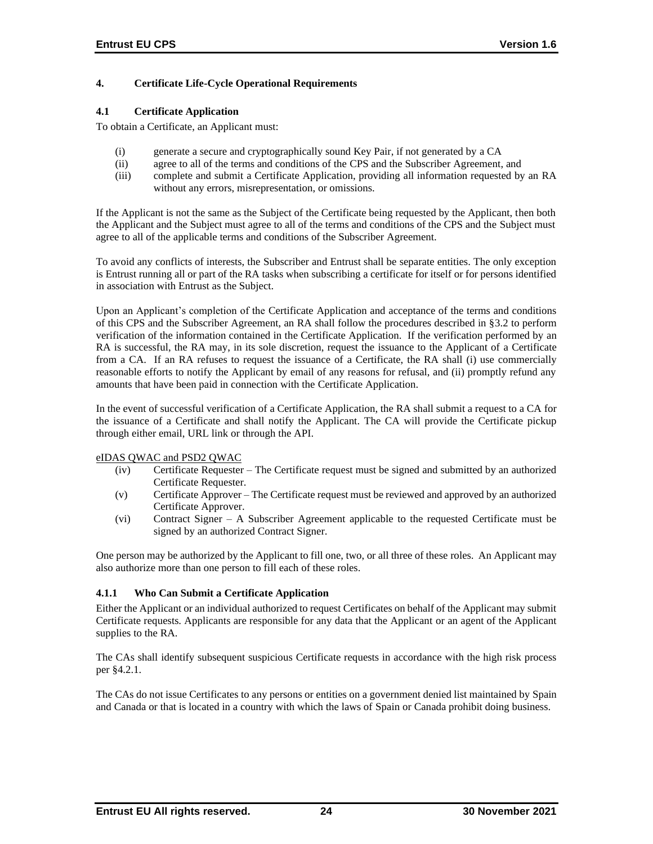# **4. Certificate Life-Cycle Operational Requirements**

## **4.1 Certificate Application**

To obtain a Certificate, an Applicant must:

- (i) generate a secure and cryptographically sound Key Pair, if not generated by a CA
- (ii) agree to all of the terms and conditions of the CPS and the Subscriber Agreement, and
- (iii) complete and submit a Certificate Application, providing all information requested by an RA without any errors, misrepresentation, or omissions.

If the Applicant is not the same as the Subject of the Certificate being requested by the Applicant, then both the Applicant and the Subject must agree to all of the terms and conditions of the CPS and the Subject must agree to all of the applicable terms and conditions of the Subscriber Agreement.

To avoid any conflicts of interests, the Subscriber and Entrust shall be separate entities. The only exception is Entrust running all or part of the RA tasks when subscribing a certificate for itself or for persons identified in association with Entrust as the Subject.

Upon an Applicant's completion of the Certificate Application and acceptance of the terms and conditions of this CPS and the Subscriber Agreement, an RA shall follow the procedures described in §3.2 to perform verification of the information contained in the Certificate Application. If the verification performed by an RA is successful, the RA may, in its sole discretion, request the issuance to the Applicant of a Certificate from a CA. If an RA refuses to request the issuance of a Certificate, the RA shall (i) use commercially reasonable efforts to notify the Applicant by email of any reasons for refusal, and (ii) promptly refund any amounts that have been paid in connection with the Certificate Application.

In the event of successful verification of a Certificate Application, the RA shall submit a request to a CA for the issuance of a Certificate and shall notify the Applicant. The CA will provide the Certificate pickup through either email, URL link or through the API.

#### eIDAS QWAC and PSD2 QWAC

- (iv) Certificate Requester The Certificate request must be signed and submitted by an authorized Certificate Requester.
- (v) Certificate Approver The Certificate request must be reviewed and approved by an authorized Certificate Approver.
- (vi) Contract Signer A Subscriber Agreement applicable to the requested Certificate must be signed by an authorized Contract Signer.

One person may be authorized by the Applicant to fill one, two, or all three of these roles. An Applicant may also authorize more than one person to fill each of these roles.

# **4.1.1 Who Can Submit a Certificate Application**

Either the Applicant or an individual authorized to request Certificates on behalf of the Applicant may submit Certificate requests. Applicants are responsible for any data that the Applicant or an agent of the Applicant supplies to the RA.

The CAs shall identify subsequent suspicious Certificate requests in accordance with the high risk process per §4.2.1.

The CAs do not issue Certificates to any persons or entities on a government denied list maintained by Spain and Canada or that is located in a country with which the laws of Spain or Canada prohibit doing business.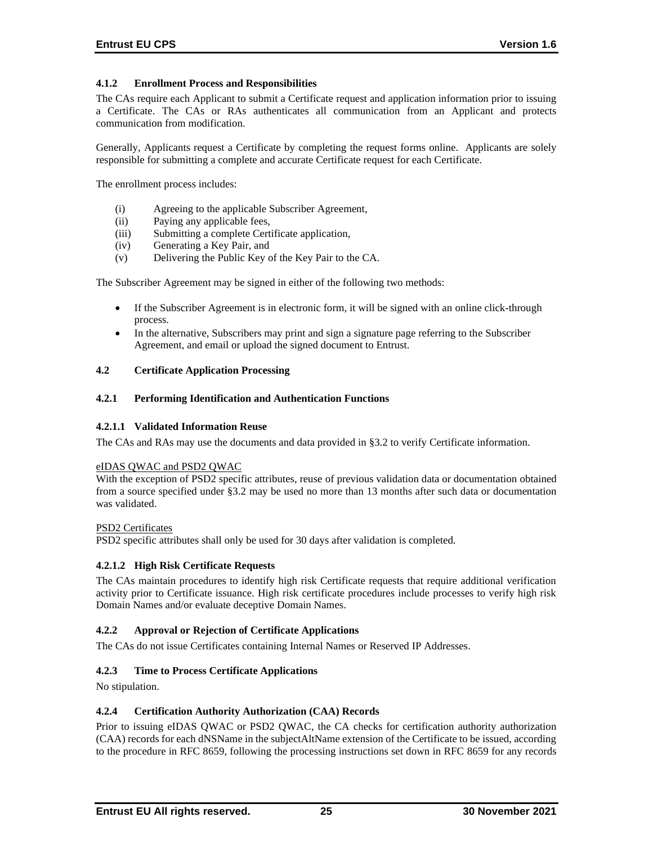# **4.1.2 Enrollment Process and Responsibilities**

The CAs require each Applicant to submit a Certificate request and application information prior to issuing a Certificate. The CAs or RAs authenticates all communication from an Applicant and protects communication from modification.

Generally, Applicants request a Certificate by completing the request forms online. Applicants are solely responsible for submitting a complete and accurate Certificate request for each Certificate.

The enrollment process includes:

- (i) Agreeing to the applicable Subscriber Agreement,
- (ii) Paying any applicable fees,
- (iii) Submitting a complete Certificate application,
- (iv) Generating a Key Pair, and
- (v) Delivering the Public Key of the Key Pair to the CA.

The Subscriber Agreement may be signed in either of the following two methods:

- If the Subscriber Agreement is in electronic form, it will be signed with an online click-through process.
- In the alternative, Subscribers may print and sign a signature page referring to the Subscriber Agreement, and email or upload the signed document to Entrust.

#### **4.2 Certificate Application Processing**

## **4.2.1 Performing Identification and Authentication Functions**

#### **4.2.1.1 Validated Information Reuse**

The CAs and RAs may use the documents and data provided in §3.2 to verify Certificate information.

#### eIDAS QWAC and PSD2 QWAC

With the exception of PSD2 specific attributes, reuse of previous validation data or documentation obtained from a source specified under §3.2 may be used no more than 13 months after such data or documentation was validated.

#### PSD2 Certificates

PSD2 specific attributes shall only be used for 30 days after validation is completed.

#### **4.2.1.2 High Risk Certificate Requests**

The CAs maintain procedures to identify high risk Certificate requests that require additional verification activity prior to Certificate issuance. High risk certificate procedures include processes to verify high risk Domain Names and/or evaluate deceptive Domain Names.

#### **4.2.2 Approval or Rejection of Certificate Applications**

The CAs do not issue Certificates containing Internal Names or Reserved IP Addresses.

#### **4.2.3 Time to Process Certificate Applications**

No stipulation.

#### **4.2.4 Certification Authority Authorization (CAA) Records**

Prior to issuing eIDAS QWAC or PSD2 QWAC, the CA checks for certification authority authorization (CAA) records for each dNSName in the subjectAltName extension of the Certificate to be issued, according to the procedure in RFC 8659, following the processing instructions set down in RFC 8659 for any records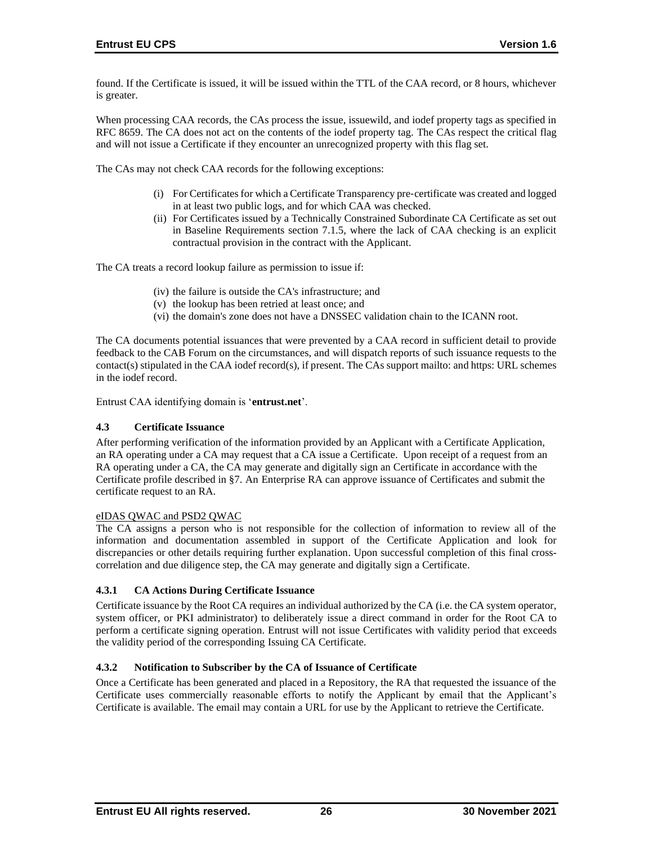found. If the Certificate is issued, it will be issued within the TTL of the CAA record, or 8 hours, whichever is greater.

When processing CAA records, the CAs process the issue, issuewild, and iodef property tags as specified in RFC 8659. The CA does not act on the contents of the iodef property tag. The CAs respect the critical flag and will not issue a Certificate if they encounter an unrecognized property with this flag set.

The CAs may not check CAA records for the following exceptions:

- (i) For Certificates for which a Certificate Transparency pre‐certificate was created and logged in at least two public logs, and for which CAA was checked.
- (ii) For Certificates issued by a Technically Constrained Subordinate CA Certificate as set out in Baseline Requirements section 7.1.5, where the lack of CAA checking is an explicit contractual provision in the contract with the Applicant.

The CA treats a record lookup failure as permission to issue if:

- (iv) the failure is outside the CA's infrastructure; and
- (v) the lookup has been retried at least once; and
- (vi) the domain's zone does not have a DNSSEC validation chain to the ICANN root.

The CA documents potential issuances that were prevented by a CAA record in sufficient detail to provide feedback to the CAB Forum on the circumstances, and will dispatch reports of such issuance requests to the contact(s) stipulated in the CAA iodef record(s), if present. The CAs support mailto: and https: URL schemes in the iodef record.

Entrust CAA identifying domain is '**entrust.net**'.

# **4.3 Certificate Issuance**

After performing verification of the information provided by an Applicant with a Certificate Application, an RA operating under a CA may request that a CA issue a Certificate. Upon receipt of a request from an RA operating under a CA, the CA may generate and digitally sign an Certificate in accordance with the Certificate profile described in §7. An Enterprise RA can approve issuance of Certificates and submit the certificate request to an RA.

#### eIDAS QWAC and PSD2 QWAC

The CA assigns a person who is not responsible for the collection of information to review all of the information and documentation assembled in support of the Certificate Application and look for discrepancies or other details requiring further explanation. Upon successful completion of this final crosscorrelation and due diligence step, the CA may generate and digitally sign a Certificate.

#### **4.3.1 CA Actions During Certificate Issuance**

Certificate issuance by the Root CA requires an individual authorized by the CA (i.e. the CA system operator, system officer, or PKI administrator) to deliberately issue a direct command in order for the Root CA to perform a certificate signing operation. Entrust will not issue Certificates with validity period that exceeds the validity period of the corresponding Issuing CA Certificate.

# **4.3.2 Notification to Subscriber by the CA of Issuance of Certificate**

Once a Certificate has been generated and placed in a Repository, the RA that requested the issuance of the Certificate uses commercially reasonable efforts to notify the Applicant by email that the Applicant's Certificate is available. The email may contain a URL for use by the Applicant to retrieve the Certificate.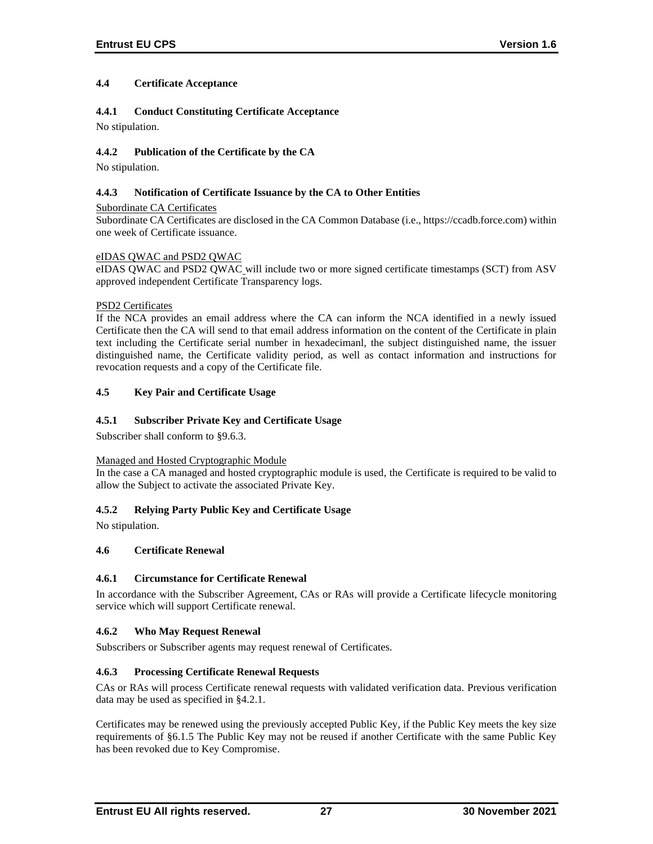## **4.4 Certificate Acceptance**

## **4.4.1 Conduct Constituting Certificate Acceptance**

No stipulation.

## **4.4.2 Publication of the Certificate by the CA**

No stipulation.

### **4.4.3 Notification of Certificate Issuance by the CA to Other Entities**

Subordinate CA Certificates Subordinate CA Certificates are disclosed in the CA Common Database (i.e., https://ccadb.force.com) within one week of Certificate issuance.

## eIDAS QWAC and PSD2 QWAC

eIDAS QWAC and PSD2 QWAC will include two or more signed certificate timestamps (SCT) from ASV approved independent Certificate Transparency logs.

## PSD2 Certificates

If the NCA provides an email address where the CA can inform the NCA identified in a newly issued Certificate then the CA will send to that email address information on the content of the Certificate in plain text including the Certificate serial number in hexadecimanl, the subject distinguished name, the issuer distinguished name, the Certificate validity period, as well as contact information and instructions for revocation requests and a copy of the Certificate file.

# **4.5 Key Pair and Certificate Usage**

# **4.5.1 Subscriber Private Key and Certificate Usage**

Subscriber shall conform to §9.6.3.

#### Managed and Hosted Cryptographic Module

In the case a CA managed and hosted cryptographic module is used, the Certificate is required to be valid to allow the Subject to activate the associated Private Key.

# **4.5.2 Relying Party Public Key and Certificate Usage**

No stipulation.

# **4.6 Certificate Renewal**

#### **4.6.1 Circumstance for Certificate Renewal**

In accordance with the Subscriber Agreement, CAs or RAs will provide a Certificate lifecycle monitoring service which will support Certificate renewal.

# **4.6.2 Who May Request Renewal**

Subscribers or Subscriber agents may request renewal of Certificates.

# **4.6.3 Processing Certificate Renewal Requests**

CAs or RAs will process Certificate renewal requests with validated verification data. Previous verification data may be used as specified in §4.2.1.

Certificates may be renewed using the previously accepted Public Key, if the Public Key meets the key size requirements of §6.1.5 The Public Key may not be reused if another Certificate with the same Public Key has been revoked due to Key Compromise.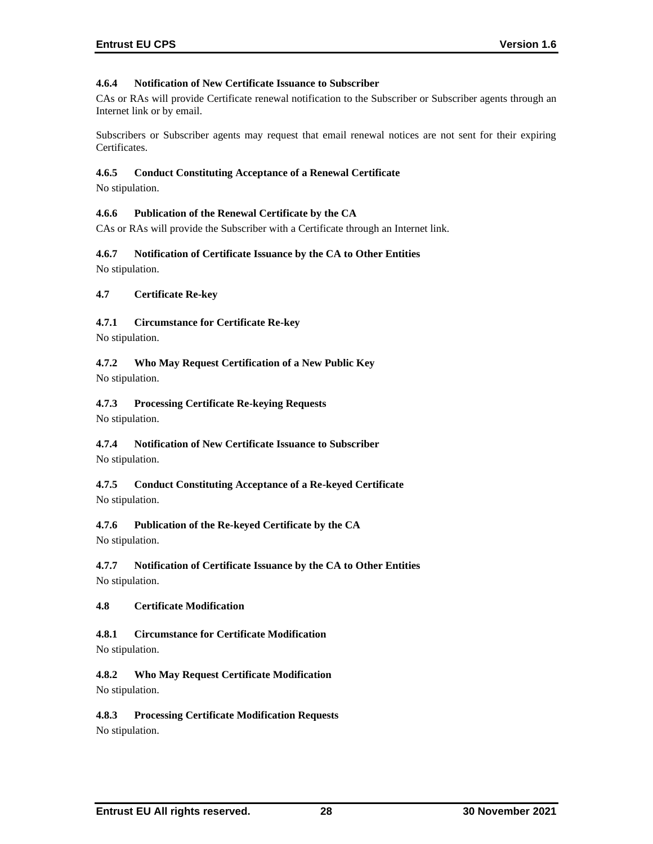# **4.6.4 Notification of New Certificate Issuance to Subscriber**

CAs or RAs will provide Certificate renewal notification to the Subscriber or Subscriber agents through an Internet link or by email.

Subscribers or Subscriber agents may request that email renewal notices are not sent for their expiring Certificates.

### **4.6.5 Conduct Constituting Acceptance of a Renewal Certificate**

No stipulation.

### **4.6.6 Publication of the Renewal Certificate by the CA**

CAs or RAs will provide the Subscriber with a Certificate through an Internet link.

### **4.6.7 Notification of Certificate Issuance by the CA to Other Entities**

No stipulation.

### **4.7 Certificate Re-key**

# **4.7.1 Circumstance for Certificate Re-key**

No stipulation.

# **4.7.2 Who May Request Certification of a New Public Key**

No stipulation.

### **4.7.3 Processing Certificate Re-keying Requests**

No stipulation.

### **4.7.4 Notification of New Certificate Issuance to Subscriber** No stipulation.

### **4.7.5 Conduct Constituting Acceptance of a Re-keyed Certificate** No stipulation.

# **4.7.6 Publication of the Re-keyed Certificate by the CA**

No stipulation.

# **4.7.7 Notification of Certificate Issuance by the CA to Other Entities** No stipulation.

# **4.8 Certificate Modification**

# **4.8.1 Circumstance for Certificate Modification**

No stipulation.

# **4.8.2 Who May Request Certificate Modification** No stipulation.

# **4.8.3 Processing Certificate Modification Requests**

No stipulation.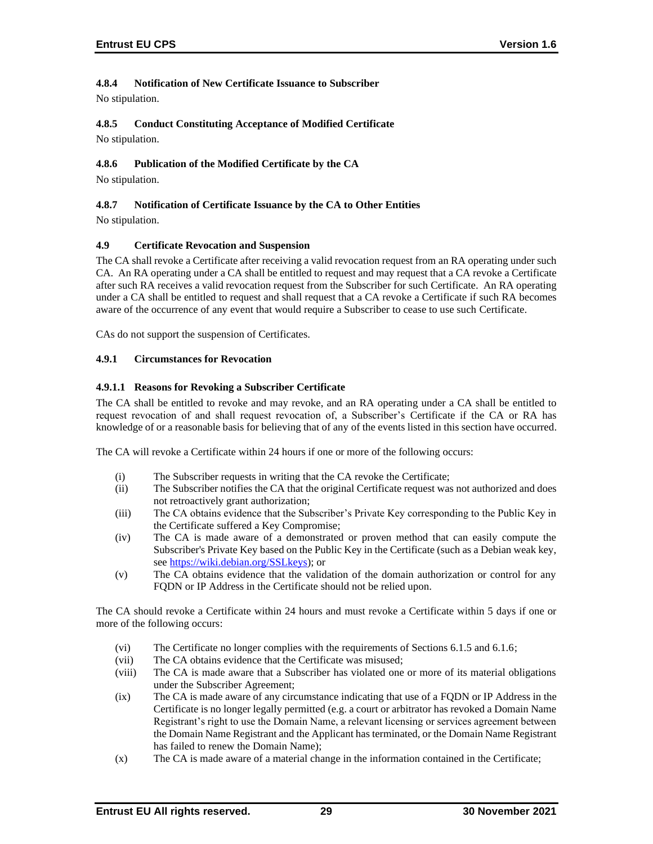# **4.8.4 Notification of New Certificate Issuance to Subscriber**

No stipulation.

**4.8.5 Conduct Constituting Acceptance of Modified Certificate** No stipulation.

# **4.8.6 Publication of the Modified Certificate by the CA**

No stipulation.

### **4.8.7 Notification of Certificate Issuance by the CA to Other Entities**

No stipulation.

### **4.9 Certificate Revocation and Suspension**

The CA shall revoke a Certificate after receiving a valid revocation request from an RA operating under such CA. An RA operating under a CA shall be entitled to request and may request that a CA revoke a Certificate after such RA receives a valid revocation request from the Subscriber for such Certificate. An RA operating under a CA shall be entitled to request and shall request that a CA revoke a Certificate if such RA becomes aware of the occurrence of any event that would require a Subscriber to cease to use such Certificate.

CAs do not support the suspension of Certificates.

### **4.9.1 Circumstances for Revocation**

### **4.9.1.1 Reasons for Revoking a Subscriber Certificate**

The CA shall be entitled to revoke and may revoke, and an RA operating under a CA shall be entitled to request revocation of and shall request revocation of, a Subscriber's Certificate if the CA or RA has knowledge of or a reasonable basis for believing that of any of the events listed in this section have occurred.

The CA will revoke a Certificate within 24 hours if one or more of the following occurs:

- (i) The Subscriber requests in writing that the CA revoke the Certificate;
- (ii) The Subscriber notifies the CA that the original Certificate request was not authorized and does not retroactively grant authorization;
- (iii) The CA obtains evidence that the Subscriber's Private Key corresponding to the Public Key in the Certificate suffered a Key Compromise;
- (iv) The CA is made aware of a demonstrated or proven method that can easily compute the Subscriber's Private Key based on the Public Key in the Certificate (such as a Debian weak key, see [https://wiki.debian.org/SSLkeys\)](https://wiki.debian.org/SSLkeys); or
- (v) The CA obtains evidence that the validation of the domain authorization or control for any FQDN or IP Address in the Certificate should not be relied upon.

The CA should revoke a Certificate within 24 hours and must revoke a Certificate within 5 days if one or more of the following occurs:

- (vi) The Certificate no longer complies with the requirements of Sections 6.1.5 and 6.1.6;
- (vii) The CA obtains evidence that the Certificate was misused;
- (viii) The CA is made aware that a Subscriber has violated one or more of its material obligations under the Subscriber Agreement;
- (ix) The CA is made aware of any circumstance indicating that use of a FQDN or IP Address in the Certificate is no longer legally permitted (e.g. a court or arbitrator has revoked a Domain Name Registrant's right to use the Domain Name, a relevant licensing or services agreement between the Domain Name Registrant and the Applicant has terminated, or the Domain Name Registrant has failed to renew the Domain Name);
- (x) The CA is made aware of a material change in the information contained in the Certificate;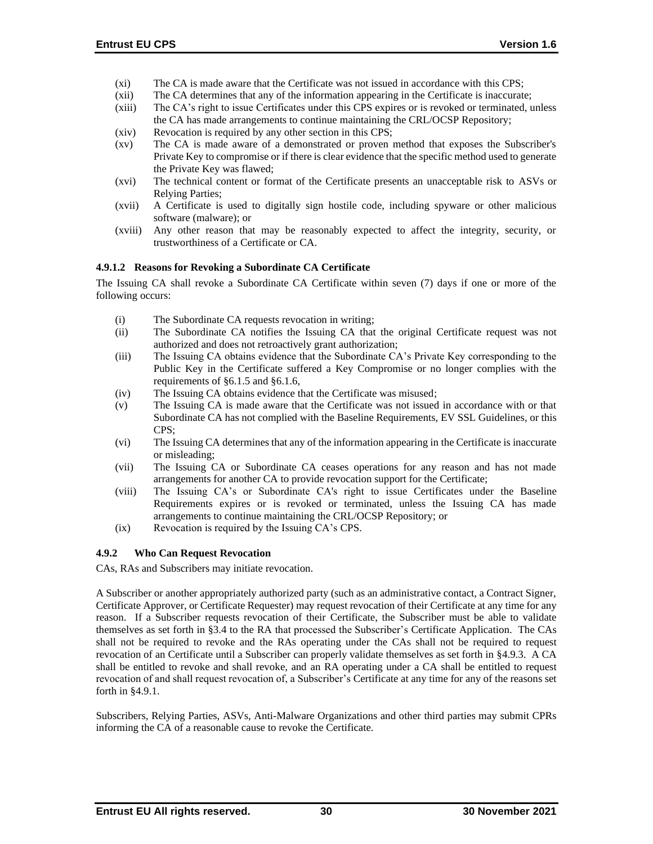- (xi) The CA is made aware that the Certificate was not issued in accordance with this CPS;
- (xii) The CA determines that any of the information appearing in the Certificate is inaccurate;
- (xiii) The CA's right to issue Certificates under this CPS expires or is revoked or terminated, unless the CA has made arrangements to continue maintaining the CRL/OCSP Repository;
- (xiv) Revocation is required by any other section in this CPS;
- (xv) The CA is made aware of a demonstrated or proven method that exposes the Subscriber's Private Key to compromise or if there is clear evidence that the specific method used to generate the Private Key was flawed;
- (xvi) The technical content or format of the Certificate presents an unacceptable risk to ASVs or Relying Parties;
- (xvii) A Certificate is used to digitally sign hostile code, including spyware or other malicious software (malware); or
- (xviii) Any other reason that may be reasonably expected to affect the integrity, security, or trustworthiness of a Certificate or CA.

### **4.9.1.2 Reasons for Revoking a Subordinate CA Certificate**

The Issuing CA shall revoke a Subordinate CA Certificate within seven (7) days if one or more of the following occurs:

- (i) The Subordinate CA requests revocation in writing;
- (ii) The Subordinate CA notifies the Issuing CA that the original Certificate request was not authorized and does not retroactively grant authorization;
- (iii) The Issuing CA obtains evidence that the Subordinate CA's Private Key corresponding to the Public Key in the Certificate suffered a Key Compromise or no longer complies with the requirements of §6.1.5 and §6.1.6,
- (iv) The Issuing CA obtains evidence that the Certificate was misused;
- (v) The Issuing CA is made aware that the Certificate was not issued in accordance with or that Subordinate CA has not complied with the Baseline Requirements, EV SSL Guidelines, or this CPS;
- (vi) The Issuing CA determines that any of the information appearing in the Certificate is inaccurate or misleading;
- (vii) The Issuing CA or Subordinate CA ceases operations for any reason and has not made arrangements for another CA to provide revocation support for the Certificate;
- (viii) The Issuing CA's or Subordinate CA's right to issue Certificates under the Baseline Requirements expires or is revoked or terminated, unless the Issuing CA has made arrangements to continue maintaining the CRL/OCSP Repository; or
- (ix) Revocation is required by the Issuing CA's CPS.

### **4.9.2 Who Can Request Revocation**

CAs, RAs and Subscribers may initiate revocation.

A Subscriber or another appropriately authorized party (such as an administrative contact, a Contract Signer, Certificate Approver, or Certificate Requester) may request revocation of their Certificate at any time for any reason. If a Subscriber requests revocation of their Certificate, the Subscriber must be able to validate themselves as set forth in §3.4 to the RA that processed the Subscriber's Certificate Application. The CAs shall not be required to revoke and the RAs operating under the CAs shall not be required to request revocation of an Certificate until a Subscriber can properly validate themselves as set forth in §4.9.3. A CA shall be entitled to revoke and shall revoke, and an RA operating under a CA shall be entitled to request revocation of and shall request revocation of, a Subscriber's Certificate at any time for any of the reasons set forth in §4.9.1.

Subscribers, Relying Parties, ASVs, Anti-Malware Organizations and other third parties may submit CPRs informing the CA of a reasonable cause to revoke the Certificate.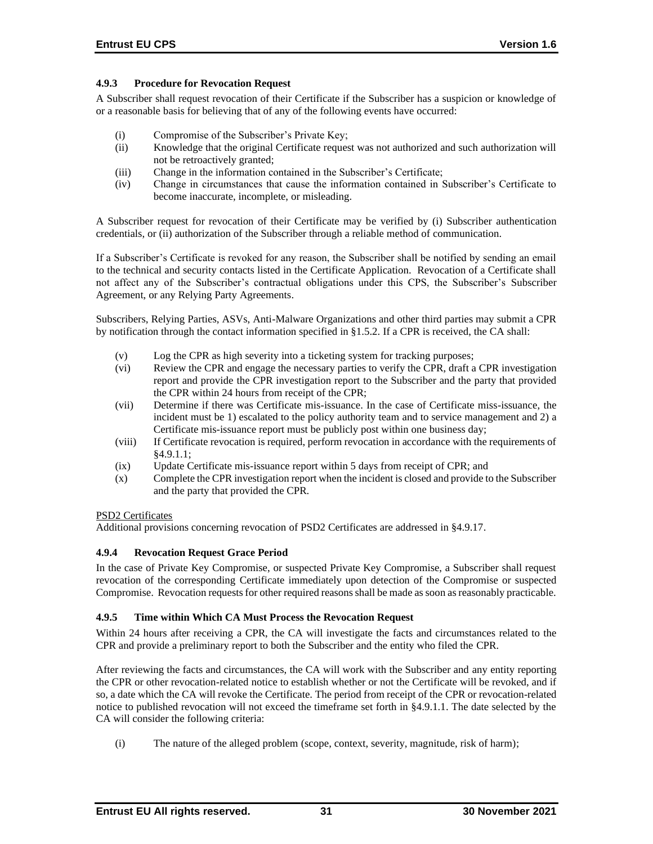### **4.9.3 Procedure for Revocation Request**

A Subscriber shall request revocation of their Certificate if the Subscriber has a suspicion or knowledge of or a reasonable basis for believing that of any of the following events have occurred:

- (i) Compromise of the Subscriber's Private Key;
- (ii) Knowledge that the original Certificate request was not authorized and such authorization will not be retroactively granted;
- (iii) Change in the information contained in the Subscriber's Certificate;
- (iv) Change in circumstances that cause the information contained in Subscriber's Certificate to become inaccurate, incomplete, or misleading.

A Subscriber request for revocation of their Certificate may be verified by (i) Subscriber authentication credentials, or (ii) authorization of the Subscriber through a reliable method of communication.

If a Subscriber's Certificate is revoked for any reason, the Subscriber shall be notified by sending an email to the technical and security contacts listed in the Certificate Application. Revocation of a Certificate shall not affect any of the Subscriber's contractual obligations under this CPS, the Subscriber's Subscriber Agreement, or any Relying Party Agreements.

Subscribers, Relying Parties, ASVs, Anti-Malware Organizations and other third parties may submit a CPR by notification through the contact information specified in §1.5.2. If a CPR is received, the CA shall:

- (v) Log the CPR as high severity into a ticketing system for tracking purposes;
- (vi) Review the CPR and engage the necessary parties to verify the CPR, draft a CPR investigation report and provide the CPR investigation report to the Subscriber and the party that provided the CPR within 24 hours from receipt of the CPR;
- (vii) Determine if there was Certificate mis-issuance. In the case of Certificate miss-issuance, the incident must be 1) escalated to the policy authority team and to service management and 2) a Certificate mis-issuance report must be publicly post within one business day;
- (viii) If Certificate revocation is required, perform revocation in accordance with the requirements of §4.9.1.1;
- (ix) Update Certificate mis-issuance report within 5 days from receipt of CPR; and
- (x) Complete the CPR investigation report when the incident is closed and provide to the Subscriber and the party that provided the CPR.

### PSD2 Certificates

Additional provisions concerning revocation of PSD2 Certificates are addressed in §4.9.17.

### **4.9.4 Revocation Request Grace Period**

In the case of Private Key Compromise, or suspected Private Key Compromise, a Subscriber shall request revocation of the corresponding Certificate immediately upon detection of the Compromise or suspected Compromise. Revocation requests for other required reasons shall be made as soon as reasonably practicable.

### **4.9.5 Time within Which CA Must Process the Revocation Request**

Within 24 hours after receiving a CPR, the CA will investigate the facts and circumstances related to the CPR and provide a preliminary report to both the Subscriber and the entity who filed the CPR.

After reviewing the facts and circumstances, the CA will work with the Subscriber and any entity reporting the CPR or other revocation-related notice to establish whether or not the Certificate will be revoked, and if so, a date which the CA will revoke the Certificate. The period from receipt of the CPR or revocation-related notice to published revocation will not exceed the timeframe set forth in §4.9.1.1. The date selected by the CA will consider the following criteria:

(i) The nature of the alleged problem (scope, context, severity, magnitude, risk of harm);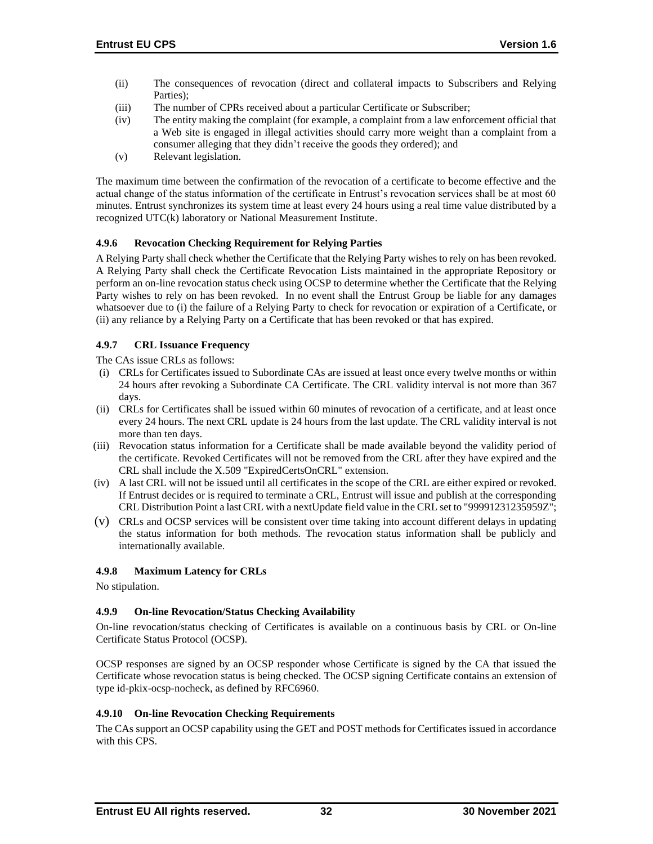- (ii) The consequences of revocation (direct and collateral impacts to Subscribers and Relying Parties);
- (iii) The number of CPRs received about a particular Certificate or Subscriber;
- (iv) The entity making the complaint (for example, a complaint from a law enforcement official that a Web site is engaged in illegal activities should carry more weight than a complaint from a consumer alleging that they didn't receive the goods they ordered); and
- (v) Relevant legislation.

The maximum time between the confirmation of the revocation of a certificate to become effective and the actual change of the status information of the certificate in Entrust's revocation services shall be at most 60 minutes. Entrust synchronizes its system time at least every 24 hours using a real time value distributed by a recognized UTC(k) laboratory or National Measurement Institute.

# **4.9.6 Revocation Checking Requirement for Relying Parties**

A Relying Party shall check whether the Certificate that the Relying Party wishes to rely on has been revoked. A Relying Party shall check the Certificate Revocation Lists maintained in the appropriate Repository or perform an on-line revocation status check using OCSP to determine whether the Certificate that the Relying Party wishes to rely on has been revoked. In no event shall the Entrust Group be liable for any damages whatsoever due to (i) the failure of a Relying Party to check for revocation or expiration of a Certificate, or (ii) any reliance by a Relying Party on a Certificate that has been revoked or that has expired.

### **4.9.7 CRL Issuance Frequency**

The CAs issue CRLs as follows:

- (i) CRLs for Certificates issued to Subordinate CAs are issued at least once every twelve months or within 24 hours after revoking a Subordinate CA Certificate. The CRL validity interval is not more than 367 days.
- (ii) CRLs for Certificates shall be issued within 60 minutes of revocation of a certificate, and at least once every 24 hours. The next CRL update is 24 hours from the last update. The CRL validity interval is not more than ten days.
- (iii) Revocation status information for a Certificate shall be made available beyond the validity period of the certificate. Revoked Certificates will not be removed from the CRL after they have expired and the CRL shall include the X.509 "ExpiredCertsOnCRL" extension.
- (iv) A last CRL will not be issued until all certificates in the scope of the CRL are either expired or revoked. If Entrust decides or is required to terminate a CRL, Entrust will issue and publish at the corresponding CRL Distribution Point a last CRL with a nextUpdate field value in the CRL set to "99991231235959Z";
- (v) CRLs and OCSP services will be consistent over time taking into account different delays in updating the status information for both methods. The revocation status information shall be publicly and internationally available.

# **4.9.8 Maximum Latency for CRLs**

No stipulation.

# **4.9.9 On-line Revocation/Status Checking Availability**

On-line revocation/status checking of Certificates is available on a continuous basis by CRL or On-line Certificate Status Protocol (OCSP).

OCSP responses are signed by an OCSP responder whose Certificate is signed by the CA that issued the Certificate whose revocation status is being checked. The OCSP signing Certificate contains an extension of type id-pkix-ocsp-nocheck, as defined by RFC6960.

### **4.9.10 On-line Revocation Checking Requirements**

The CAs support an OCSP capability using the GET and POST methods for Certificates issued in accordance with this CPS.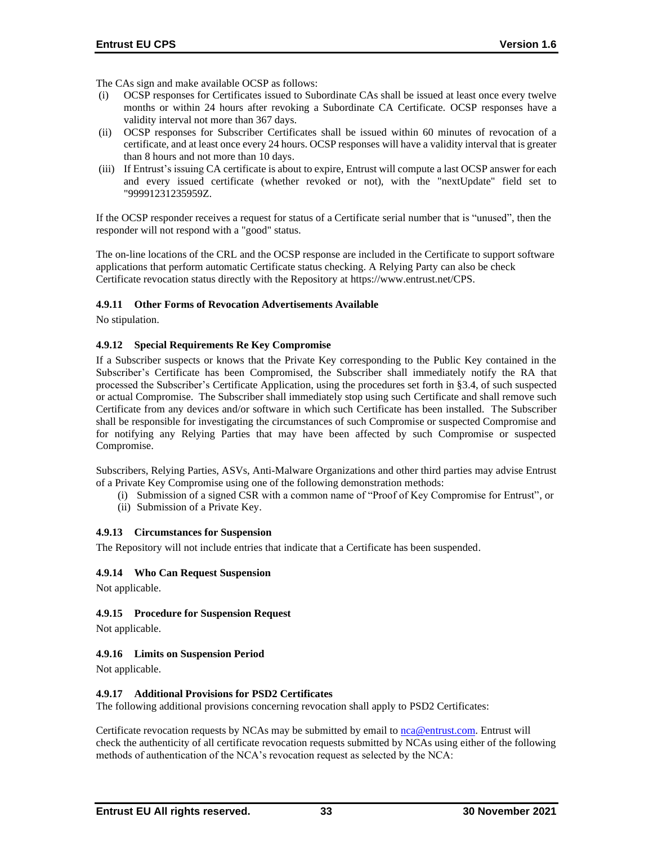The CAs sign and make available OCSP as follows:

- (i) OCSP responses for Certificates issued to Subordinate CAs shall be issued at least once every twelve months or within 24 hours after revoking a Subordinate CA Certificate. OCSP responses have a validity interval not more than 367 days.
- (ii) OCSP responses for Subscriber Certificates shall be issued within 60 minutes of revocation of a certificate, and at least once every 24 hours. OCSP responses will have a validity interval that is greater than 8 hours and not more than 10 days.
- (iii) If Entrust's issuing CA certificate is about to expire, Entrust will compute a last OCSP answer for each and every issued certificate (whether revoked or not), with the "nextUpdate" field set to "99991231235959Z.

If the OCSP responder receives a request for status of a Certificate serial number that is "unused", then the responder will not respond with a "good" status.

The on-line locations of the CRL and the OCSP response are included in the Certificate to support software applications that perform automatic Certificate status checking. A Relying Party can also be check Certificate revocation status directly with the Repository at [https://www.entrust.net/CPS.](https://www.entrust.net/CPS) 

### **4.9.11 Other Forms of Revocation Advertisements Available**

No stipulation.

#### **4.9.12 Special Requirements Re Key Compromise**

If a Subscriber suspects or knows that the Private Key corresponding to the Public Key contained in the Subscriber's Certificate has been Compromised, the Subscriber shall immediately notify the RA that processed the Subscriber's Certificate Application, using the procedures set forth in §3.4, of such suspected or actual Compromise. The Subscriber shall immediately stop using such Certificate and shall remove such Certificate from any devices and/or software in which such Certificate has been installed. The Subscriber shall be responsible for investigating the circumstances of such Compromise or suspected Compromise and for notifying any Relying Parties that may have been affected by such Compromise or suspected Compromise.

Subscribers, Relying Parties, ASVs, Anti-Malware Organizations and other third parties may advise Entrust of a Private Key Compromise using one of the following demonstration methods:

- (i) Submission of a signed CSR with a common name of "Proof of Key Compromise for Entrust", or
- (ii) Submission of a Private Key.

#### **4.9.13 Circumstances for Suspension**

The Repository will not include entries that indicate that a Certificate has been suspended.

### **4.9.14 Who Can Request Suspension**

Not applicable.

### **4.9.15 Procedure for Suspension Request**

Not applicable.

### **4.9.16 Limits on Suspension Period**

Not applicable.

### **4.9.17 Additional Provisions for PSD2 Certificates**

The following additional provisions concerning revocation shall apply to PSD2 Certificates:

Certificate revocation requests by NCAs may be submitted by email to [nca@entrust.com.](mailto:nca@entrustdatacard.com) Entrust will check the authenticity of all certificate revocation requests submitted by NCAs using either of the following methods of authentication of the NCA's revocation request as selected by the NCA: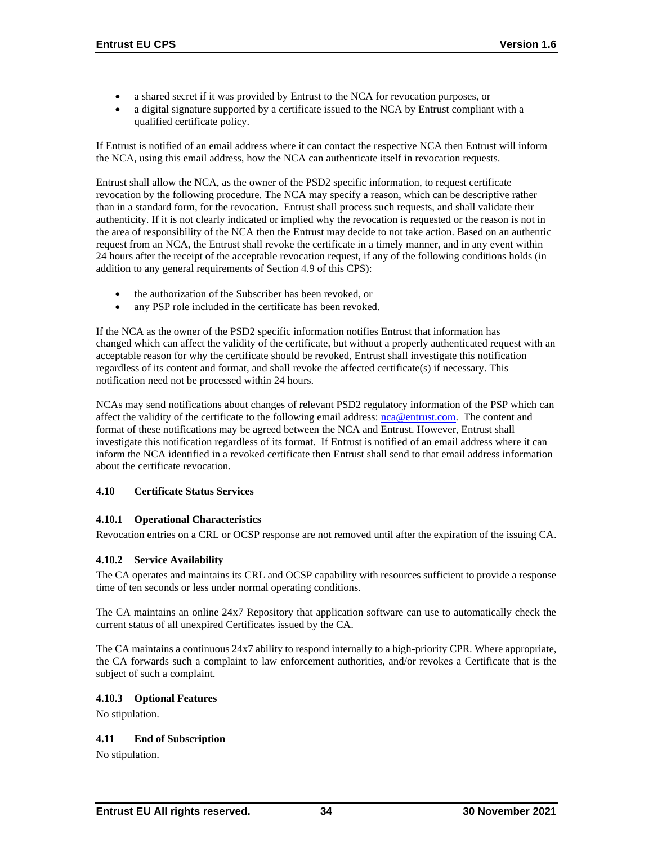- a shared secret if it was provided by Entrust to the NCA for revocation purposes, or
- a digital signature supported by a certificate issued to the NCA by Entrust compliant with a qualified certificate policy.

If Entrust is notified of an email address where it can contact the respective NCA then Entrust will inform the NCA, using this email address, how the NCA can authenticate itself in revocation requests.

Entrust shall allow the NCA, as the owner of the PSD2 specific information, to request certificate revocation by the following procedure. The NCA may specify a reason, which can be descriptive rather than in a standard form, for the revocation. Entrust shall process such requests, and shall validate their authenticity. If it is not clearly indicated or implied why the revocation is requested or the reason is not in the area of responsibility of the NCA then the Entrust may decide to not take action. Based on an authentic request from an NCA, the Entrust shall revoke the certificate in a timely manner, and in any event within 24 hours after the receipt of the acceptable revocation request, if any of the following conditions holds (in addition to any general requirements of Section 4.9 of this CPS):

- the authorization of the Subscriber has been revoked, or
- any PSP role included in the certificate has been revoked.

If the NCA as the owner of the PSD2 specific information notifies Entrust that information has changed which can affect the validity of the certificate, but without a properly authenticated request with an acceptable reason for why the certificate should be revoked, Entrust shall investigate this notification regardless of its content and format, and shall revoke the affected certificate(s) if necessary. This notification need not be processed within 24 hours.

NCAs may send notifications about changes of relevant PSD2 regulatory information of the PSP which can affect the validity of the certificate to the following email address: [nca@entrust.com.](mailto:nca@entrust.com) The content and format of these notifications may be agreed between the NCA and Entrust. However, Entrust shall investigate this notification regardless of its format. If Entrust is notified of an email address where it can inform the NCA identified in a revoked certificate then Entrust shall send to that email address information about the certificate revocation.

# **4.10 Certificate Status Services**

# **4.10.1 Operational Characteristics**

Revocation entries on a CRL or OCSP response are not removed until after the expiration of the issuing CA.

# **4.10.2 Service Availability**

The CA operates and maintains its CRL and OCSP capability with resources sufficient to provide a response time of ten seconds or less under normal operating conditions.

The CA maintains an online 24x7 Repository that application software can use to automatically check the current status of all unexpired Certificates issued by the CA.

The CA maintains a continuous 24x7 ability to respond internally to a high-priority CPR. Where appropriate, the CA forwards such a complaint to law enforcement authorities, and/or revokes a Certificate that is the subject of such a complaint.

### **4.10.3 Optional Features**

No stipulation.

# **4.11 End of Subscription**

No stipulation.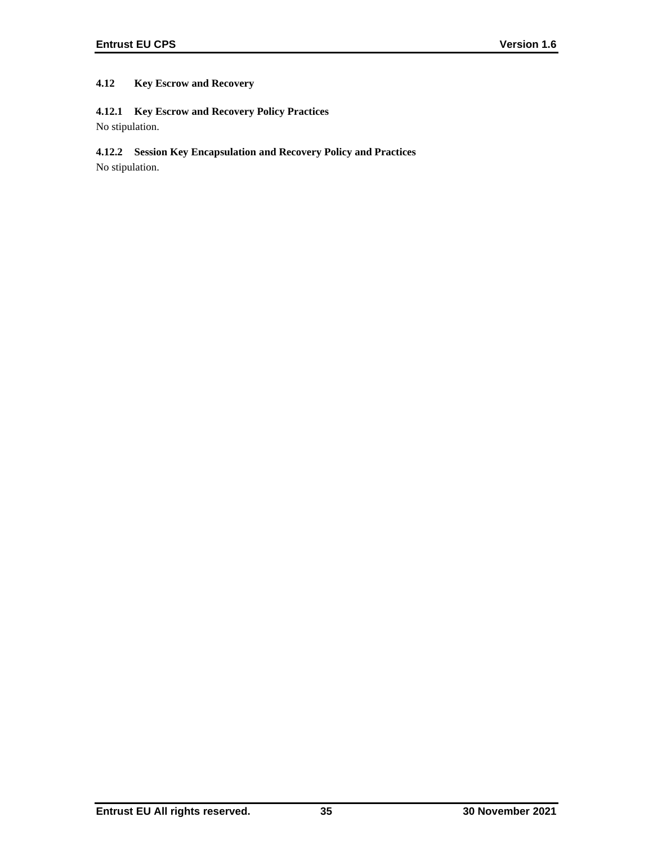# **4.12 Key Escrow and Recovery**

# **4.12.1 Key Escrow and Recovery Policy Practices**

No stipulation.

# **4.12.2 Session Key Encapsulation and Recovery Policy and Practices**

No stipulation.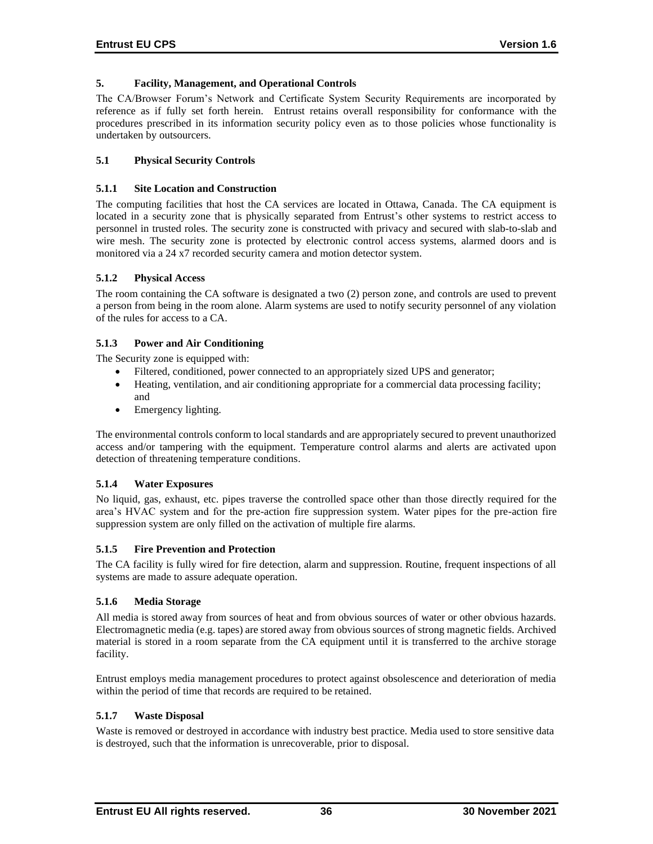### **5. Facility, Management, and Operational Controls**

The CA/Browser Forum's Network and Certificate System Security Requirements are incorporated by reference as if fully set forth herein. Entrust retains overall responsibility for conformance with the procedures prescribed in its information security policy even as to those policies whose functionality is undertaken by outsourcers.

# **5.1 Physical Security Controls**

### **5.1.1 Site Location and Construction**

The computing facilities that host the CA services are located in Ottawa, Canada. The CA equipment is located in a security zone that is physically separated from Entrust's other systems to restrict access to personnel in trusted roles. The security zone is constructed with privacy and secured with slab-to-slab and wire mesh. The security zone is protected by electronic control access systems, alarmed doors and is monitored via a 24 x7 recorded security camera and motion detector system.

### **5.1.2 Physical Access**

The room containing the CA software is designated a two (2) person zone, and controls are used to prevent a person from being in the room alone. Alarm systems are used to notify security personnel of any violation of the rules for access to a CA.

### **5.1.3 Power and Air Conditioning**

The Security zone is equipped with:

- Filtered, conditioned, power connected to an appropriately sized UPS and generator;
- Heating, ventilation, and air conditioning appropriate for a commercial data processing facility; and
- Emergency lighting.

The environmental controls conform to local standards and are appropriately secured to prevent unauthorized access and/or tampering with the equipment. Temperature control alarms and alerts are activated upon detection of threatening temperature conditions.

### **5.1.4 Water Exposures**

No liquid, gas, exhaust, etc. pipes traverse the controlled space other than those directly required for the area's HVAC system and for the pre-action fire suppression system. Water pipes for the pre-action fire suppression system are only filled on the activation of multiple fire alarms.

### **5.1.5 Fire Prevention and Protection**

The CA facility is fully wired for fire detection, alarm and suppression. Routine, frequent inspections of all systems are made to assure adequate operation.

### **5.1.6 Media Storage**

All media is stored away from sources of heat and from obvious sources of water or other obvious hazards. Electromagnetic media (e.g. tapes) are stored away from obvious sources of strong magnetic fields. Archived material is stored in a room separate from the CA equipment until it is transferred to the archive storage facility.

Entrust employs media management procedures to protect against obsolescence and deterioration of media within the period of time that records are required to be retained.

### **5.1.7 Waste Disposal**

Waste is removed or destroyed in accordance with industry best practice. Media used to store sensitive data is destroyed, such that the information is unrecoverable, prior to disposal.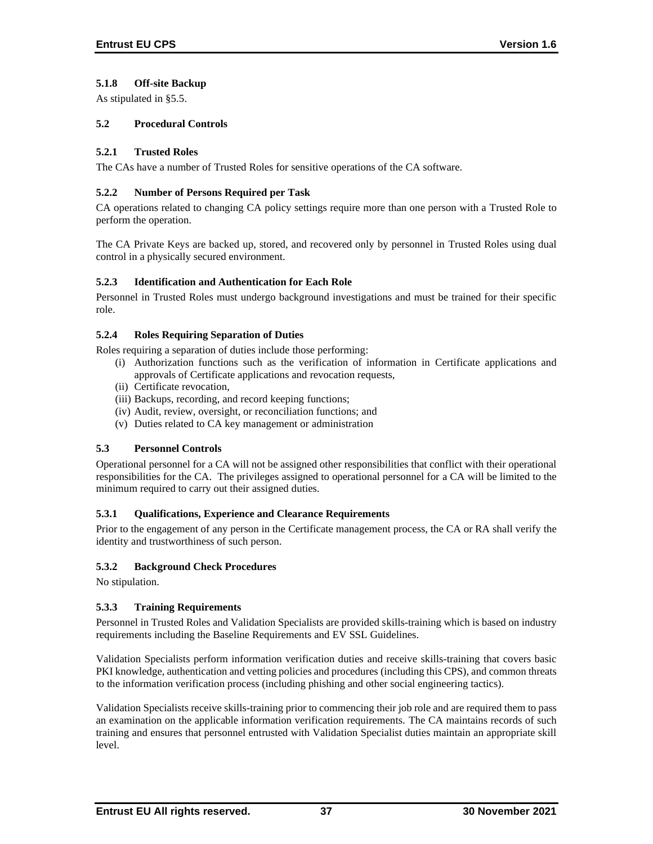# **5.1.8 Off-site Backup**

As stipulated in §5.5.

### **5.2 Procedural Controls**

### **5.2.1 Trusted Roles**

The CAs have a number of Trusted Roles for sensitive operations of the CA software.

### **5.2.2 Number of Persons Required per Task**

CA operations related to changing CA policy settings require more than one person with a Trusted Role to perform the operation.

The CA Private Keys are backed up, stored, and recovered only by personnel in Trusted Roles using dual control in a physically secured environment.

### **5.2.3 Identification and Authentication for Each Role**

Personnel in Trusted Roles must undergo background investigations and must be trained for their specific role.

### **5.2.4 Roles Requiring Separation of Duties**

Roles requiring a separation of duties include those performing:

- (i) Authorization functions such as the verification of information in Certificate applications and approvals of Certificate applications and revocation requests,
- (ii) Certificate revocation,
- (iii) Backups, recording, and record keeping functions;
- (iv) Audit, review, oversight, or reconciliation functions; and
- (v) Duties related to CA key management or administration

# **5.3 Personnel Controls**

Operational personnel for a CA will not be assigned other responsibilities that conflict with their operational responsibilities for the CA. The privileges assigned to operational personnel for a CA will be limited to the minimum required to carry out their assigned duties.

### **5.3.1 Qualifications, Experience and Clearance Requirements**

Prior to the engagement of any person in the Certificate management process, the CA or RA shall verify the identity and trustworthiness of such person.

# **5.3.2 Background Check Procedures**

No stipulation.

# **5.3.3 Training Requirements**

Personnel in Trusted Roles and Validation Specialists are provided skills-training which is based on industry requirements including the Baseline Requirements and EV SSL Guidelines.

Validation Specialists perform information verification duties and receive skills-training that covers basic PKI knowledge, authentication and vetting policies and procedures (including this CPS), and common threats to the information verification process (including phishing and other social engineering tactics).

Validation Specialists receive skills-training prior to commencing their job role and are required them to pass an examination on the applicable information verification requirements. The CA maintains records of such training and ensures that personnel entrusted with Validation Specialist duties maintain an appropriate skill level.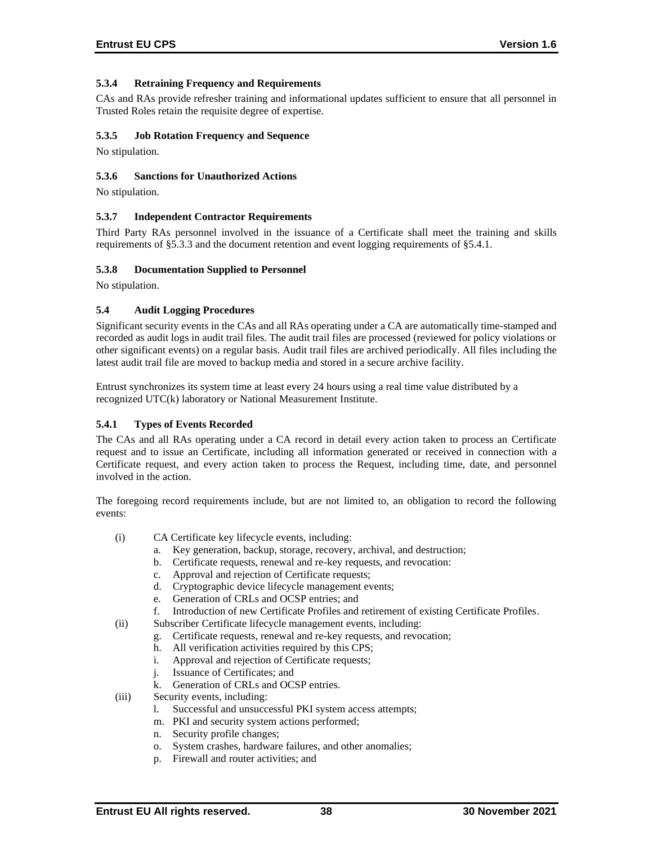# **5.3.4 Retraining Frequency and Requirements**

CAs and RAs provide refresher training and informational updates sufficient to ensure that all personnel in Trusted Roles retain the requisite degree of expertise.

# **5.3.5 Job Rotation Frequency and Sequence**

No stipulation.

### **5.3.6 Sanctions for Unauthorized Actions**

No stipulation.

### **5.3.7 Independent Contractor Requirements**

Third Party RAs personnel involved in the issuance of a Certificate shall meet the training and skills requirements of §5.3.3 and the document retention and event logging requirements of §5.4.1.

### **5.3.8 Documentation Supplied to Personnel**

No stipulation.

### **5.4 Audit Logging Procedures**

Significant security events in the CAs and all RAs operating under a CA are automatically time-stamped and recorded as audit logs in audit trail files. The audit trail files are processed (reviewed for policy violations or other significant events) on a regular basis. Audit trail files are archived periodically. All files including the latest audit trail file are moved to backup media and stored in a secure archive facility.

Entrust synchronizes its system time at least every 24 hours using a real time value distributed by a recognized UTC(k) laboratory or National Measurement Institute.

### **5.4.1 Types of Events Recorded**

The CAs and all RAs operating under a CA record in detail every action taken to process an Certificate request and to issue an Certificate, including all information generated or received in connection with a Certificate request, and every action taken to process the Request, including time, date, and personnel involved in the action.

The foregoing record requirements include, but are not limited to, an obligation to record the following events:

- (i) CA Certificate key lifecycle events, including:
	- a. Key generation, backup, storage, recovery, archival, and destruction;
	- b. Certificate requests, renewal and re-key requests, and revocation:
	- c. Approval and rejection of Certificate requests;
	- d. Cryptographic device lifecycle management events;
	- e. Generation of CRLs and OCSP entries; and
	- f. Introduction of new Certificate Profiles and retirement of existing Certificate Profiles.
- (ii) Subscriber Certificate lifecycle management events, including:
	- g. Certificate requests, renewal and re-key requests, and revocation;
	- h. All verification activities required by this CPS;
	- i. Approval and rejection of Certificate requests;
	- j. Issuance of Certificates; and
	- k. Generation of CRLs and OCSP entries.
- (iii) Security events, including:
	- l. Successful and unsuccessful PKI system access attempts;
	- m. PKI and security system actions performed;
	- n. Security profile changes;
	- o. System crashes, hardware failures, and other anomalies;
	- p. Firewall and router activities; and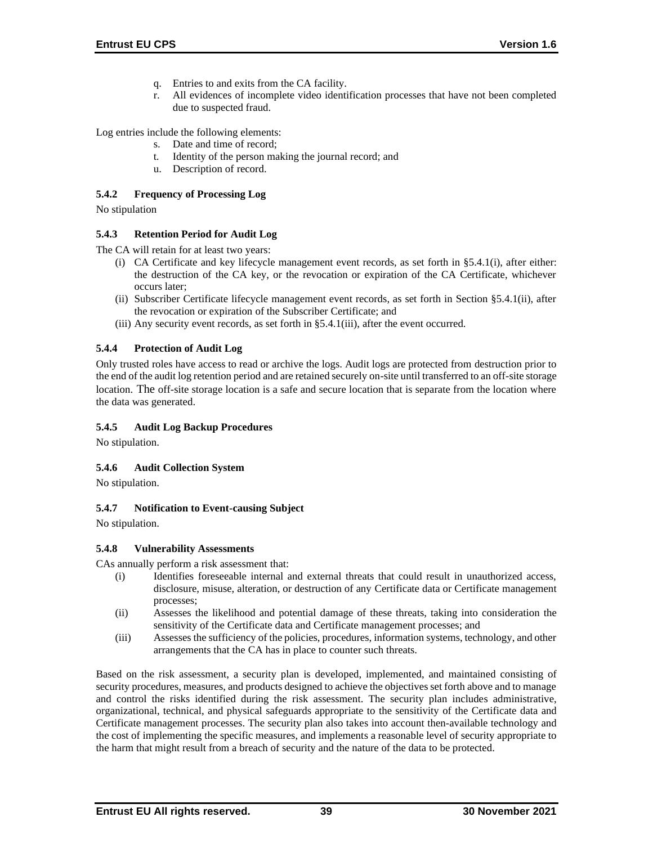- q. Entries to and exits from the CA facility.
- r. All evidences of incomplete video identification processes that have not been completed due to suspected fraud.

Log entries include the following elements:

- s. Date and time of record;
- t. Identity of the person making the journal record; and
- u. Description of record.

# **5.4.2 Frequency of Processing Log**

No stipulation

### **5.4.3 Retention Period for Audit Log**

The CA will retain for at least two years:

- (i) CA Certificate and key lifecycle management event records, as set forth in §5.4.1(i), after either: the destruction of the CA key, or the revocation or expiration of the CA Certificate, whichever occurs later;
- (ii) Subscriber Certificate lifecycle management event records, as set forth in Section §5.4.1(ii), after the revocation or expiration of the Subscriber Certificate; and
- (iii) Any security event records, as set forth in §5.4.1(iii), after the event occurred.

### **5.4.4 Protection of Audit Log**

Only trusted roles have access to read or archive the logs. Audit logs are protected from destruction prior to the end of the audit log retention period and are retained securely on-site until transferred to an off-site storage location. The off-site storage location is a safe and secure location that is separate from the location where the data was generated.

# **5.4.5 Audit Log Backup Procedures**

No stipulation.

# **5.4.6 Audit Collection System**

No stipulation.

### **5.4.7 Notification to Event-causing Subject**

No stipulation.

### **5.4.8 Vulnerability Assessments**

CAs annually perform a risk assessment that:

- (i) Identifies foreseeable internal and external threats that could result in unauthorized access, disclosure, misuse, alteration, or destruction of any Certificate data or Certificate management processes;
- (ii) Assesses the likelihood and potential damage of these threats, taking into consideration the sensitivity of the Certificate data and Certificate management processes; and
- (iii) Assesses the sufficiency of the policies, procedures, information systems, technology, and other arrangements that the CA has in place to counter such threats.

Based on the risk assessment, a security plan is developed, implemented, and maintained consisting of security procedures, measures, and products designed to achieve the objectives set forth above and to manage and control the risks identified during the risk assessment. The security plan includes administrative, organizational, technical, and physical safeguards appropriate to the sensitivity of the Certificate data and Certificate management processes. The security plan also takes into account then-available technology and the cost of implementing the specific measures, and implements a reasonable level of security appropriate to the harm that might result from a breach of security and the nature of the data to be protected.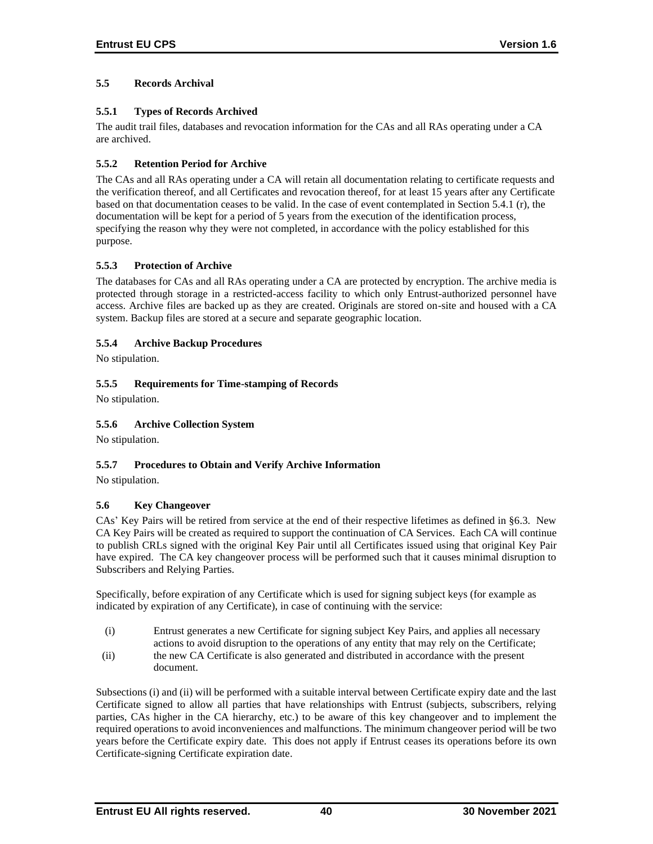# **5.5 Records Archival**

# **5.5.1 Types of Records Archived**

The audit trail files, databases and revocation information for the CAs and all RAs operating under a CA are archived.

# **5.5.2 Retention Period for Archive**

The CAs and all RAs operating under a CA will retain all documentation relating to certificate requests and the verification thereof, and all Certificates and revocation thereof, for at least 15 years after any Certificate based on that documentation ceases to be valid. In the case of event contemplated in Section 5.4.1 (r), the documentation will be kept for a period of 5 years from the execution of the identification process, specifying the reason why they were not completed, in accordance with the policy established for this purpose.

# **5.5.3 Protection of Archive**

The databases for CAs and all RAs operating under a CA are protected by encryption. The archive media is protected through storage in a restricted-access facility to which only Entrust-authorized personnel have access. Archive files are backed up as they are created. Originals are stored on-site and housed with a CA system. Backup files are stored at a secure and separate geographic location.

# **5.5.4 Archive Backup Procedures**

No stipulation.

# **5.5.5 Requirements for Time-stamping of Records**

No stipulation.

# **5.5.6 Archive Collection System**

No stipulation.

# **5.5.7 Procedures to Obtain and Verify Archive Information**

No stipulation.

# **5.6 Key Changeover**

CAs' Key Pairs will be retired from service at the end of their respective lifetimes as defined in §6.3. New CA Key Pairs will be created as required to support the continuation of CA Services. Each CA will continue to publish CRLs signed with the original Key Pair until all Certificates issued using that original Key Pair have expired. The CA key changeover process will be performed such that it causes minimal disruption to Subscribers and Relying Parties.

Specifically, before expiration of any Certificate which is used for signing subject keys (for example as indicated by expiration of any Certificate), in case of continuing with the service:

- (i) Entrust generates a new Certificate for signing subject Key Pairs, and applies all necessary actions to avoid disruption to the operations of any entity that may rely on the Certificate;
- (ii) the new CA Certificate is also generated and distributed in accordance with the present document.

Subsections (i) and (ii) will be performed with a suitable interval between Certificate expiry date and the last Certificate signed to allow all parties that have relationships with Entrust (subjects, subscribers, relying parties, CAs higher in the CA hierarchy, etc.) to be aware of this key changeover and to implement the required operations to avoid inconveniences and malfunctions. The minimum changeover period will be two years before the Certificate expiry date. This does not apply if Entrust ceases its operations before its own Certificate-signing Certificate expiration date.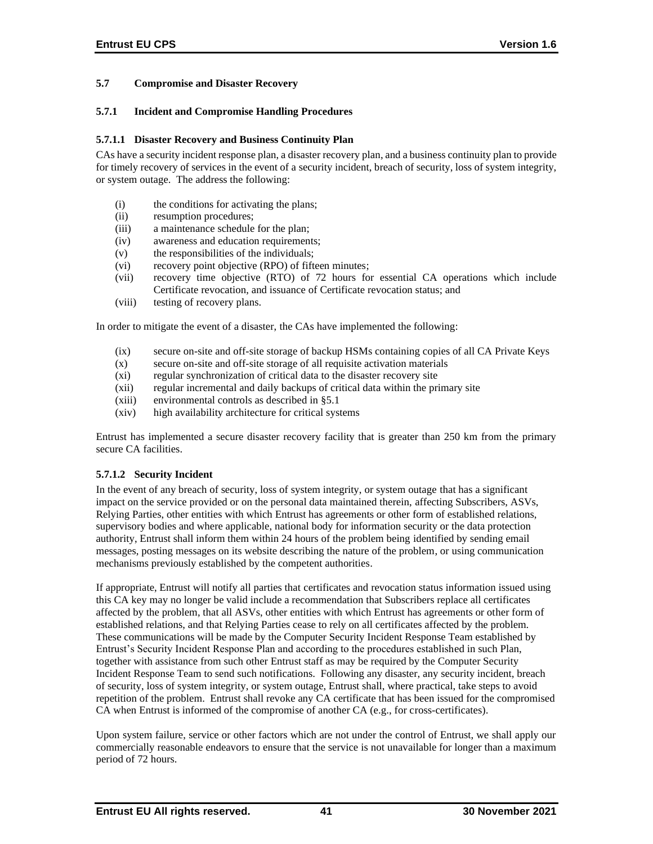# **5.7 Compromise and Disaster Recovery**

### **5.7.1 Incident and Compromise Handling Procedures**

### **5.7.1.1 Disaster Recovery and Business Continuity Plan**

CAs have a security incident response plan, a disaster recovery plan, and a business continuity plan to provide for timely recovery of services in the event of a security incident, breach of security, loss of system integrity, or system outage. The address the following:

- (i) the conditions for activating the plans;
- (ii) resumption procedures;
- (iii) a maintenance schedule for the plan;
- (iv) awareness and education requirements;
- (v) the responsibilities of the individuals;
- (vi) recovery point objective (RPO) of fifteen minutes;
- (vii) recovery time objective (RTO) of 72 hours for essential CA operations which include Certificate revocation, and issuance of Certificate revocation status; and
- (viii) testing of recovery plans.

In order to mitigate the event of a disaster, the CAs have implemented the following:

- (ix) secure on-site and off-site storage of backup HSMs containing copies of all CA Private Keys
- (x) secure on-site and off-site storage of all requisite activation materials
- (xi) regular synchronization of critical data to the disaster recovery site
- (xii) regular incremental and daily backups of critical data within the primary site
- (xiii) environmental controls as described in §5.1
- (xiv) high availability architecture for critical systems

Entrust has implemented a secure disaster recovery facility that is greater than 250 km from the primary secure CA facilities.

### **5.7.1.2 Security Incident**

In the event of any breach of security, loss of system integrity, or system outage that has a significant impact on the service provided or on the personal data maintained therein, affecting Subscribers, ASVs, Relying Parties, other entities with which Entrust has agreements or other form of established relations, supervisory bodies and where applicable, national body for information security or the data protection authority, Entrust shall inform them within 24 hours of the problem being identified by sending email messages, posting messages on its website describing the nature of the problem, or using communication mechanisms previously established by the competent authorities.

If appropriate, Entrust will notify all parties that certificates and revocation status information issued using this CA key may no longer be valid include a recommendation that Subscribers replace all certificates affected by the problem, that all ASVs, other entities with which Entrust has agreements or other form of established relations, and that Relying Parties cease to rely on all certificates affected by the problem. These communications will be made by the Computer Security Incident Response Team established by Entrust's Security Incident Response Plan and according to the procedures established in such Plan, together with assistance from such other Entrust staff as may be required by the Computer Security Incident Response Team to send such notifications. Following any disaster, any security incident, breach of security, loss of system integrity, or system outage, Entrust shall, where practical, take steps to avoid repetition of the problem. Entrust shall revoke any CA certificate that has been issued for the compromised CA when Entrust is informed of the compromise of another CA (e.g., for cross-certificates).

Upon system failure, service or other factors which are not under the control of Entrust, we shall apply our commercially reasonable endeavors to ensure that the service is not unavailable for longer than a maximum period of 72 hours.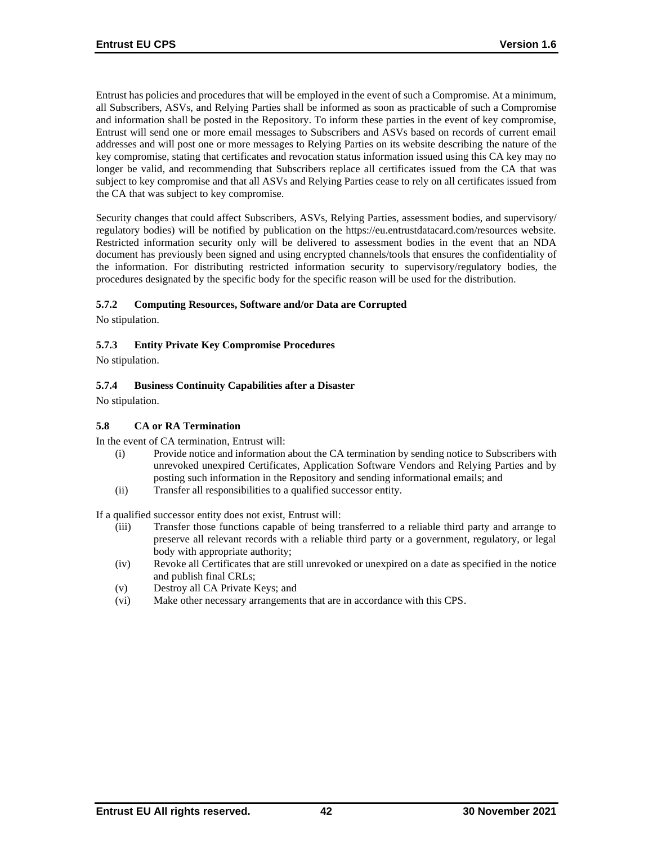Entrust has policies and procedures that will be employed in the event of such a Compromise. At a minimum, all Subscribers, ASVs, and Relying Parties shall be informed as soon as practicable of such a Compromise and information shall be posted in the Repository. To inform these parties in the event of key compromise, Entrust will send one or more email messages to Subscribers and ASVs based on records of current email addresses and will post one or more messages to Relying Parties on its website describing the nature of the key compromise, stating that certificates and revocation status information issued using this CA key may no longer be valid, and recommending that Subscribers replace all certificates issued from the CA that was subject to key compromise and that all ASVs and Relying Parties cease to rely on all certificates issued from the CA that was subject to key compromise.

Security changes that could affect Subscribers, ASVs, Relying Parties, assessment bodies, and supervisory/ regulatory bodies) will be notified by publication on the https://eu.entrustdatacard.com/resources website. Restricted information security only will be delivered to assessment bodies in the event that an NDA document has previously been signed and using encrypted channels/tools that ensures the confidentiality of the information. For distributing restricted information security to supervisory/regulatory bodies, the procedures designated by the specific body for the specific reason will be used for the distribution.

### **5.7.2 Computing Resources, Software and/or Data are Corrupted**

No stipulation.

### **5.7.3 Entity Private Key Compromise Procedures**

No stipulation.

### **5.7.4 Business Continuity Capabilities after a Disaster**

No stipulation.

### **5.8 CA or RA Termination**

In the event of CA termination, Entrust will:

- (i) Provide notice and information about the CA termination by sending notice to Subscribers with unrevoked unexpired Certificates, Application Software Vendors and Relying Parties and by posting such information in the Repository and sending informational emails; and
- (ii) Transfer all responsibilities to a qualified successor entity.

If a qualified successor entity does not exist, Entrust will:

- (iii) Transfer those functions capable of being transferred to a reliable third party and arrange to preserve all relevant records with a reliable third party or a government, regulatory, or legal body with appropriate authority;
- (iv) Revoke all Certificates that are still unrevoked or unexpired on a date as specified in the notice and publish final CRLs;
- (v) Destroy all CA Private Keys; and
- (vi) Make other necessary arrangements that are in accordance with this CPS.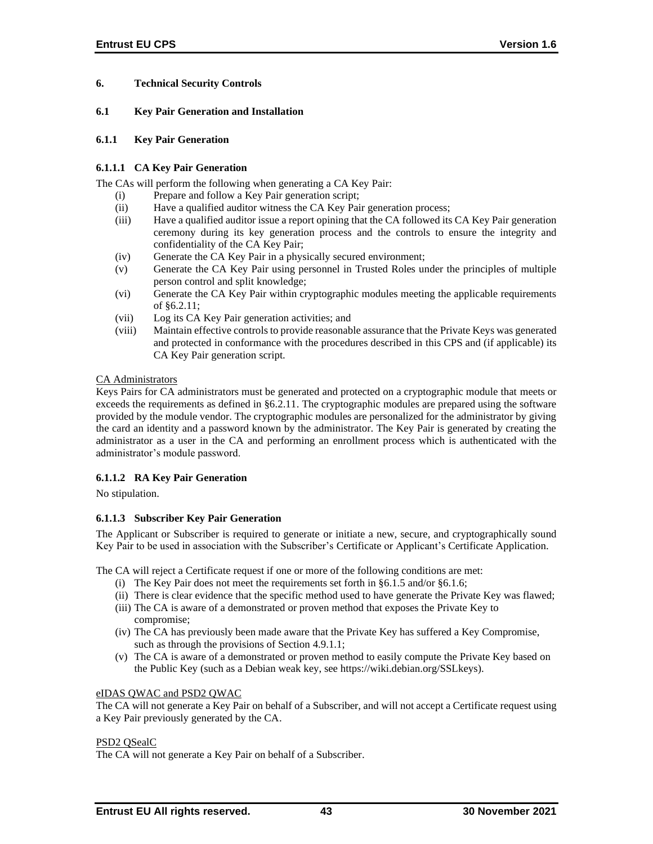# **6. Technical Security Controls**

### **6.1 Key Pair Generation and Installation**

### **6.1.1 Key Pair Generation**

# **6.1.1.1 CA Key Pair Generation**

The CAs will perform the following when generating a CA Key Pair:

- (i) Prepare and follow a Key Pair generation script;
- (ii) Have a qualified auditor witness the CA Key Pair generation process;
- (iii) Have a qualified auditor issue a report opining that the CA followed its CA Key Pair generation ceremony during its key generation process and the controls to ensure the integrity and confidentiality of the CA Key Pair;
- (iv) Generate the CA Key Pair in a physically secured environment;
- (v) Generate the CA Key Pair using personnel in Trusted Roles under the principles of multiple person control and split knowledge;
- (vi) Generate the CA Key Pair within cryptographic modules meeting the applicable requirements of §6.2.11;
- (vii) Log its CA Key Pair generation activities; and
- (viii) Maintain effective controls to provide reasonable assurance that the Private Keys was generated and protected in conformance with the procedures described in this CPS and (if applicable) its CA Key Pair generation script.

### CA Administrators

Keys Pairs for CA administrators must be generated and protected on a cryptographic module that meets or exceeds the requirements as defined in §6.2.11. The cryptographic modules are prepared using the software provided by the module vendor. The cryptographic modules are personalized for the administrator by giving the card an identity and a password known by the administrator. The Key Pair is generated by creating the administrator as a user in the CA and performing an enrollment process which is authenticated with the administrator's module password.

# **6.1.1.2 RA Key Pair Generation**

No stipulation.

# **6.1.1.3 Subscriber Key Pair Generation**

The Applicant or Subscriber is required to generate or initiate a new, secure, and cryptographically sound Key Pair to be used in association with the Subscriber's Certificate or Applicant's Certificate Application.

The CA will reject a Certificate request if one or more of the following conditions are met:

- (i) The Key Pair does not meet the requirements set forth in §6.1.5 and/or §6.1.6;
- (ii) There is clear evidence that the specific method used to have generate the Private Key was flawed;
- (iii) The CA is aware of a demonstrated or proven method that exposes the Private Key to compromise;
- (iv) The CA has previously been made aware that the Private Key has suffered a Key Compromise, such as through the provisions of Section 4.9.1.1;
- (v) The CA is aware of a demonstrated or proven method to easily compute the Private Key based on the Public Key (such as a Debian weak key, see https://wiki.debian.org/SSLkeys).

### eIDAS QWAC and PSD2 QWAC

The CA will not generate a Key Pair on behalf of a Subscriber, and will not accept a Certificate request using a Key Pair previously generated by the CA.

### PSD2 QSealC

The CA will not generate a Key Pair on behalf of a Subscriber.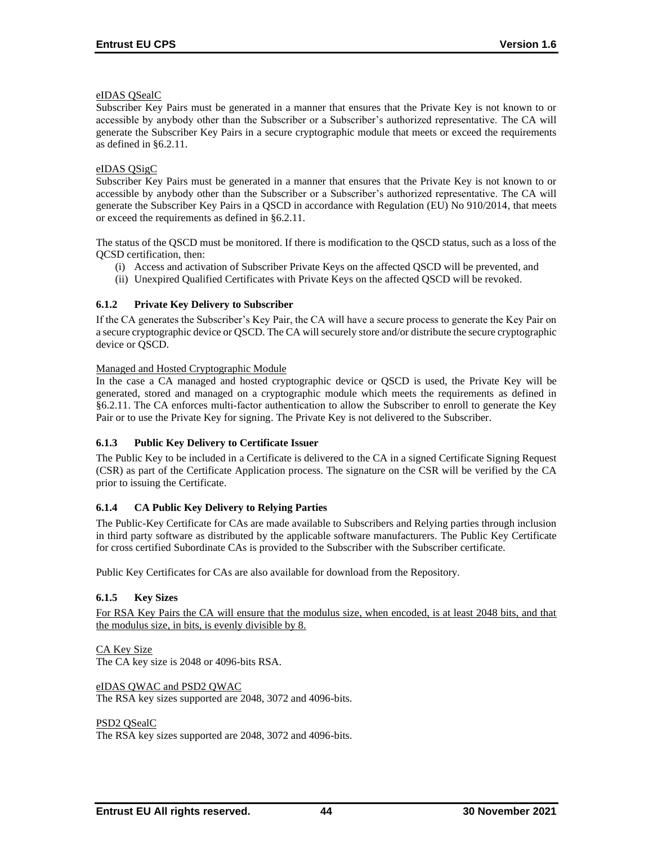### eIDAS QSealC

Subscriber Key Pairs must be generated in a manner that ensures that the Private Key is not known to or accessible by anybody other than the Subscriber or a Subscriber's authorized representative. The CA will generate the Subscriber Key Pairs in a secure cryptographic module that meets or exceed the requirements as defined in §6.2.11.

### eIDAS QSigC

Subscriber Key Pairs must be generated in a manner that ensures that the Private Key is not known to or accessible by anybody other than the Subscriber or a Subscriber's authorized representative. The CA will generate the Subscriber Key Pairs in a QSCD in accordance with Regulation (EU) No 910/2014, that meets or exceed the requirements as defined in §6.2.11.

The status of the QSCD must be monitored. If there is modification to the QSCD status, such as a loss of the QCSD certification, then:

- (i) Access and activation of Subscriber Private Keys on the affected QSCD will be prevented, and
- (ii) Unexpired Qualified Certificates with Private Keys on the affected QSCD will be revoked.

# **6.1.2 Private Key Delivery to Subscriber**

If the CA generates the Subscriber's Key Pair, the CA will have a secure process to generate the Key Pair on a secure cryptographic device or QSCD. The CA will securely store and/or distribute the secure cryptographic device or QSCD.

### Managed and Hosted Cryptographic Module

In the case a CA managed and hosted cryptographic device or QSCD is used, the Private Key will be generated, stored and managed on a cryptographic module which meets the requirements as defined in §6.2.11. The CA enforces multi‐factor authentication to allow the Subscriber to enroll to generate the Key Pair or to use the Private Key for signing. The Private Key is not delivered to the Subscriber.

# **6.1.3 Public Key Delivery to Certificate Issuer**

The Public Key to be included in a Certificate is delivered to the CA in a signed Certificate Signing Request (CSR) as part of the Certificate Application process. The signature on the CSR will be verified by the CA prior to issuing the Certificate.

# **6.1.4 CA Public Key Delivery to Relying Parties**

The Public-Key Certificate for CAs are made available to Subscribers and Relying parties through inclusion in third party software as distributed by the applicable software manufacturers. The Public Key Certificate for cross certified Subordinate CAs is provided to the Subscriber with the Subscriber certificate.

Public Key Certificates for CAs are also available for download from the Repository.

# **6.1.5 Key Sizes**

For RSA Key Pairs the CA will ensure that the modulus size, when encoded, is at least 2048 bits, and that the modulus size, in bits, is evenly divisible by 8.

CA Key Size The CA key size is 2048 or 4096-bits RSA.

eIDAS QWAC and PSD2 QWAC The RSA key sizes supported are 2048, 3072 and 4096-bits.

PSD2 QSealC

The RSA key sizes supported are 2048, 3072 and 4096-bits.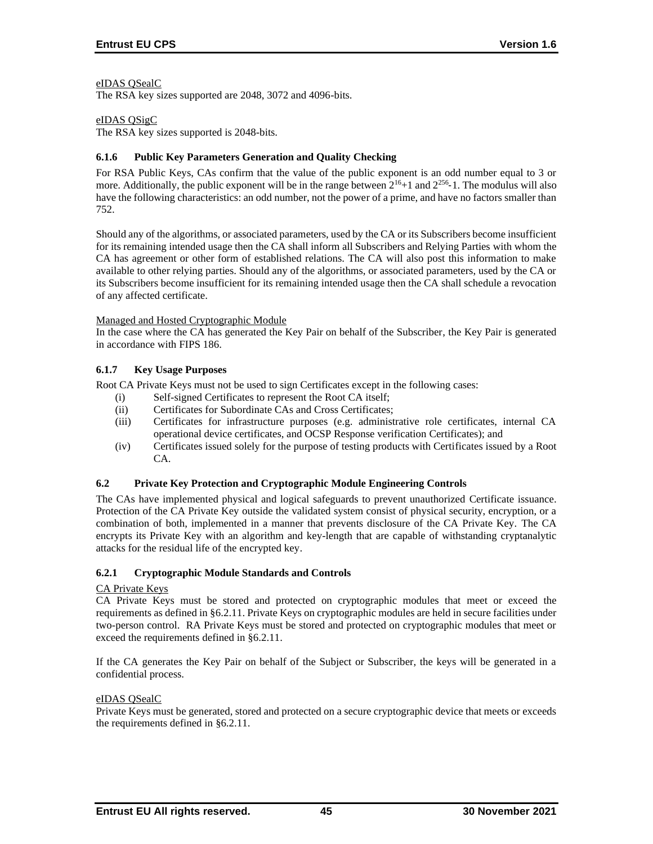### eIDAS QSealC

The RSA key sizes supported are 2048, 3072 and 4096-bits.

### eIDAS QSigC

The RSA key sizes supported is 2048-bits.

### **6.1.6 Public Key Parameters Generation and Quality Checking**

For RSA Public Keys, CAs confirm that the value of the public exponent is an odd number equal to 3 or more. Additionally, the public exponent will be in the range between  $2^{16}+1$  and  $2^{256}$ -1. The modulus will also have the following characteristics: an odd number, not the power of a prime, and have no factors smaller than 752.

Should any of the algorithms, or associated parameters, used by the CA or its Subscribers become insufficient for its remaining intended usage then the CA shall inform all Subscribers and Relying Parties with whom the CA has agreement or other form of established relations. The CA will also post this information to make available to other relying parties. Should any of the algorithms, or associated parameters, used by the CA or its Subscribers become insufficient for its remaining intended usage then the CA shall schedule a revocation of any affected certificate.

#### Managed and Hosted Cryptographic Module

In the case where the CA has generated the Key Pair on behalf of the Subscriber, the Key Pair is generated in accordance with FIPS 186.

### **6.1.7 Key Usage Purposes**

Root CA Private Keys must not be used to sign Certificates except in the following cases:

- (i) Self-signed Certificates to represent the Root CA itself;
- (ii) Certificates for Subordinate CAs and Cross Certificates;
- (iii) Certificates for infrastructure purposes (e.g. administrative role certificates, internal CA operational device certificates, and OCSP Response verification Certificates); and
- (iv) Certificates issued solely for the purpose of testing products with Certificates issued by a Root CA.

### **6.2 Private Key Protection and Cryptographic Module Engineering Controls**

The CAs have implemented physical and logical safeguards to prevent unauthorized Certificate issuance. Protection of the CA Private Key outside the validated system consist of physical security, encryption, or a combination of both, implemented in a manner that prevents disclosure of the CA Private Key. The CA encrypts its Private Key with an algorithm and key-length that are capable of withstanding cryptanalytic attacks for the residual life of the encrypted key.

### **6.2.1 Cryptographic Module Standards and Controls**

#### CA Private Keys

CA Private Keys must be stored and protected on cryptographic modules that meet or exceed the requirements as defined in §6.2.11. Private Keys on cryptographic modules are held in secure facilities under two-person control. RA Private Keys must be stored and protected on cryptographic modules that meet or exceed the requirements defined in §6.2.11.

If the CA generates the Key Pair on behalf of the Subject or Subscriber, the keys will be generated in a confidential process.

#### eIDAS QSealC

Private Keys must be generated, stored and protected on a secure cryptographic device that meets or exceeds the requirements defined in §6.2.11.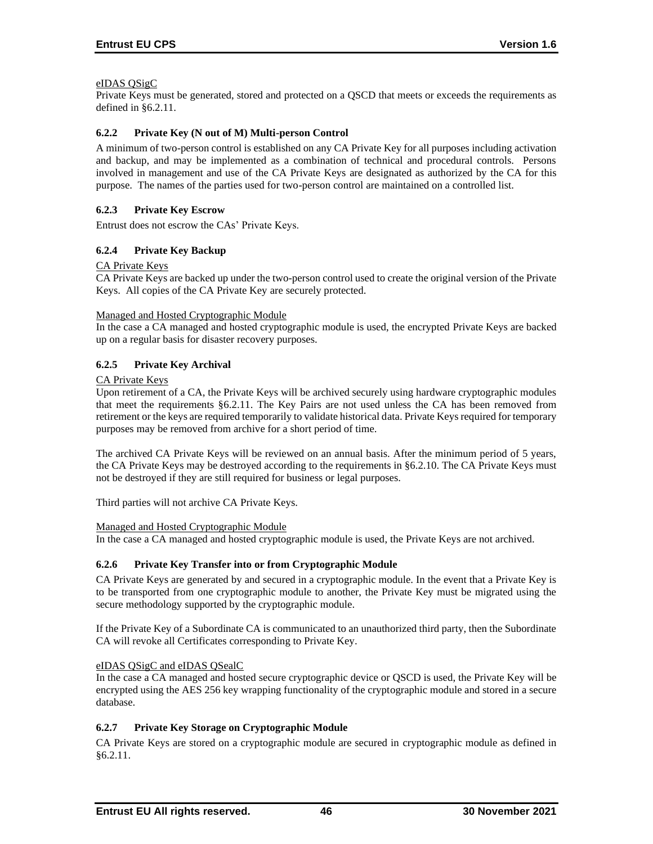### eIDAS QSigC

Private Keys must be generated, stored and protected on a QSCD that meets or exceeds the requirements as defined in §6.2.11.

### **6.2.2 Private Key (N out of M) Multi-person Control**

A minimum of two-person control is established on any CA Private Key for all purposes including activation and backup, and may be implemented as a combination of technical and procedural controls. Persons involved in management and use of the CA Private Keys are designated as authorized by the CA for this purpose. The names of the parties used for two-person control are maintained on a controlled list.

### **6.2.3 Private Key Escrow**

Entrust does not escrow the CAs' Private Keys.

### **6.2.4 Private Key Backup**

### CA Private Keys

CA Private Keys are backed up under the two-person control used to create the original version of the Private Keys. All copies of the CA Private Key are securely protected.

#### Managed and Hosted Cryptographic Module

In the case a CA managed and hosted cryptographic module is used, the encrypted Private Keys are backed up on a regular basis for disaster recovery purposes.

### **6.2.5 Private Key Archival**

### CA Private Keys

Upon retirement of a CA, the Private Keys will be archived securely using hardware cryptographic modules that meet the requirements §6.2.11. The Key Pairs are not used unless the CA has been removed from retirement or the keys are required temporarily to validate historical data. Private Keys required for temporary purposes may be removed from archive for a short period of time.

The archived CA Private Keys will be reviewed on an annual basis. After the minimum period of 5 years, the CA Private Keys may be destroyed according to the requirements in §6.2.10. The CA Private Keys must not be destroyed if they are still required for business or legal purposes.

Third parties will not archive CA Private Keys.

### Managed and Hosted Cryptographic Module

In the case a CA managed and hosted cryptographic module is used, the Private Keys are not archived.

### **6.2.6 Private Key Transfer into or from Cryptographic Module**

CA Private Keys are generated by and secured in a cryptographic module. In the event that a Private Key is to be transported from one cryptographic module to another, the Private Key must be migrated using the secure methodology supported by the cryptographic module.

If the Private Key of a Subordinate CA is communicated to an unauthorized third party, then the Subordinate CA will revoke all Certificates corresponding to Private Key.

### eIDAS QSigC and eIDAS QSealC

In the case a CA managed and hosted secure cryptographic device or QSCD is used, the Private Key will be encrypted using the AES 256 key wrapping functionality of the cryptographic module and stored in a secure database.

### **6.2.7 Private Key Storage on Cryptographic Module**

CA Private Keys are stored on a cryptographic module are secured in cryptographic module as defined in §6.2.11.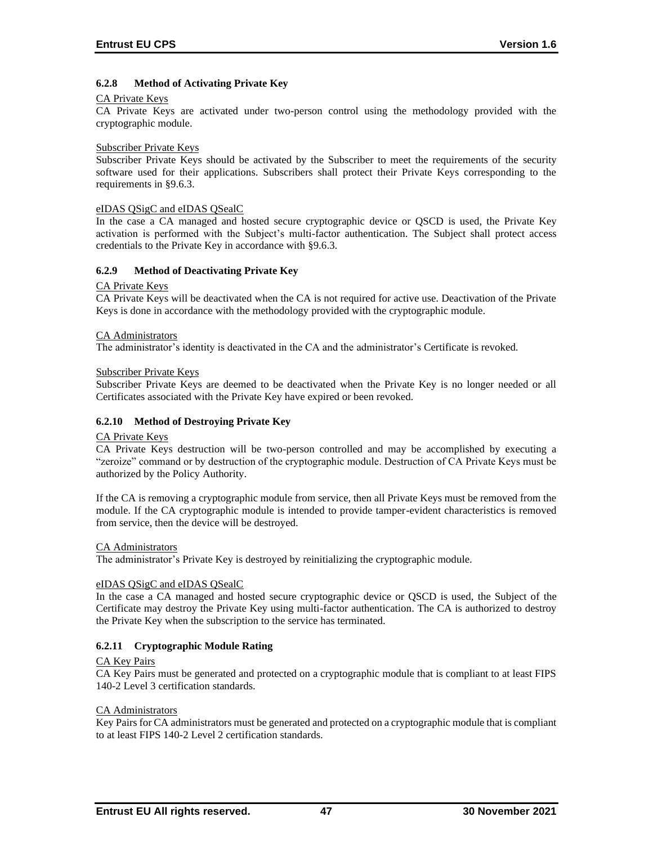# **6.2.8 Method of Activating Private Key**

### CA Private Keys

CA Private Keys are activated under two-person control using the methodology provided with the cryptographic module.

#### Subscriber Private Keys

Subscriber Private Keys should be activated by the Subscriber to meet the requirements of the security software used for their applications. Subscribers shall protect their Private Keys corresponding to the requirements in §9.6.3.

#### eIDAS QSigC and eIDAS QSealC

In the case a CA managed and hosted secure cryptographic device or QSCD is used, the Private Key activation is performed with the Subject's multi-factor authentication. The Subject shall protect access credentials to the Private Key in accordance with §9.6.3.

#### **6.2.9 Method of Deactivating Private Key**

#### CA Private Keys

CA Private Keys will be deactivated when the CA is not required for active use. Deactivation of the Private Keys is done in accordance with the methodology provided with the cryptographic module.

#### CA Administrators

The administrator's identity is deactivated in the CA and the administrator's Certificate is revoked.

#### Subscriber Private Keys

Subscriber Private Keys are deemed to be deactivated when the Private Key is no longer needed or all Certificates associated with the Private Key have expired or been revoked.

### **6.2.10 Method of Destroying Private Key**

### CA Private Keys

CA Private Keys destruction will be two-person controlled and may be accomplished by executing a "zeroize" command or by destruction of the cryptographic module. Destruction of CA Private Keys must be authorized by the Policy Authority.

If the CA is removing a cryptographic module from service, then all Private Keys must be removed from the module. If the CA cryptographic module is intended to provide tamper-evident characteristics is removed from service, then the device will be destroyed.

#### CA Administrators

The administrator's Private Key is destroyed by reinitializing the cryptographic module.

### eIDAS QSigC and eIDAS QSealC

In the case a CA managed and hosted secure cryptographic device or QSCD is used, the Subject of the Certificate may destroy the Private Key using multi-factor authentication. The CA is authorized to destroy the Private Key when the subscription to the service has terminated.

### **6.2.11 Cryptographic Module Rating**

#### CA Key Pairs

CA Key Pairs must be generated and protected on a cryptographic module that is compliant to at least FIPS 140-2 Level 3 certification standards.

#### CA Administrators

Key Pairs for CA administrators must be generated and protected on a cryptographic module that is compliant to at least FIPS 140-2 Level 2 certification standards.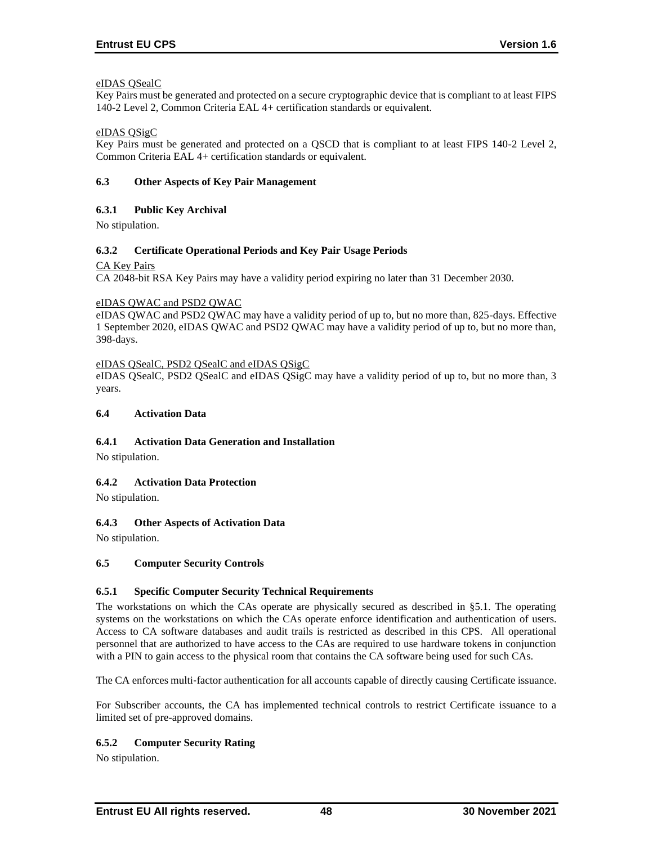### eIDAS QSealC

Key Pairs must be generated and protected on a secure cryptographic device that is compliant to at least FIPS 140-2 Level 2, Common Criteria EAL 4+ certification standards or equivalent.

### eIDAS QSigC

Key Pairs must be generated and protected on a QSCD that is compliant to at least FIPS 140-2 Level 2, Common Criteria EAL 4+ certification standards or equivalent.

### **6.3 Other Aspects of Key Pair Management**

### **6.3.1 Public Key Archival**

No stipulation.

### **6.3.2 Certificate Operational Periods and Key Pair Usage Periods**

### CA Key Pairs

CA 2048-bit RSA Key Pairs may have a validity period expiring no later than 31 December 2030.

### eIDAS QWAC and PSD2 QWAC

eIDAS QWAC and PSD2 QWAC may have a validity period of up to, but no more than, 825-days. Effective 1 September 2020, eIDAS QWAC and PSD2 QWAC may have a validity period of up to, but no more than, 398-days.

### eIDAS QSealC, PSD2 QSealC and eIDAS QSigC

eIDAS QSealC, PSD2 QSealC and eIDAS QSigC may have a validity period of up to, but no more than, 3 years.

### **6.4 Activation Data**

# **6.4.1 Activation Data Generation and Installation**

No stipulation.

# **6.4.2 Activation Data Protection**

No stipulation.

# **6.4.3 Other Aspects of Activation Data**

No stipulation.

### **6.5 Computer Security Controls**

# **6.5.1 Specific Computer Security Technical Requirements**

The workstations on which the CAs operate are physically secured as described in §5.1. The operating systems on the workstations on which the CAs operate enforce identification and authentication of users. Access to CA software databases and audit trails is restricted as described in this CPS. All operational personnel that are authorized to have access to the CAs are required to use hardware tokens in conjunction with a PIN to gain access to the physical room that contains the CA software being used for such CAs.

The CA enforces multi-factor authentication for all accounts capable of directly causing Certificate issuance.

For Subscriber accounts, the CA has implemented technical controls to restrict Certificate issuance to a limited set of pre-approved domains.

# **6.5.2 Computer Security Rating**

No stipulation.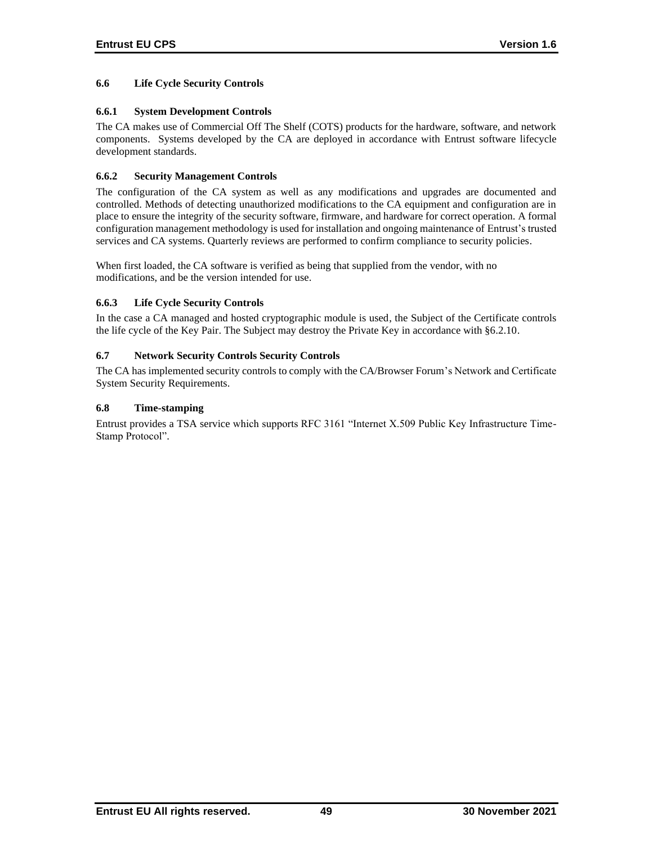# **6.6 Life Cycle Security Controls**

# **6.6.1 System Development Controls**

The CA makes use of Commercial Off The Shelf (COTS) products for the hardware, software, and network components. Systems developed by the CA are deployed in accordance with Entrust software lifecycle development standards.

# **6.6.2 Security Management Controls**

The configuration of the CA system as well as any modifications and upgrades are documented and controlled. Methods of detecting unauthorized modifications to the CA equipment and configuration are in place to ensure the integrity of the security software, firmware, and hardware for correct operation. A formal configuration management methodology is used for installation and ongoing maintenance of Entrust's trusted services and CA systems. Quarterly reviews are performed to confirm compliance to security policies.

When first loaded, the CA software is verified as being that supplied from the vendor, with no modifications, and be the version intended for use.

# **6.6.3 Life Cycle Security Controls**

In the case a CA managed and hosted cryptographic module is used, the Subject of the Certificate controls the life cycle of the Key Pair. The Subject may destroy the Private Key in accordance with §6.2.10.

# **6.7 Network Security Controls Security Controls**

The CA has implemented security controls to comply with the CA/Browser Forum's Network and Certificate System Security Requirements.

# **6.8 Time-stamping**

Entrust provides a TSA service which supports RFC 3161 "Internet X.509 Public Key Infrastructure Time-Stamp Protocol".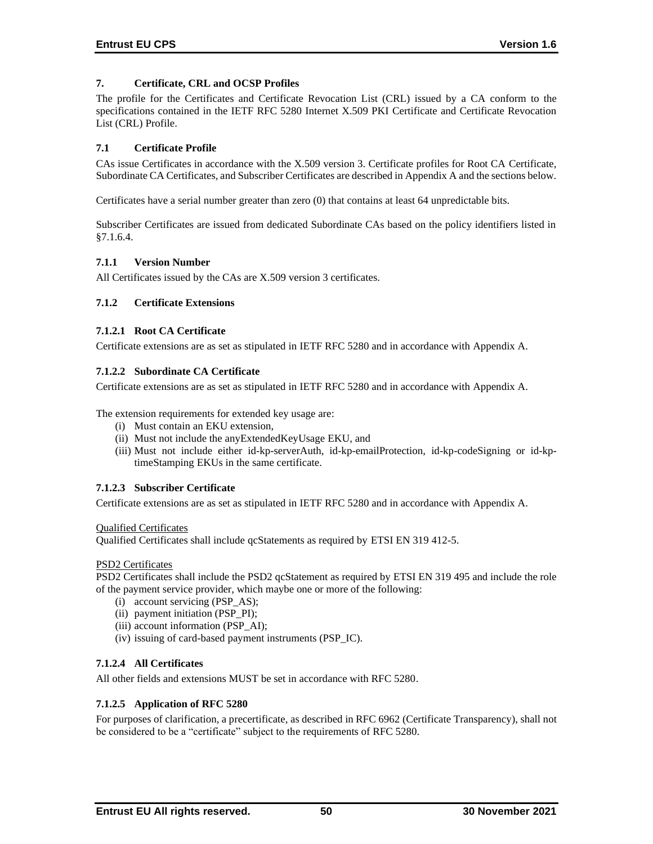# **7. Certificate, CRL and OCSP Profiles**

The profile for the Certificates and Certificate Revocation List (CRL) issued by a CA conform to the specifications contained in the IETF RFC 5280 Internet X.509 PKI Certificate and Certificate Revocation List (CRL) Profile.

### **7.1 Certificate Profile**

CAs issue Certificates in accordance with the X.509 version 3. Certificate profiles for Root CA Certificate, Subordinate CA Certificates, and Subscriber Certificates are described in Appendix A and the sections below.

Certificates have a serial number greater than zero (0) that contains at least 64 unpredictable bits.

Subscriber Certificates are issued from dedicated Subordinate CAs based on the policy identifiers listed in §7.1.6.4.

### **7.1.1 Version Number**

All Certificates issued by the CAs are X.509 version 3 certificates.

### **7.1.2 Certificate Extensions**

### **7.1.2.1 Root CA Certificate**

Certificate extensions are as set as stipulated in IETF RFC 5280 and in accordance with Appendix A.

### **7.1.2.2 Subordinate CA Certificate**

Certificate extensions are as set as stipulated in IETF RFC 5280 and in accordance with Appendix A.

The extension requirements for extended key usage are:

- (i) Must contain an EKU extension,
- (ii) Must not include the anyExtendedKeyUsage EKU, and
- (iii) Must not include either id-kp-serverAuth, id-kp-emailProtection, id-kp-codeSigning or id-kptimeStamping EKUs in the same certificate.

### **7.1.2.3 Subscriber Certificate**

Certificate extensions are as set as stipulated in IETF RFC 5280 and in accordance with Appendix A.

#### Qualified Certificates

Qualified Certificates shall include qcStatements as required by ETSI EN 319 412-5.

### PSD2 Certificates

PSD2 Certificates shall include the PSD2 qcStatement as required by ETSI EN 319 495 and include the role of the payment service provider, which maybe one or more of the following:

- (i) account servicing (PSP\_AS);
- (ii) payment initiation (PSP\_PI);
- (iii) account information (PSP\_AI);
- (iv) issuing of card-based payment instruments (PSP\_IC).

### **7.1.2.4 All Certificates**

All other fields and extensions MUST be set in accordance with RFC 5280.

### **7.1.2.5 Application of RFC 5280**

For purposes of clarification, a precertificate, as described in RFC 6962 (Certificate Transparency), shall not be considered to be a "certificate" subject to the requirements of RFC 5280.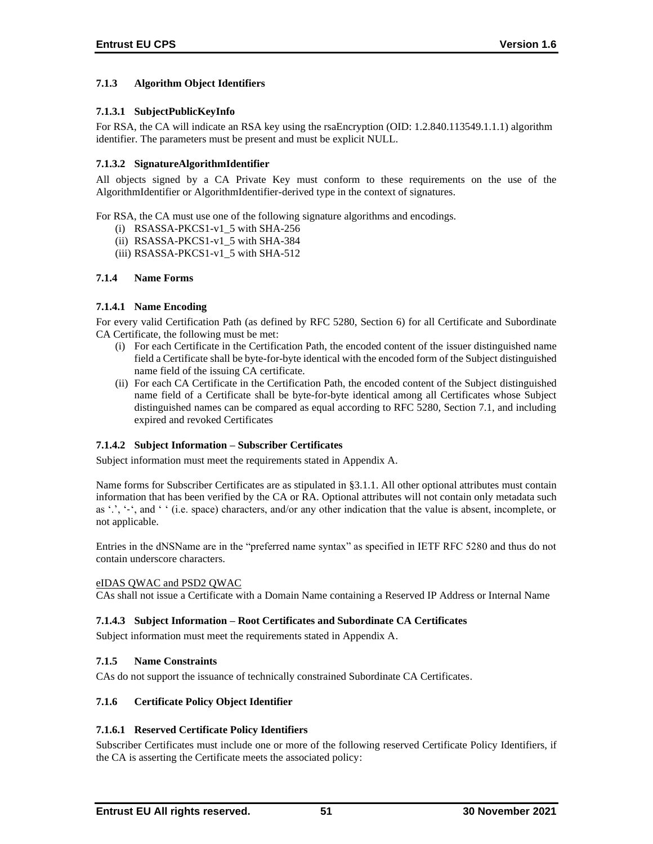# **7.1.3 Algorithm Object Identifiers**

# **7.1.3.1 SubjectPublicKeyInfo**

For RSA, the CA will indicate an RSA key using the rsaEncryption (OID: 1.2.840.113549.1.1.1) algorithm identifier. The parameters must be present and must be explicit NULL.

# **7.1.3.2 SignatureAlgorithmIdentifier**

All objects signed by a CA Private Key must conform to these requirements on the use of the AlgorithmIdentifier or AlgorithmIdentifier-derived type in the context of signatures.

For RSA, the CA must use one of the following signature algorithms and encodings.

- (i) RSASSA-PKCS1-v1\_5 with SHA-256
- (ii) RSASSA-PKCS1-v1\_5 with SHA-384
- (iii) RSASSA-PKCS1-v1\_5 with SHA-512

### **7.1.4 Name Forms**

### **7.1.4.1 Name Encoding**

For every valid Certification Path (as defined by RFC 5280, Section 6) for all Certificate and Subordinate CA Certificate, the following must be met:

- (i) For each Certificate in the Certification Path, the encoded content of the issuer distinguished name field a Certificate shall be byte-for-byte identical with the encoded form of the Subject distinguished name field of the issuing CA certificate.
- (ii) For each CA Certificate in the Certification Path, the encoded content of the Subject distinguished name field of a Certificate shall be byte-for-byte identical among all Certificates whose Subject distinguished names can be compared as equal according to RFC 5280, Section 7.1, and including expired and revoked Certificates

# **7.1.4.2 Subject Information – Subscriber Certificates**

Subject information must meet the requirements stated in Appendix A.

Name forms for Subscriber Certificates are as stipulated in §3.1.1. All other optional attributes must contain information that has been verified by the CA or RA. Optional attributes will not contain only metadata such as '.', '-', and ' ' (i.e. space) characters, and/or any other indication that the value is absent, incomplete, or not applicable.

Entries in the dNSName are in the "preferred name syntax" as specified in IETF RFC 5280 and thus do not contain underscore characters.

### eIDAS QWAC and PSD2 QWAC

CAs shall not issue a Certificate with a Domain Name containing a Reserved IP Address or Internal Name

### **7.1.4.3 Subject Information – Root Certificates and Subordinate CA Certificates**

Subject information must meet the requirements stated in Appendix A.

### **7.1.5 Name Constraints**

CAs do not support the issuance of technically constrained Subordinate CA Certificates.

### **7.1.6 Certificate Policy Object Identifier**

# **7.1.6.1 Reserved Certificate Policy Identifiers**

Subscriber Certificates must include one or more of the following reserved Certificate Policy Identifiers, if the CA is asserting the Certificate meets the associated policy: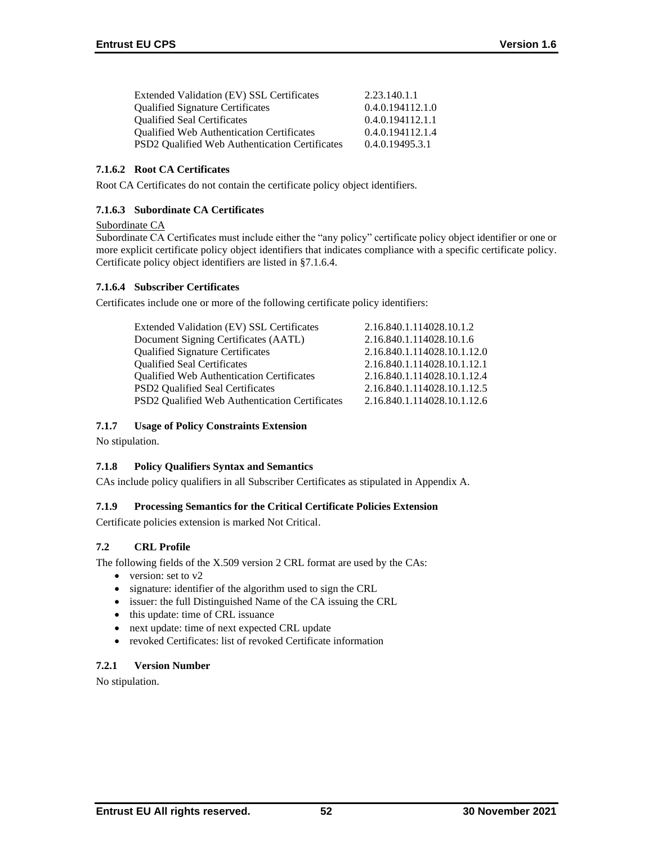| Extended Validation (EV) SSL Certificates             | 2.23.140.1.1     |
|-------------------------------------------------------|------------------|
| <b>Qualified Signature Certificates</b>               | 0.4.0.194112.1.0 |
| <b>Oualified Seal Certificates</b>                    | 0.4.0.194112.1.1 |
| <b>Oualified Web Authentication Certificates</b>      | 0.4.0.194112.1.4 |
| <b>PSD2</b> Oualified Web Authentication Certificates | 0.4.0.19495.3.1  |

# **7.1.6.2 Root CA Certificates**

Root CA Certificates do not contain the certificate policy object identifiers.

# **7.1.6.3 Subordinate CA Certificates**

### Subordinate CA

Subordinate CA Certificates must include either the "any policy" certificate policy object identifier or one or more explicit certificate policy object identifiers that indicates compliance with a specific certificate policy. Certificate policy object identifiers are listed in §7.1.6.4.

# **7.1.6.4 Subscriber Certificates**

Certificates include one or more of the following certificate policy identifiers:

| Extended Validation (EV) SSL Certificates                  | 2.16.840.1.114028.10.1.2    |
|------------------------------------------------------------|-----------------------------|
| Document Signing Certificates (AATL)                       | 2.16.840.1.114028.10.1.6    |
| <b>Qualified Signature Certificates</b>                    | 2.16.840.1.114028.10.1.12.0 |
| <b>Qualified Seal Certificates</b>                         | 2.16.840.1.114028.10.1.12.1 |
| <b>Qualified Web Authentication Certificates</b>           | 2.16.840.1.114028.10.1.12.4 |
| <b>PSD2</b> Qualified Seal Certificates                    | 2.16.840.1.114028.10.1.12.5 |
| PSD <sub>2</sub> Qualified Web Authentication Certificates | 2.16.840.1.114028.10.1.12.6 |
|                                                            |                             |

# **7.1.7 Usage of Policy Constraints Extension**

No stipulation.

# **7.1.8 Policy Qualifiers Syntax and Semantics**

CAs include policy qualifiers in all Subscriber Certificates as stipulated in Appendix A.

# **7.1.9 Processing Semantics for the Critical Certificate Policies Extension**

Certificate policies extension is marked Not Critical.

# **7.2 CRL Profile**

The following fields of the X.509 version 2 CRL format are used by the CAs:

- version: set to v2
- signature: identifier of the algorithm used to sign the CRL
- issuer: the full Distinguished Name of the CA issuing the CRL
- this update: time of CRL issuance
- next update: time of next expected CRL update
- revoked Certificates: list of revoked Certificate information

# **7.2.1 Version Number**

No stipulation.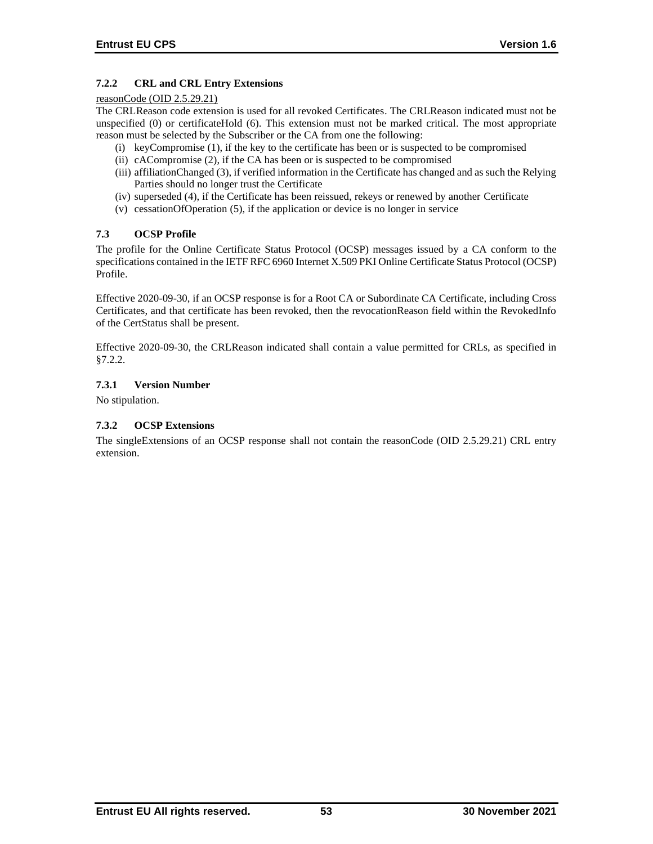# **7.2.2 CRL and CRL Entry Extensions**

### reasonCode (OID 2.5.29.21)

The CRLReason code extension is used for all revoked Certificates. The CRLReason indicated must not be unspecified (0) or certificateHold (6). This extension must not be marked critical. The most appropriate reason must be selected by the Subscriber or the CA from one the following:

- (i) keyCompromise (1), if the key to the certificate has been or is suspected to be compromised
- (ii) cACompromise (2), if the CA has been or is suspected to be compromised
- (iii) affiliationChanged (3), if verified information in the Certificate has changed and as such the Relying Parties should no longer trust the Certificate
- (iv) superseded (4), if the Certificate has been reissued, rekeys or renewed by another Certificate
- (v) cessationOfOperation (5), if the application or device is no longer in service

# **7.3 OCSP Profile**

The profile for the Online Certificate Status Protocol (OCSP) messages issued by a CA conform to the specifications contained in the IETF RFC 6960 Internet X.509 PKI Online Certificate Status Protocol (OCSP) Profile.

Effective 2020-09-30, if an OCSP response is for a Root CA or Subordinate CA Certificate, including Cross Certificates, and that certificate has been revoked, then the revocationReason field within the RevokedInfo of the CertStatus shall be present.

Effective 2020-09-30, the CRLReason indicated shall contain a value permitted for CRLs, as specified in §7.2.2.

# **7.3.1 Version Number**

No stipulation.

# **7.3.2 OCSP Extensions**

The singleExtensions of an OCSP response shall not contain the reasonCode (OID 2.5.29.21) CRL entry extension.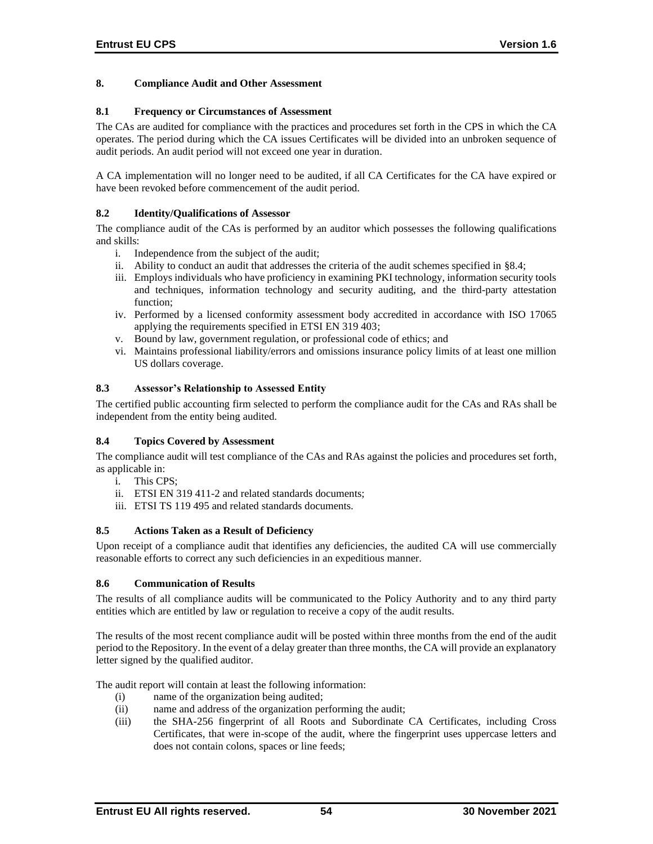### **8. Compliance Audit and Other Assessment**

### **8.1 Frequency or Circumstances of Assessment**

The CAs are audited for compliance with the practices and procedures set forth in the CPS in which the CA operates. The period during which the CA issues Certificates will be divided into an unbroken sequence of audit periods. An audit period will not exceed one year in duration.

A CA implementation will no longer need to be audited, if all CA Certificates for the CA have expired or have been revoked before commencement of the audit period.

### **8.2 Identity/Qualifications of Assessor**

The compliance audit of the CAs is performed by an auditor which possesses the following qualifications and skills:

- i. Independence from the subject of the audit;
- ii. Ability to conduct an audit that addresses the criteria of the audit schemes specified in §8.4;
- iii. Employs individuals who have proficiency in examining PKI technology, information security tools and techniques, information technology and security auditing, and the third-party attestation function;
- iv. Performed by a licensed conformity assessment body accredited in accordance with ISO 17065 applying the requirements specified in ETSI EN 319 403;
- v. Bound by law, government regulation, or professional code of ethics; and
- vi. Maintains professional liability/errors and omissions insurance policy limits of at least one million US dollars coverage.

### **8.3 Assessor's Relationship to Assessed Entity**

The certified public accounting firm selected to perform the compliance audit for the CAs and RAs shall be independent from the entity being audited.

### **8.4 Topics Covered by Assessment**

The compliance audit will test compliance of the CAs and RAs against the policies and procedures set forth, as applicable in:

- i. This CPS;
- ii. ETSI EN 319 411-2 and related standards documents;
- iii. ETSI TS 119 495 and related standards documents.

### **8.5 Actions Taken as a Result of Deficiency**

Upon receipt of a compliance audit that identifies any deficiencies, the audited CA will use commercially reasonable efforts to correct any such deficiencies in an expeditious manner.

### **8.6 Communication of Results**

The results of all compliance audits will be communicated to the Policy Authority and to any third party entities which are entitled by law or regulation to receive a copy of the audit results.

The results of the most recent compliance audit will be posted within three months from the end of the audit period to the Repository. In the event of a delay greater than three months, the CA will provide an explanatory letter signed by the qualified auditor.

The audit report will contain at least the following information:

- (i) name of the organization being audited;
- (ii) name and address of the organization performing the audit;
- (iii) the SHA-256 fingerprint of all Roots and Subordinate CA Certificates, including Cross Certificates, that were in-scope of the audit, where the fingerprint uses uppercase letters and does not contain colons, spaces or line feeds;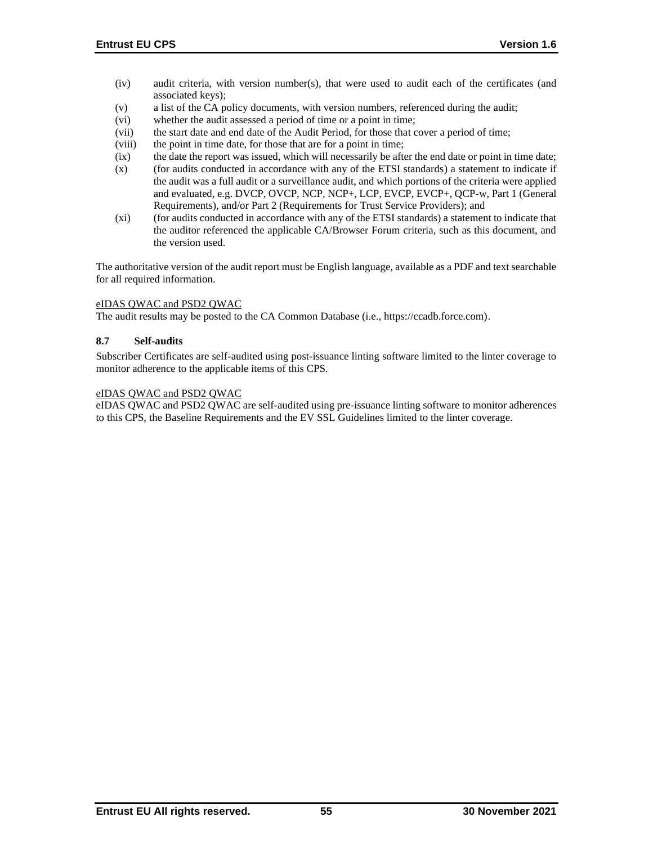- (iv) audit criteria, with version number(s), that were used to audit each of the certificates (and associated keys);
- (v) a list of the CA policy documents, with version numbers, referenced during the audit;
- (vi) whether the audit assessed a period of time or a point in time;
- (vii) the start date and end date of the Audit Period, for those that cover a period of time;
- (viii) the point in time date, for those that are for a point in time;
- (ix) the date the report was issued, which will necessarily be after the end date or point in time date;
- (x) (for audits conducted in accordance with any of the ETSI standards) a statement to indicate if the audit was a full audit or a surveillance audit, and which portions of the criteria were applied and evaluated, e.g. DVCP, OVCP, NCP, NCP+, LCP, EVCP, EVCP+, QCP-w, Part 1 (General Requirements), and/or Part 2 (Requirements for Trust Service Providers); and
- (xi) (for audits conducted in accordance with any of the ETSI standards) a statement to indicate that the auditor referenced the applicable CA/Browser Forum criteria, such as this document, and the version used.

The authoritative version of the audit report must be English language, available as a PDF and text searchable for all required information.

### eIDAS QWAC and PSD2 QWAC

The audit results may be posted to the CA Common Database (i.e., https://ccadb.force.com).

#### **8.7 Self-audits**

Subscriber Certificates are self-audited using post-issuance linting software limited to the linter coverage to monitor adherence to the applicable items of this CPS.

#### eIDAS QWAC and PSD2 QWAC

eIDAS QWAC and PSD2 QWAC are self-audited using pre-issuance linting software to monitor adherences to this CPS, the Baseline Requirements and the EV SSL Guidelines limited to the linter coverage.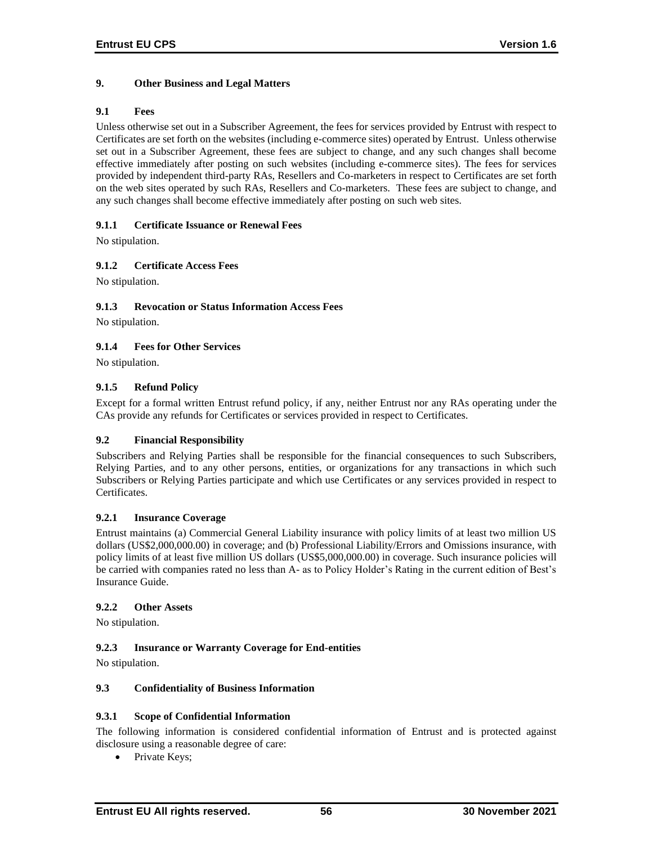# **9. Other Business and Legal Matters**

# **9.1 Fees**

Unless otherwise set out in a Subscriber Agreement, the fees for services provided by Entrust with respect to Certificates are set forth on the websites (including e-commerce sites) operated by Entrust. Unless otherwise set out in a Subscriber Agreement, these fees are subject to change, and any such changes shall become effective immediately after posting on such websites (including e-commerce sites). The fees for services provided by independent third-party RAs, Resellers and Co-marketers in respect to Certificates are set forth on the web sites operated by such RAs, Resellers and Co-marketers. These fees are subject to change, and any such changes shall become effective immediately after posting on such web sites.

# **9.1.1 Certificate Issuance or Renewal Fees**

No stipulation.

# **9.1.2 Certificate Access Fees**

No stipulation.

# **9.1.3 Revocation or Status Information Access Fees**

No stipulation.

# **9.1.4 Fees for Other Services**

No stipulation.

# **9.1.5 Refund Policy**

Except for a formal written Entrust refund policy, if any, neither Entrust nor any RAs operating under the CAs provide any refunds for Certificates or services provided in respect to Certificates.

# **9.2 Financial Responsibility**

Subscribers and Relying Parties shall be responsible for the financial consequences to such Subscribers, Relying Parties, and to any other persons, entities, or organizations for any transactions in which such Subscribers or Relying Parties participate and which use Certificates or any services provided in respect to Certificates.

# **9.2.1 Insurance Coverage**

Entrust maintains (a) Commercial General Liability insurance with policy limits of at least two million US dollars (US\$2,000,000.00) in coverage; and (b) Professional Liability/Errors and Omissions insurance, with policy limits of at least five million US dollars (US\$5,000,000.00) in coverage. Such insurance policies will be carried with companies rated no less than A- as to Policy Holder's Rating in the current edition of Best's Insurance Guide.

# **9.2.2 Other Assets**

No stipulation.

# **9.2.3 Insurance or Warranty Coverage for End-entities**

No stipulation.

# **9.3 Confidentiality of Business Information**

# **9.3.1 Scope of Confidential Information**

The following information is considered confidential information of Entrust and is protected against disclosure using a reasonable degree of care:

• Private Keys: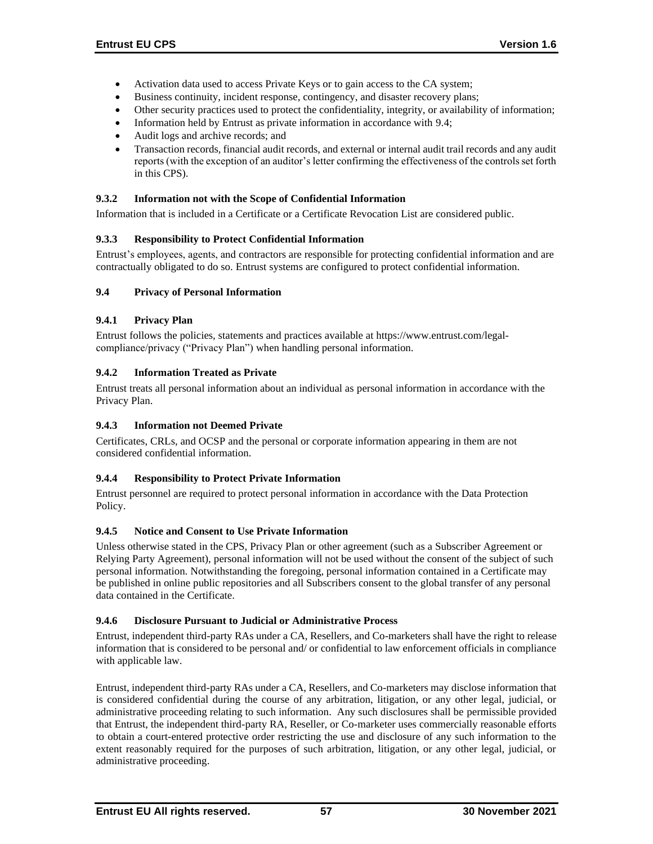- Activation data used to access Private Keys or to gain access to the CA system;
- Business continuity, incident response, contingency, and disaster recovery plans;
- Other security practices used to protect the confidentiality, integrity, or availability of information;
- Information held by Entrust as private information in accordance with 9.4;
- Audit logs and archive records; and
- Transaction records, financial audit records, and external or internal audit trail records and any audit reports (with the exception of an auditor's letter confirming the effectiveness of the controls set forth in this CPS).

### **9.3.2 Information not with the Scope of Confidential Information**

Information that is included in a Certificate or a Certificate Revocation List are considered public.

### **9.3.3 Responsibility to Protect Confidential Information**

Entrust's employees, agents, and contractors are responsible for protecting confidential information and are contractually obligated to do so. Entrust systems are configured to protect confidential information.

### **9.4 Privacy of Personal Information**

### **9.4.1 Privacy Plan**

Entrust follows the policies, statements and practices available at https://www.entrust.com/legalcompliance/privacy ("Privacy Plan") when handling personal information.

### **9.4.2 Information Treated as Private**

Entrust treats all personal information about an individual as personal information in accordance with the Privacy Plan.

# **9.4.3 Information not Deemed Private**

Certificates, CRLs, and OCSP and the personal or corporate information appearing in them are not considered confidential information.

# **9.4.4 Responsibility to Protect Private Information**

Entrust personnel are required to protect personal information in accordance with the Data Protection Policy.

### **9.4.5 Notice and Consent to Use Private Information**

Unless otherwise stated in the CPS, Privacy Plan or other agreement (such as a Subscriber Agreement or Relying Party Agreement), personal information will not be used without the consent of the subject of such personal information. Notwithstanding the foregoing, personal information contained in a Certificate may be published in online public repositories and all Subscribers consent to the global transfer of any personal data contained in the Certificate.

### **9.4.6 Disclosure Pursuant to Judicial or Administrative Process**

Entrust, independent third-party RAs under a CA, Resellers, and Co-marketers shall have the right to release information that is considered to be personal and/ or confidential to law enforcement officials in compliance with applicable law.

Entrust, independent third-party RAs under a CA, Resellers, and Co-marketers may disclose information that is considered confidential during the course of any arbitration, litigation, or any other legal, judicial, or administrative proceeding relating to such information. Any such disclosures shall be permissible provided that Entrust, the independent third-party RA, Reseller, or Co-marketer uses commercially reasonable efforts to obtain a court-entered protective order restricting the use and disclosure of any such information to the extent reasonably required for the purposes of such arbitration, litigation, or any other legal, judicial, or administrative proceeding.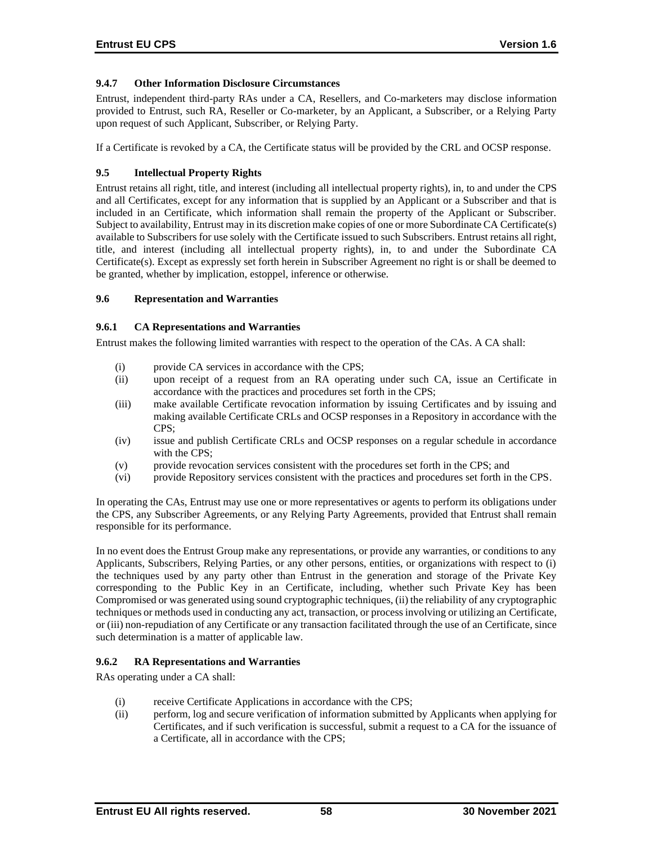### **9.4.7 Other Information Disclosure Circumstances**

Entrust, independent third-party RAs under a CA, Resellers, and Co-marketers may disclose information provided to Entrust, such RA, Reseller or Co-marketer, by an Applicant, a Subscriber, or a Relying Party upon request of such Applicant, Subscriber, or Relying Party.

If a Certificate is revoked by a CA, the Certificate status will be provided by the CRL and OCSP response.

# **9.5 Intellectual Property Rights**

Entrust retains all right, title, and interest (including all intellectual property rights), in, to and under the CPS and all Certificates, except for any information that is supplied by an Applicant or a Subscriber and that is included in an Certificate, which information shall remain the property of the Applicant or Subscriber. Subject to availability, Entrust may in its discretion make copies of one or more Subordinate CA Certificate(s) available to Subscribers for use solely with the Certificate issued to such Subscribers. Entrust retains all right, title, and interest (including all intellectual property rights), in, to and under the Subordinate CA Certificate(s). Except as expressly set forth herein in Subscriber Agreement no right is or shall be deemed to be granted, whether by implication, estoppel, inference or otherwise.

### **9.6 Representation and Warranties**

# **9.6.1 CA Representations and Warranties**

Entrust makes the following limited warranties with respect to the operation of the CAs. A CA shall:

- (i) provide CA services in accordance with the CPS;
- (ii) upon receipt of a request from an RA operating under such CA, issue an Certificate in accordance with the practices and procedures set forth in the CPS;
- (iii) make available Certificate revocation information by issuing Certificates and by issuing and making available Certificate CRLs and OCSP responses in a Repository in accordance with the CPS;
- (iv) issue and publish Certificate CRLs and OCSP responses on a regular schedule in accordance with the CPS;
- (v) provide revocation services consistent with the procedures set forth in the CPS; and
- (vi) provide Repository services consistent with the practices and procedures set forth in the CPS.

In operating the CAs, Entrust may use one or more representatives or agents to perform its obligations under the CPS, any Subscriber Agreements, or any Relying Party Agreements, provided that Entrust shall remain responsible for its performance.

In no event does the Entrust Group make any representations, or provide any warranties, or conditions to any Applicants, Subscribers, Relying Parties, or any other persons, entities, or organizations with respect to (i) the techniques used by any party other than Entrust in the generation and storage of the Private Key corresponding to the Public Key in an Certificate, including, whether such Private Key has been Compromised or was generated using sound cryptographic techniques, (ii) the reliability of any cryptographic techniques or methods used in conducting any act, transaction, or process involving or utilizing an Certificate, or (iii) non-repudiation of any Certificate or any transaction facilitated through the use of an Certificate, since such determination is a matter of applicable law.

# **9.6.2 RA Representations and Warranties**

RAs operating under a CA shall:

- (i) receive Certificate Applications in accordance with the CPS;
- (ii) perform, log and secure verification of information submitted by Applicants when applying for Certificates, and if such verification is successful, submit a request to a CA for the issuance of a Certificate, all in accordance with the CPS;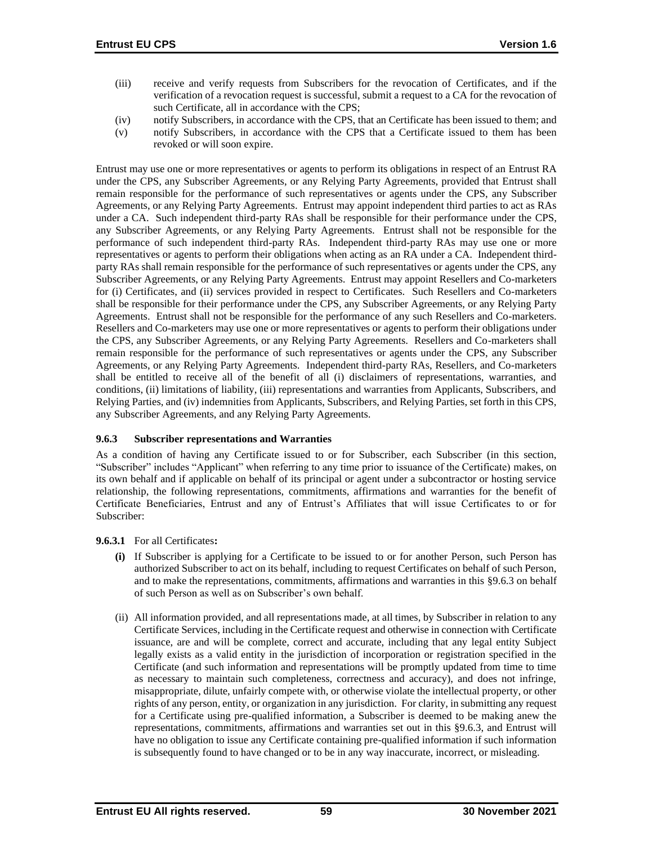- (iii) receive and verify requests from Subscribers for the revocation of Certificates, and if the verification of a revocation request is successful, submit a request to a CA for the revocation of such Certificate, all in accordance with the CPS;
- (iv) notify Subscribers, in accordance with the CPS, that an Certificate has been issued to them; and
- (v) notify Subscribers, in accordance with the CPS that a Certificate issued to them has been revoked or will soon expire.

Entrust may use one or more representatives or agents to perform its obligations in respect of an Entrust RA under the CPS, any Subscriber Agreements, or any Relying Party Agreements, provided that Entrust shall remain responsible for the performance of such representatives or agents under the CPS, any Subscriber Agreements, or any Relying Party Agreements. Entrust may appoint independent third parties to act as RAs under a CA. Such independent third-party RAs shall be responsible for their performance under the CPS, any Subscriber Agreements, or any Relying Party Agreements. Entrust shall not be responsible for the performance of such independent third-party RAs. Independent third-party RAs may use one or more representatives or agents to perform their obligations when acting as an RA under a CA. Independent thirdparty RAs shall remain responsible for the performance of such representatives or agents under the CPS, any Subscriber Agreements, or any Relying Party Agreements. Entrust may appoint Resellers and Co-marketers for (i) Certificates, and (ii) services provided in respect to Certificates. Such Resellers and Co-marketers shall be responsible for their performance under the CPS, any Subscriber Agreements, or any Relying Party Agreements. Entrust shall not be responsible for the performance of any such Resellers and Co-marketers. Resellers and Co-marketers may use one or more representatives or agents to perform their obligations under the CPS, any Subscriber Agreements, or any Relying Party Agreements. Resellers and Co-marketers shall remain responsible for the performance of such representatives or agents under the CPS, any Subscriber Agreements, or any Relying Party Agreements. Independent third-party RAs, Resellers, and Co-marketers shall be entitled to receive all of the benefit of all (i) disclaimers of representations, warranties, and conditions, (ii) limitations of liability, (iii) representations and warranties from Applicants, Subscribers, and Relying Parties, and (iv) indemnities from Applicants, Subscribers, and Relying Parties, set forth in this CPS, any Subscriber Agreements, and any Relying Party Agreements.

### **9.6.3 Subscriber representations and Warranties**

As a condition of having any Certificate issued to or for Subscriber, each Subscriber (in this section, "Subscriber" includes "Applicant" when referring to any time prior to issuance of the Certificate) makes, on its own behalf and if applicable on behalf of its principal or agent under a subcontractor or hosting service relationship, the following representations, commitments, affirmations and warranties for the benefit of Certificate Beneficiaries, Entrust and any of Entrust's Affiliates that will issue Certificates to or for Subscriber:

### **9.6.3.1** For all Certificates**:**

- **(i)** If Subscriber is applying for a Certificate to be issued to or for another Person, such Person has authorized Subscriber to act on its behalf, including to request Certificates on behalf of such Person, and to make the representations, commitments, affirmations and warranties in this §9.6.3 on behalf of such Person as well as on Subscriber's own behalf.
- (ii) All information provided, and all representations made, at all times, by Subscriber in relation to any Certificate Services, including in the Certificate request and otherwise in connection with Certificate issuance, are and will be complete, correct and accurate, including that any legal entity Subject legally exists as a valid entity in the jurisdiction of incorporation or registration specified in the Certificate (and such information and representations will be promptly updated from time to time as necessary to maintain such completeness, correctness and accuracy), and does not infringe, misappropriate, dilute, unfairly compete with, or otherwise violate the intellectual property, or other rights of any person, entity, or organization in any jurisdiction. For clarity, in submitting any request for a Certificate using pre-qualified information, a Subscriber is deemed to be making anew the representations, commitments, affirmations and warranties set out in this §9.6.3, and Entrust will have no obligation to issue any Certificate containing pre-qualified information if such information is subsequently found to have changed or to be in any way inaccurate, incorrect, or misleading.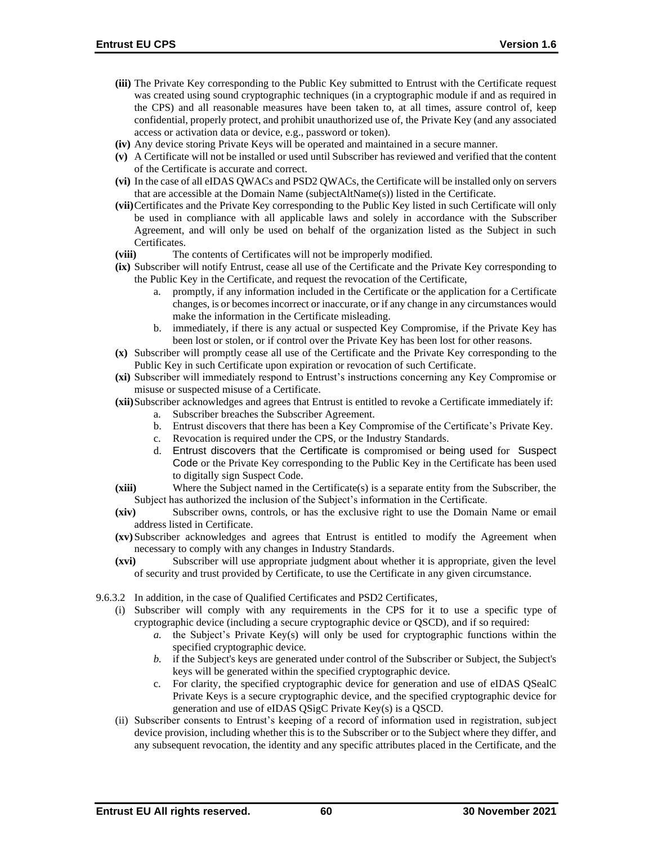- **(iii)** The Private Key corresponding to the Public Key submitted to Entrust with the Certificate request was created using sound cryptographic techniques (in a cryptographic module if and as required in the CPS) and all reasonable measures have been taken to, at all times, assure control of, keep confidential, properly protect, and prohibit unauthorized use of, the Private Key (and any associated access or activation data or device, e.g., password or token).
- **(iv)** Any device storing Private Keys will be operated and maintained in a secure manner.
- **(v)** A Certificate will not be installed or used until Subscriber has reviewed and verified that the content of the Certificate is accurate and correct.
- **(vi)** In the case of all eIDAS QWACs and PSD2 QWACs, the Certificate will be installed only on servers that are accessible at the Domain Name (subjectAltName(s)) listed in the Certificate.
- **(vii)**Certificates and the Private Key corresponding to the Public Key listed in such Certificate will only be used in compliance with all applicable laws and solely in accordance with the Subscriber Agreement, and will only be used on behalf of the organization listed as the Subject in such Certificates.
- **(viii)** The contents of Certificates will not be improperly modified.
- **(ix)** Subscriber will notify Entrust, cease all use of the Certificate and the Private Key corresponding to the Public Key in the Certificate, and request the revocation of the Certificate,
	- a. promptly, if any information included in the Certificate or the application for a Certificate changes, is or becomes incorrect or inaccurate, or if any change in any circumstances would make the information in the Certificate misleading.
	- b. immediately, if there is any actual or suspected Key Compromise, if the Private Key has been lost or stolen, or if control over the Private Key has been lost for other reasons.
- **(x)** Subscriber will promptly cease all use of the Certificate and the Private Key corresponding to the Public Key in such Certificate upon expiration or revocation of such Certificate.
- **(xi)** Subscriber will immediately respond to Entrust's instructions concerning any Key Compromise or misuse or suspected misuse of a Certificate.
- **(xii)**Subscriber acknowledges and agrees that Entrust is entitled to revoke a Certificate immediately if:
	- a. Subscriber breaches the Subscriber Agreement.
	- b. Entrust discovers that there has been a Key Compromise of the Certificate's Private Key.
	- c. Revocation is required under the CPS, or the Industry Standards.
	- d. Entrust discovers that the Certificate is compromised or being used for Suspect Code or the Private Key corresponding to the Public Key in the Certificate has been used to digitally sign Suspect Code.
- **(xiii)** Where the Subject named in the Certificate(s) is a separate entity from the Subscriber, the Subject has authorized the inclusion of the Subject's information in the Certificate.
- **(xiv)** Subscriber owns, controls, or has the exclusive right to use the Domain Name or email address listed in Certificate.
- **(xv)**Subscriber acknowledges and agrees that Entrust is entitled to modify the Agreement when necessary to comply with any changes in Industry Standards.
- **(xvi)** Subscriber will use appropriate judgment about whether it is appropriate, given the level of security and trust provided by Certificate, to use the Certificate in any given circumstance.
- 9.6.3.2 In addition, in the case of Qualified Certificates and PSD2 Certificates,
	- (i) Subscriber will comply with any requirements in the CPS for it to use a specific type of cryptographic device (including a secure cryptographic device or QSCD), and if so required:
		- *a.* the Subject's Private Key(s) will only be used for cryptographic functions within the specified cryptographic device.
		- *b.* if the Subject's keys are generated under control of the Subscriber or Subject, the Subject's keys will be generated within the specified cryptographic device.
		- c. For clarity, the specified cryptographic device for generation and use of eIDAS QSealC Private Keys is a secure cryptographic device, and the specified cryptographic device for generation and use of eIDAS QSigC Private Key(s) is a QSCD.
	- (ii) Subscriber consents to Entrust's keeping of a record of information used in registration, subject device provision, including whether this is to the Subscriber or to the Subject where they differ, and any subsequent revocation, the identity and any specific attributes placed in the Certificate, and the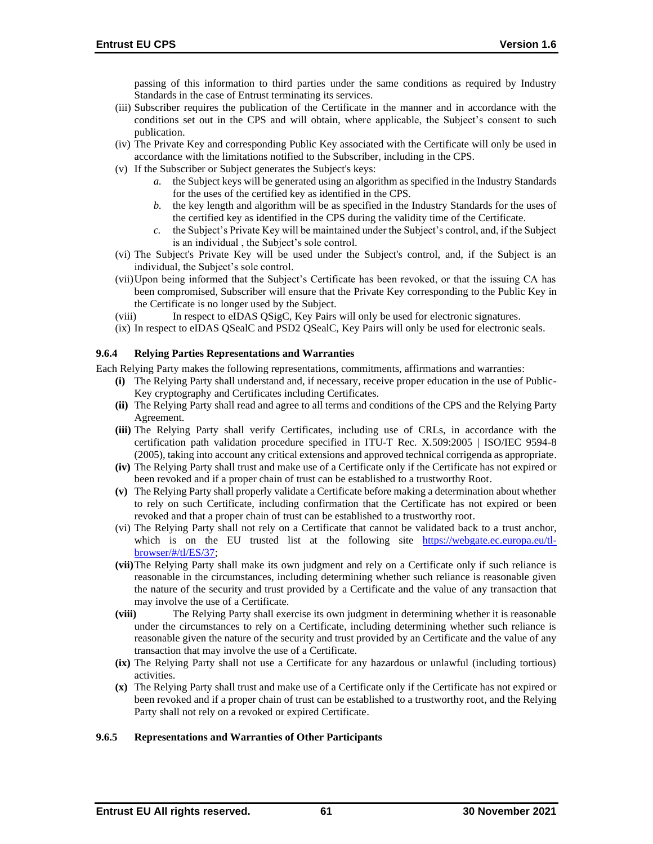passing of this information to third parties under the same conditions as required by Industry Standards in the case of Entrust terminating its services.

- (iii) Subscriber requires the publication of the Certificate in the manner and in accordance with the conditions set out in the CPS and will obtain, where applicable, the Subject's consent to such publication.
- (iv) The Private Key and corresponding Public Key associated with the Certificate will only be used in accordance with the limitations notified to the Subscriber, including in the CPS.
- (v) If the Subscriber or Subject generates the Subject's keys:
	- *a.* the Subject keys will be generated using an algorithm as specified in the Industry Standards for the uses of the certified key as identified in the CPS.
	- *b.* the key length and algorithm will be as specified in the Industry Standards for the uses of the certified key as identified in the CPS during the validity time of the Certificate.
	- *c.* the Subject's Private Key will be maintained under the Subject's control, and, if the Subject is an individual , the Subject's sole control.
- (vi) The Subject's Private Key will be used under the Subject's control, and, if the Subject is an individual, the Subject's sole control.
- (vii)Upon being informed that the Subject's Certificate has been revoked, or that the issuing CA has been compromised, Subscriber will ensure that the Private Key corresponding to the Public Key in the Certificate is no longer used by the Subject.
- (viii) In respect to eIDAS QSigC, Key Pairs will only be used for electronic signatures.
- (ix) In respect to eIDAS QSealC and PSD2 QSealC, Key Pairs will only be used for electronic seals.

### **9.6.4 Relying Parties Representations and Warranties**

Each Relying Party makes the following representations, commitments, affirmations and warranties:

- **(i)** The Relying Party shall understand and, if necessary, receive proper education in the use of Public-Key cryptography and Certificates including Certificates.
- **(ii)** The Relying Party shall read and agree to all terms and conditions of the CPS and the Relying Party Agreement.
- **(iii)** The Relying Party shall verify Certificates, including use of CRLs, in accordance with the certification path validation procedure specified in ITU-T Rec. X.509:2005 | ISO/IEC 9594-8 (2005), taking into account any critical extensions and approved technical corrigenda as appropriate.
- **(iv)** The Relying Party shall trust and make use of a Certificate only if the Certificate has not expired or been revoked and if a proper chain of trust can be established to a trustworthy Root.
- **(v)** The Relying Party shall properly validate a Certificate before making a determination about whether to rely on such Certificate, including confirmation that the Certificate has not expired or been revoked and that a proper chain of trust can be established to a trustworthy root.
- (vi) The Relying Party shall not rely on a Certificate that cannot be validated back to a trust anchor, which is on the EU trusted list at the following site [https://webgate.ec.europa.eu/tl](https://webgate.ec.europa.eu/tl-browser/#/tl/ES/37)[browser/#/tl/ES/37;](https://webgate.ec.europa.eu/tl-browser/#/tl/ES/37)
- **(vii)**The Relying Party shall make its own judgment and rely on a Certificate only if such reliance is reasonable in the circumstances, including determining whether such reliance is reasonable given the nature of the security and trust provided by a Certificate and the value of any transaction that may involve the use of a Certificate.
- **(viii)** The Relying Party shall exercise its own judgment in determining whether it is reasonable under the circumstances to rely on a Certificate, including determining whether such reliance is reasonable given the nature of the security and trust provided by an Certificate and the value of any transaction that may involve the use of a Certificate.
- **(ix)** The Relying Party shall not use a Certificate for any hazardous or unlawful (including tortious) activities.
- **(x)** The Relying Party shall trust and make use of a Certificate only if the Certificate has not expired or been revoked and if a proper chain of trust can be established to a trustworthy root, and the Relying Party shall not rely on a revoked or expired Certificate.

### **9.6.5 Representations and Warranties of Other Participants**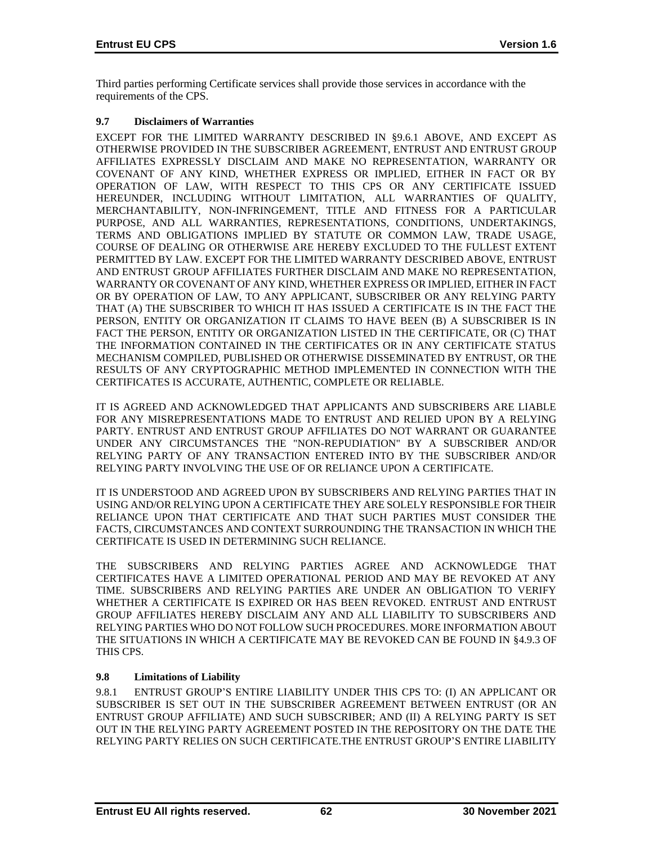Third parties performing Certificate services shall provide those services in accordance with the requirements of the CPS.

# **9.7 Disclaimers of Warranties**

EXCEPT FOR THE LIMITED WARRANTY DESCRIBED IN §9.6.1 ABOVE, AND EXCEPT AS OTHERWISE PROVIDED IN THE SUBSCRIBER AGREEMENT, ENTRUST AND ENTRUST GROUP AFFILIATES EXPRESSLY DISCLAIM AND MAKE NO REPRESENTATION, WARRANTY OR COVENANT OF ANY KIND, WHETHER EXPRESS OR IMPLIED, EITHER IN FACT OR BY OPERATION OF LAW, WITH RESPECT TO THIS CPS OR ANY CERTIFICATE ISSUED HEREUNDER, INCLUDING WITHOUT LIMITATION, ALL WARRANTIES OF QUALITY, MERCHANTABILITY, NON-INFRINGEMENT, TITLE AND FITNESS FOR A PARTICULAR PURPOSE, AND ALL WARRANTIES, REPRESENTATIONS, CONDITIONS, UNDERTAKINGS, TERMS AND OBLIGATIONS IMPLIED BY STATUTE OR COMMON LAW, TRADE USAGE, COURSE OF DEALING OR OTHERWISE ARE HEREBY EXCLUDED TO THE FULLEST EXTENT PERMITTED BY LAW. EXCEPT FOR THE LIMITED WARRANTY DESCRIBED ABOVE, ENTRUST AND ENTRUST GROUP AFFILIATES FURTHER DISCLAIM AND MAKE NO REPRESENTATION, WARRANTY OR COVENANT OF ANY KIND, WHETHER EXPRESS OR IMPLIED, EITHER IN FACT OR BY OPERATION OF LAW, TO ANY APPLICANT, SUBSCRIBER OR ANY RELYING PARTY THAT (A) THE SUBSCRIBER TO WHICH IT HAS ISSUED A CERTIFICATE IS IN THE FACT THE PERSON, ENTITY OR ORGANIZATION IT CLAIMS TO HAVE BEEN (B) A SUBSCRIBER IS IN FACT THE PERSON, ENTITY OR ORGANIZATION LISTED IN THE CERTIFICATE, OR (C) THAT THE INFORMATION CONTAINED IN THE CERTIFICATES OR IN ANY CERTIFICATE STATUS MECHANISM COMPILED, PUBLISHED OR OTHERWISE DISSEMINATED BY ENTRUST, OR THE RESULTS OF ANY CRYPTOGRAPHIC METHOD IMPLEMENTED IN CONNECTION WITH THE CERTIFICATES IS ACCURATE, AUTHENTIC, COMPLETE OR RELIABLE.

IT IS AGREED AND ACKNOWLEDGED THAT APPLICANTS AND SUBSCRIBERS ARE LIABLE FOR ANY MISREPRESENTATIONS MADE TO ENTRUST AND RELIED UPON BY A RELYING PARTY. ENTRUST AND ENTRUST GROUP AFFILIATES DO NOT WARRANT OR GUARANTEE UNDER ANY CIRCUMSTANCES THE "NON-REPUDIATION" BY A SUBSCRIBER AND/OR RELYING PARTY OF ANY TRANSACTION ENTERED INTO BY THE SUBSCRIBER AND/OR RELYING PARTY INVOLVING THE USE OF OR RELIANCE UPON A CERTIFICATE.

IT IS UNDERSTOOD AND AGREED UPON BY SUBSCRIBERS AND RELYING PARTIES THAT IN USING AND/OR RELYING UPON A CERTIFICATE THEY ARE SOLELY RESPONSIBLE FOR THEIR RELIANCE UPON THAT CERTIFICATE AND THAT SUCH PARTIES MUST CONSIDER THE FACTS, CIRCUMSTANCES AND CONTEXT SURROUNDING THE TRANSACTION IN WHICH THE CERTIFICATE IS USED IN DETERMINING SUCH RELIANCE.

THE SUBSCRIBERS AND RELYING PARTIES AGREE AND ACKNOWLEDGE THAT CERTIFICATES HAVE A LIMITED OPERATIONAL PERIOD AND MAY BE REVOKED AT ANY TIME. SUBSCRIBERS AND RELYING PARTIES ARE UNDER AN OBLIGATION TO VERIFY WHETHER A CERTIFICATE IS EXPIRED OR HAS BEEN REVOKED. ENTRUST AND ENTRUST GROUP AFFILIATES HEREBY DISCLAIM ANY AND ALL LIABILITY TO SUBSCRIBERS AND RELYING PARTIES WHO DO NOT FOLLOW SUCH PROCEDURES. MORE INFORMATION ABOUT THE SITUATIONS IN WHICH A CERTIFICATE MAY BE REVOKED CAN BE FOUND IN §4.9.3 OF THIS CPS.

# **9.8 Limitations of Liability**

9.8.1 ENTRUST GROUP'S ENTIRE LIABILITY UNDER THIS CPS TO: (I) AN APPLICANT OR SUBSCRIBER IS SET OUT IN THE SUBSCRIBER AGREEMENT BETWEEN ENTRUST (OR AN ENTRUST GROUP AFFILIATE) AND SUCH SUBSCRIBER; AND (II) A RELYING PARTY IS SET OUT IN THE RELYING PARTY AGREEMENT POSTED IN THE REPOSITORY ON THE DATE THE RELYING PARTY RELIES ON SUCH CERTIFICATE.THE ENTRUST GROUP'S ENTIRE LIABILITY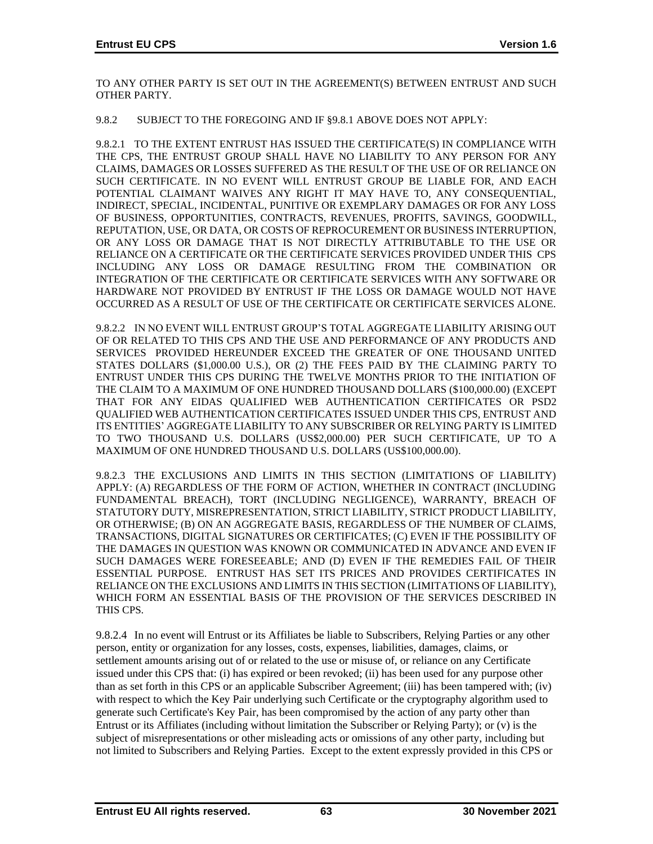TO ANY OTHER PARTY IS SET OUT IN THE AGREEMENT(S) BETWEEN ENTRUST AND SUCH OTHER PARTY.

### 9.8.2 SUBJECT TO THE FOREGOING AND IF §9.8.1 ABOVE DOES NOT APPLY:

9.8.2.1 TO THE EXTENT ENTRUST HAS ISSUED THE CERTIFICATE(S) IN COMPLIANCE WITH THE CPS, THE ENTRUST GROUP SHALL HAVE NO LIABILITY TO ANY PERSON FOR ANY CLAIMS, DAMAGES OR LOSSES SUFFERED AS THE RESULT OF THE USE OF OR RELIANCE ON SUCH CERTIFICATE. IN NO EVENT WILL ENTRUST GROUP BE LIABLE FOR, AND EACH POTENTIAL CLAIMANT WAIVES ANY RIGHT IT MAY HAVE TO, ANY CONSEQUENTIAL, INDIRECT, SPECIAL, INCIDENTAL, PUNITIVE OR EXEMPLARY DAMAGES OR FOR ANY LOSS OF BUSINESS, OPPORTUNITIES, CONTRACTS, REVENUES, PROFITS, SAVINGS, GOODWILL, REPUTATION, USE, OR DATA, OR COSTS OF REPROCUREMENT OR BUSINESS INTERRUPTION, OR ANY LOSS OR DAMAGE THAT IS NOT DIRECTLY ATTRIBUTABLE TO THE USE OR RELIANCE ON A CERTIFICATE OR THE CERTIFICATE SERVICES PROVIDED UNDER THIS CPS INCLUDING ANY LOSS OR DAMAGE RESULTING FROM THE COMBINATION OR INTEGRATION OF THE CERTIFICATE OR CERTIFICATE SERVICES WITH ANY SOFTWARE OR HARDWARE NOT PROVIDED BY ENTRUST IF THE LOSS OR DAMAGE WOULD NOT HAVE OCCURRED AS A RESULT OF USE OF THE CERTIFICATE OR CERTIFICATE SERVICES ALONE.

9.8.2.2 IN NO EVENT WILL ENTRUST GROUP'S TOTAL AGGREGATE LIABILITY ARISING OUT OF OR RELATED TO THIS CPS AND THE USE AND PERFORMANCE OF ANY PRODUCTS AND SERVICES PROVIDED HEREUNDER EXCEED THE GREATER OF ONE THOUSAND UNITED STATES DOLLARS (\$1,000.00 U.S.), OR (2) THE FEES PAID BY THE CLAIMING PARTY TO ENTRUST UNDER THIS CPS DURING THE TWELVE MONTHS PRIOR TO THE INITIATION OF THE CLAIM TO A MAXIMUM OF ONE HUNDRED THOUSAND DOLLARS (\$100,000.00) (EXCEPT THAT FOR ANY EIDAS QUALIFIED WEB AUTHENTICATION CERTIFICATES OR PSD2 QUALIFIED WEB AUTHENTICATION CERTIFICATES ISSUED UNDER THIS CPS, ENTRUST AND ITS ENTITIES' AGGREGATE LIABILITY TO ANY SUBSCRIBER OR RELYING PARTY IS LIMITED TO TWO THOUSAND U.S. DOLLARS (US\$2,000.00) PER SUCH CERTIFICATE, UP TO A MAXIMUM OF ONE HUNDRED THOUSAND U.S. DOLLARS (US\$100,000.00).

9.8.2.3 THE EXCLUSIONS AND LIMITS IN THIS SECTION (LIMITATIONS OF LIABILITY) APPLY: (A) REGARDLESS OF THE FORM OF ACTION, WHETHER IN CONTRACT (INCLUDING FUNDAMENTAL BREACH), TORT (INCLUDING NEGLIGENCE), WARRANTY, BREACH OF STATUTORY DUTY, MISREPRESENTATION, STRICT LIABILITY, STRICT PRODUCT LIABILITY, OR OTHERWISE; (B) ON AN AGGREGATE BASIS, REGARDLESS OF THE NUMBER OF CLAIMS, TRANSACTIONS, DIGITAL SIGNATURES OR CERTIFICATES; (C) EVEN IF THE POSSIBILITY OF THE DAMAGES IN QUESTION WAS KNOWN OR COMMUNICATED IN ADVANCE AND EVEN IF SUCH DAMAGES WERE FORESEEABLE; AND (D) EVEN IF THE REMEDIES FAIL OF THEIR ESSENTIAL PURPOSE. ENTRUST HAS SET ITS PRICES AND PROVIDES CERTIFICATES IN RELIANCE ON THE EXCLUSIONS AND LIMITS IN THIS SECTION (LIMITATIONS OF LIABILITY), WHICH FORM AN ESSENTIAL BASIS OF THE PROVISION OF THE SERVICES DESCRIBED IN THIS CPS.

9.8.2.4 In no event will Entrust or its Affiliates be liable to Subscribers, Relying Parties or any other person, entity or organization for any losses, costs, expenses, liabilities, damages, claims, or settlement amounts arising out of or related to the use or misuse of, or reliance on any Certificate issued under this CPS that: (i) has expired or been revoked; (ii) has been used for any purpose other than as set forth in this CPS or an applicable Subscriber Agreement; (iii) has been tampered with; (iv) with respect to which the Key Pair underlying such Certificate or the cryptography algorithm used to generate such Certificate's Key Pair, has been compromised by the action of any party other than Entrust or its Affiliates (including without limitation the Subscriber or Relying Party); or (v) is the subject of misrepresentations or other misleading acts or omissions of any other party, including but not limited to Subscribers and Relying Parties. Except to the extent expressly provided in this CPS or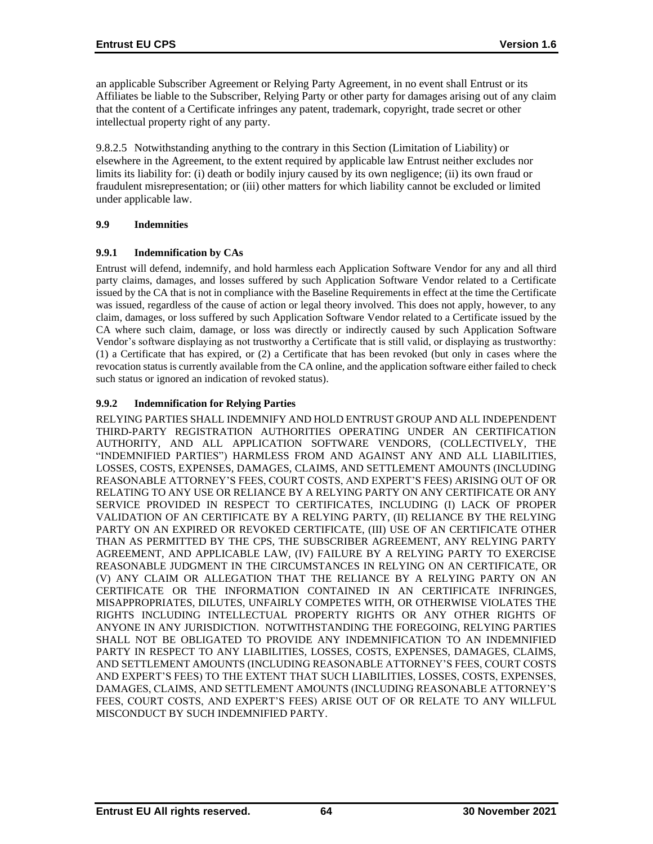an applicable Subscriber Agreement or Relying Party Agreement, in no event shall Entrust or its Affiliates be liable to the Subscriber, Relying Party or other party for damages arising out of any claim that the content of a Certificate infringes any patent, trademark, copyright, trade secret or other intellectual property right of any party.

9.8.2.5 Notwithstanding anything to the contrary in this Section (Limitation of Liability) or elsewhere in the Agreement, to the extent required by applicable law Entrust neither excludes nor limits its liability for: (i) death or bodily injury caused by its own negligence; (ii) its own fraud or fraudulent misrepresentation; or (iii) other matters for which liability cannot be excluded or limited under applicable law.

## **9.9 Indemnities**

## **9.9.1 Indemnification by CAs**

Entrust will defend, indemnify, and hold harmless each Application Software Vendor for any and all third party claims, damages, and losses suffered by such Application Software Vendor related to a Certificate issued by the CA that is not in compliance with the Baseline Requirements in effect at the time the Certificate was issued, regardless of the cause of action or legal theory involved. This does not apply, however, to any claim, damages, or loss suffered by such Application Software Vendor related to a Certificate issued by the CA where such claim, damage, or loss was directly or indirectly caused by such Application Software Vendor's software displaying as not trustworthy a Certificate that is still valid, or displaying as trustworthy: (1) a Certificate that has expired, or (2) a Certificate that has been revoked (but only in cases where the revocation status is currently available from the CA online, and the application software either failed to check such status or ignored an indication of revoked status).

# **9.9.2 Indemnification for Relying Parties**

RELYING PARTIES SHALL INDEMNIFY AND HOLD ENTRUST GROUP AND ALL INDEPENDENT THIRD-PARTY REGISTRATION AUTHORITIES OPERATING UNDER AN CERTIFICATION AUTHORITY, AND ALL APPLICATION SOFTWARE VENDORS, (COLLECTIVELY, THE "INDEMNIFIED PARTIES") HARMLESS FROM AND AGAINST ANY AND ALL LIABILITIES, LOSSES, COSTS, EXPENSES, DAMAGES, CLAIMS, AND SETTLEMENT AMOUNTS (INCLUDING REASONABLE ATTORNEY'S FEES, COURT COSTS, AND EXPERT'S FEES) ARISING OUT OF OR RELATING TO ANY USE OR RELIANCE BY A RELYING PARTY ON ANY CERTIFICATE OR ANY SERVICE PROVIDED IN RESPECT TO CERTIFICATES, INCLUDING (I) LACK OF PROPER VALIDATION OF AN CERTIFICATE BY A RELYING PARTY, (II) RELIANCE BY THE RELYING PARTY ON AN EXPIRED OR REVOKED CERTIFICATE, (III) USE OF AN CERTIFICATE OTHER THAN AS PERMITTED BY THE CPS, THE SUBSCRIBER AGREEMENT, ANY RELYING PARTY AGREEMENT, AND APPLICABLE LAW, (IV) FAILURE BY A RELYING PARTY TO EXERCISE REASONABLE JUDGMENT IN THE CIRCUMSTANCES IN RELYING ON AN CERTIFICATE, OR (V) ANY CLAIM OR ALLEGATION THAT THE RELIANCE BY A RELYING PARTY ON AN CERTIFICATE OR THE INFORMATION CONTAINED IN AN CERTIFICATE INFRINGES, MISAPPROPRIATES, DILUTES, UNFAIRLY COMPETES WITH, OR OTHERWISE VIOLATES THE RIGHTS INCLUDING INTELLECTUAL PROPERTY RIGHTS OR ANY OTHER RIGHTS OF ANYONE IN ANY JURISDICTION. NOTWITHSTANDING THE FOREGOING, RELYING PARTIES SHALL NOT BE OBLIGATED TO PROVIDE ANY INDEMNIFICATION TO AN INDEMNIFIED PARTY IN RESPECT TO ANY LIABILITIES, LOSSES, COSTS, EXPENSES, DAMAGES, CLAIMS, AND SETTLEMENT AMOUNTS (INCLUDING REASONABLE ATTORNEY'S FEES, COURT COSTS AND EXPERT'S FEES) TO THE EXTENT THAT SUCH LIABILITIES, LOSSES, COSTS, EXPENSES, DAMAGES, CLAIMS, AND SETTLEMENT AMOUNTS (INCLUDING REASONABLE ATTORNEY'S FEES, COURT COSTS, AND EXPERT'S FEES) ARISE OUT OF OR RELATE TO ANY WILLFUL MISCONDUCT BY SUCH INDEMNIFIED PARTY.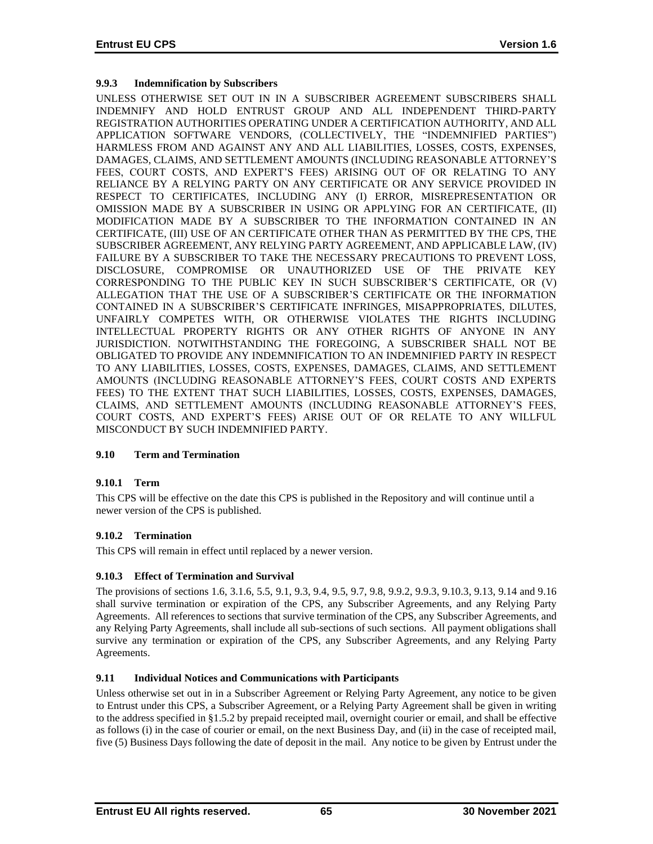# **9.9.3 Indemnification by Subscribers**

UNLESS OTHERWISE SET OUT IN IN A SUBSCRIBER AGREEMENT SUBSCRIBERS SHALL INDEMNIFY AND HOLD ENTRUST GROUP AND ALL INDEPENDENT THIRD-PARTY REGISTRATION AUTHORITIES OPERATING UNDER A CERTIFICATION AUTHORITY, AND ALL APPLICATION SOFTWARE VENDORS, (COLLECTIVELY, THE "INDEMNIFIED PARTIES") HARMLESS FROM AND AGAINST ANY AND ALL LIABILITIES, LOSSES, COSTS, EXPENSES, DAMAGES, CLAIMS, AND SETTLEMENT AMOUNTS (INCLUDING REASONABLE ATTORNEY'S FEES, COURT COSTS, AND EXPERT'S FEES) ARISING OUT OF OR RELATING TO ANY RELIANCE BY A RELYING PARTY ON ANY CERTIFICATE OR ANY SERVICE PROVIDED IN RESPECT TO CERTIFICATES, INCLUDING ANY (I) ERROR, MISREPRESENTATION OR OMISSION MADE BY A SUBSCRIBER IN USING OR APPLYING FOR AN CERTIFICATE, (II) MODIFICATION MADE BY A SUBSCRIBER TO THE INFORMATION CONTAINED IN AN CERTIFICATE, (III) USE OF AN CERTIFICATE OTHER THAN AS PERMITTED BY THE CPS, THE SUBSCRIBER AGREEMENT, ANY RELYING PARTY AGREEMENT, AND APPLICABLE LAW, (IV) FAILURE BY A SUBSCRIBER TO TAKE THE NECESSARY PRECAUTIONS TO PREVENT LOSS, DISCLOSURE, COMPROMISE OR UNAUTHORIZED USE OF THE PRIVATE KEY CORRESPONDING TO THE PUBLIC KEY IN SUCH SUBSCRIBER'S CERTIFICATE, OR (V) ALLEGATION THAT THE USE OF A SUBSCRIBER'S CERTIFICATE OR THE INFORMATION CONTAINED IN A SUBSCRIBER'S CERTIFICATE INFRINGES, MISAPPROPRIATES, DILUTES, UNFAIRLY COMPETES WITH, OR OTHERWISE VIOLATES THE RIGHTS INCLUDING INTELLECTUAL PROPERTY RIGHTS OR ANY OTHER RIGHTS OF ANYONE IN ANY JURISDICTION. NOTWITHSTANDING THE FOREGOING, A SUBSCRIBER SHALL NOT BE OBLIGATED TO PROVIDE ANY INDEMNIFICATION TO AN INDEMNIFIED PARTY IN RESPECT TO ANY LIABILITIES, LOSSES, COSTS, EXPENSES, DAMAGES, CLAIMS, AND SETTLEMENT AMOUNTS (INCLUDING REASONABLE ATTORNEY'S FEES, COURT COSTS AND EXPERTS FEES) TO THE EXTENT THAT SUCH LIABILITIES, LOSSES, COSTS, EXPENSES, DAMAGES, CLAIMS, AND SETTLEMENT AMOUNTS (INCLUDING REASONABLE ATTORNEY'S FEES, COURT COSTS, AND EXPERT'S FEES) ARISE OUT OF OR RELATE TO ANY WILLFUL MISCONDUCT BY SUCH INDEMNIFIED PARTY.

# **9.10 Term and Termination**

#### **9.10.1 Term**

This CPS will be effective on the date this CPS is published in the Repository and will continue until a newer version of the CPS is published.

# **9.10.2 Termination**

This CPS will remain in effect until replaced by a newer version.

#### **9.10.3 Effect of Termination and Survival**

The provisions of sections 1.6, 3.1.6, 5.5, 9.1, 9.3, 9.4, 9.5, 9.7, 9.8, 9.9.2, 9.9.3, 9.10.3, 9.13, 9.14 and 9.16 shall survive termination or expiration of the CPS, any Subscriber Agreements, and any Relying Party Agreements. All references to sections that survive termination of the CPS, any Subscriber Agreements, and any Relying Party Agreements, shall include all sub-sections of such sections. All payment obligations shall survive any termination or expiration of the CPS, any Subscriber Agreements, and any Relying Party Agreements.

#### **9.11 Individual Notices and Communications with Participants**

Unless otherwise set out in in a Subscriber Agreement or Relying Party Agreement, any notice to be given to Entrust under this CPS, a Subscriber Agreement, or a Relying Party Agreement shall be given in writing to the address specified in §1.5.2 by prepaid receipted mail, overnight courier or email, and shall be effective as follows (i) in the case of courier or email, on the next Business Day, and (ii) in the case of receipted mail, five (5) Business Days following the date of deposit in the mail. Any notice to be given by Entrust under the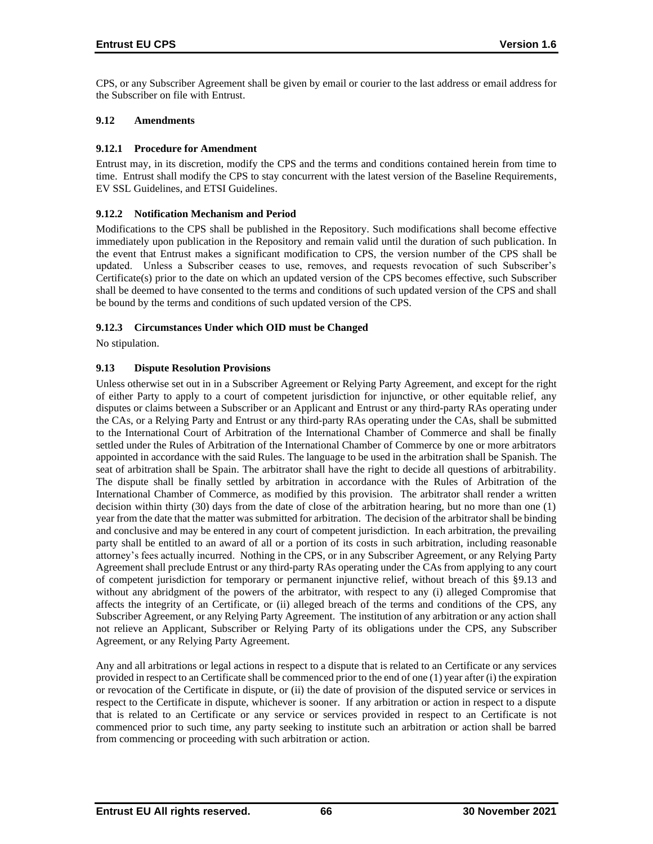CPS, or any Subscriber Agreement shall be given by email or courier to the last address or email address for the Subscriber on file with Entrust.

## **9.12 Amendments**

#### **9.12.1 Procedure for Amendment**

Entrust may, in its discretion, modify the CPS and the terms and conditions contained herein from time to time. Entrust shall modify the CPS to stay concurrent with the latest version of the Baseline Requirements, EV SSL Guidelines, and ETSI Guidelines.

## **9.12.2 Notification Mechanism and Period**

Modifications to the CPS shall be published in the Repository. Such modifications shall become effective immediately upon publication in the Repository and remain valid until the duration of such publication. In the event that Entrust makes a significant modification to CPS, the version number of the CPS shall be updated. Unless a Subscriber ceases to use, removes, and requests revocation of such Subscriber's Certificate(s) prior to the date on which an updated version of the CPS becomes effective, such Subscriber shall be deemed to have consented to the terms and conditions of such updated version of the CPS and shall be bound by the terms and conditions of such updated version of the CPS.

## **9.12.3 Circumstances Under which OID must be Changed**

No stipulation.

## **9.13 Dispute Resolution Provisions**

Unless otherwise set out in in a Subscriber Agreement or Relying Party Agreement, and except for the right of either Party to apply to a court of competent jurisdiction for injunctive, or other equitable relief, any disputes or claims between a Subscriber or an Applicant and Entrust or any third-party RAs operating under the CAs, or a Relying Party and Entrust or any third-party RAs operating under the CAs, shall be submitted to the International Court of Arbitration of the International Chamber of Commerce and shall be finally settled under the Rules of Arbitration of the International Chamber of Commerce by one or more arbitrators appointed in accordance with the said Rules. The language to be used in the arbitration shall be Spanish. The seat of arbitration shall be Spain. The arbitrator shall have the right to decide all questions of arbitrability. The dispute shall be finally settled by arbitration in accordance with the Rules of Arbitration of the International Chamber of Commerce, as modified by this provision. The arbitrator shall render a written decision within thirty (30) days from the date of close of the arbitration hearing, but no more than one (1) year from the date that the matter was submitted for arbitration. The decision of the arbitrator shall be binding and conclusive and may be entered in any court of competent jurisdiction. In each arbitration, the prevailing party shall be entitled to an award of all or a portion of its costs in such arbitration, including reasonable attorney's fees actually incurred. Nothing in the CPS, or in any Subscriber Agreement, or any Relying Party Agreement shall preclude Entrust or any third-party RAs operating under the CAs from applying to any court of competent jurisdiction for temporary or permanent injunctive relief, without breach of this §9.13 and without any abridgment of the powers of the arbitrator, with respect to any (i) alleged Compromise that affects the integrity of an Certificate, or (ii) alleged breach of the terms and conditions of the CPS, any Subscriber Agreement, or any Relying Party Agreement. The institution of any arbitration or any action shall not relieve an Applicant, Subscriber or Relying Party of its obligations under the CPS, any Subscriber Agreement, or any Relying Party Agreement.

Any and all arbitrations or legal actions in respect to a dispute that is related to an Certificate or any services provided in respect to an Certificate shall be commenced prior to the end of one (1) year after (i) the expiration or revocation of the Certificate in dispute, or (ii) the date of provision of the disputed service or services in respect to the Certificate in dispute, whichever is sooner. If any arbitration or action in respect to a dispute that is related to an Certificate or any service or services provided in respect to an Certificate is not commenced prior to such time, any party seeking to institute such an arbitration or action shall be barred from commencing or proceeding with such arbitration or action.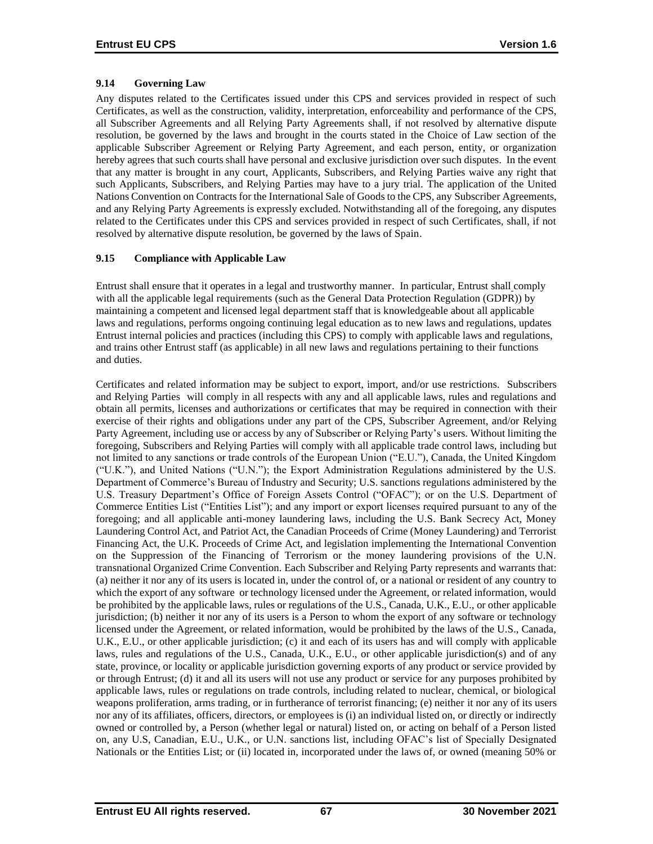# **9.14 Governing Law**

Any disputes related to the Certificates issued under this CPS and services provided in respect of such Certificates, as well as the construction, validity, interpretation, enforceability and performance of the CPS, all Subscriber Agreements and all Relying Party Agreements shall, if not resolved by alternative dispute resolution, be governed by the laws and brought in the courts stated in the Choice of Law section of the applicable Subscriber Agreement or Relying Party Agreement, and each person, entity, or organization hereby agrees that such courts shall have personal and exclusive jurisdiction over such disputes. In the event that any matter is brought in any court, Applicants, Subscribers, and Relying Parties waive any right that such Applicants, Subscribers, and Relying Parties may have to a jury trial. The application of the United Nations Convention on Contracts for the International Sale of Goods to the CPS, any Subscriber Agreements, and any Relying Party Agreements is expressly excluded. Notwithstanding all of the foregoing, any disputes related to the Certificates under this CPS and services provided in respect of such Certificates, shall, if not resolved by alternative dispute resolution, be governed by the laws of Spain.

# **9.15 Compliance with Applicable Law**

Entrust shall ensure that it operates in a legal and trustworthy manner. In particular, Entrust shall comply with all the applicable legal requirements (such as the General Data Protection Regulation (GDPR)) by maintaining a competent and licensed legal department staff that is knowledgeable about all applicable laws and regulations, performs ongoing continuing legal education as to new laws and regulations, updates Entrust internal policies and practices (including this CPS) to comply with applicable laws and regulations, and trains other Entrust staff (as applicable) in all new laws and regulations pertaining to their functions and duties.

Certificates and related information may be subject to export, import, and/or use restrictions. Subscribers and Relying Parties will comply in all respects with any and all applicable laws, rules and regulations and obtain all permits, licenses and authorizations or certificates that may be required in connection with their exercise of their rights and obligations under any part of the CPS, Subscriber Agreement, and/or Relying Party Agreement, including use or access by any of Subscriber or Relying Party's users. Without limiting the foregoing, Subscribers and Relying Parties will comply with all applicable trade control laws, including but not limited to any sanctions or trade controls of the European Union ("E.U."), Canada, the United Kingdom ("U.K."), and United Nations ("U.N."); the Export Administration Regulations administered by the U.S. Department of Commerce's Bureau of Industry and Security; U.S. sanctions regulations administered by the U.S. Treasury Department's Office of Foreign Assets Control ("OFAC"); or on the U.S. Department of Commerce Entities List ("Entities List"); and any import or export licenses required pursuant to any of the foregoing; and all applicable anti-money laundering laws, including the U.S. Bank Secrecy Act, Money Laundering Control Act, and Patriot Act, the Canadian Proceeds of Crime (Money Laundering) and Terrorist Financing Act, the U.K. Proceeds of Crime Act, and legislation implementing the International Convention on the Suppression of the Financing of Terrorism or the money laundering provisions of the U.N. transnational Organized Crime Convention. Each Subscriber and Relying Party represents and warrants that: (a) neither it nor any of its users is located in, under the control of, or a national or resident of any country to which the export of any software or technology licensed under the Agreement, or related information, would be prohibited by the applicable laws, rules or regulations of the U.S., Canada, U.K., E.U., or other applicable jurisdiction; (b) neither it nor any of its users is a Person to whom the export of any software or technology licensed under the Agreement, or related information, would be prohibited by the laws of the U.S., Canada, U.K., E.U., or other applicable jurisdiction; (c) it and each of its users has and will comply with applicable laws, rules and regulations of the U.S., Canada, U.K., E.U., or other applicable jurisdiction(s) and of any state, province, or locality or applicable jurisdiction governing exports of any product or service provided by or through Entrust; (d) it and all its users will not use any product or service for any purposes prohibited by applicable laws, rules or regulations on trade controls, including related to nuclear, chemical, or biological weapons proliferation, arms trading, or in furtherance of terrorist financing; (e) neither it nor any of its users nor any of its affiliates, officers, directors, or employees is (i) an individual listed on, or directly or indirectly owned or controlled by, a Person (whether legal or natural) listed on, or acting on behalf of a Person listed on, any U.S, Canadian, E.U., U.K., or U.N. sanctions list, including OFAC's list of Specially Designated Nationals or the Entities List; or (ii) located in, incorporated under the laws of, or owned (meaning 50% or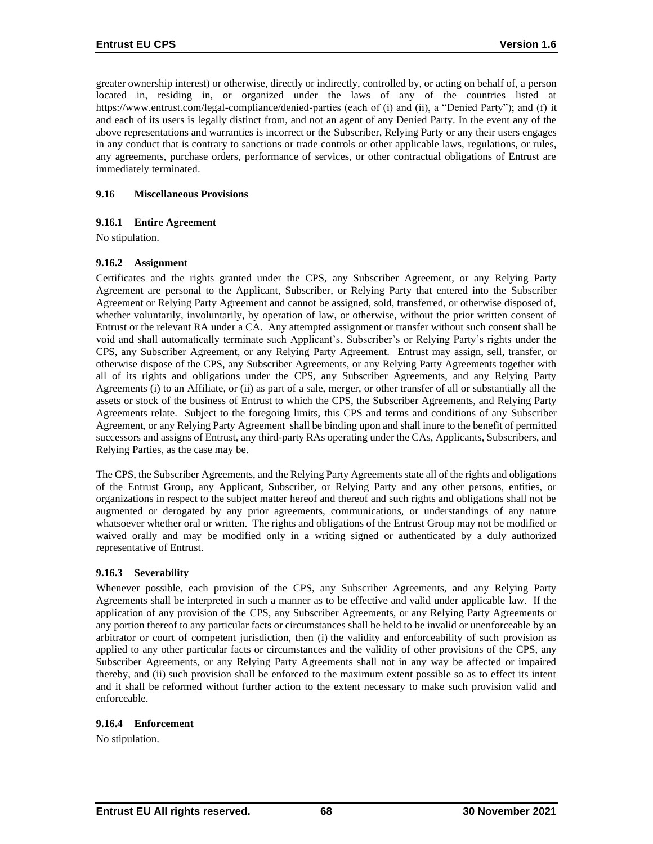greater ownership interest) or otherwise, directly or indirectly, controlled by, or acting on behalf of, a person located in, residing in, or organized under the laws of any of the countries listed at https://www.entrust.com/legal-compliance/denied-parties (each of (i) and (ii), a "Denied Party"); and (f) it and each of its users is legally distinct from, and not an agent of any Denied Party. In the event any of the above representations and warranties is incorrect or the Subscriber, Relying Party or any their users engages in any conduct that is contrary to sanctions or trade controls or other applicable laws, regulations, or rules, any agreements, purchase orders, performance of services, or other contractual obligations of Entrust are immediately terminated.

## **9.16 Miscellaneous Provisions**

## **9.16.1 Entire Agreement**

No stipulation.

## **9.16.2 Assignment**

Certificates and the rights granted under the CPS, any Subscriber Agreement, or any Relying Party Agreement are personal to the Applicant, Subscriber, or Relying Party that entered into the Subscriber Agreement or Relying Party Agreement and cannot be assigned, sold, transferred, or otherwise disposed of, whether voluntarily, involuntarily, by operation of law, or otherwise, without the prior written consent of Entrust or the relevant RA under a CA. Any attempted assignment or transfer without such consent shall be void and shall automatically terminate such Applicant's, Subscriber's or Relying Party's rights under the CPS, any Subscriber Agreement, or any Relying Party Agreement. Entrust may assign, sell, transfer, or otherwise dispose of the CPS, any Subscriber Agreements, or any Relying Party Agreements together with all of its rights and obligations under the CPS, any Subscriber Agreements, and any Relying Party Agreements (i) to an Affiliate, or (ii) as part of a sale, merger, or other transfer of all or substantially all the assets or stock of the business of Entrust to which the CPS, the Subscriber Agreements, and Relying Party Agreements relate. Subject to the foregoing limits, this CPS and terms and conditions of any Subscriber Agreement, or any Relying Party Agreement shall be binding upon and shall inure to the benefit of permitted successors and assigns of Entrust, any third-party RAs operating under the CAs, Applicants, Subscribers, and Relying Parties, as the case may be.

The CPS, the Subscriber Agreements, and the Relying Party Agreements state all of the rights and obligations of the Entrust Group, any Applicant, Subscriber, or Relying Party and any other persons, entities, or organizations in respect to the subject matter hereof and thereof and such rights and obligations shall not be augmented or derogated by any prior agreements, communications, or understandings of any nature whatsoever whether oral or written. The rights and obligations of the Entrust Group may not be modified or waived orally and may be modified only in a writing signed or authenticated by a duly authorized representative of Entrust.

#### **9.16.3 Severability**

Whenever possible, each provision of the CPS, any Subscriber Agreements, and any Relying Party Agreements shall be interpreted in such a manner as to be effective and valid under applicable law. If the application of any provision of the CPS, any Subscriber Agreements, or any Relying Party Agreements or any portion thereof to any particular facts or circumstances shall be held to be invalid or unenforceable by an arbitrator or court of competent jurisdiction, then (i) the validity and enforceability of such provision as applied to any other particular facts or circumstances and the validity of other provisions of the CPS, any Subscriber Agreements, or any Relying Party Agreements shall not in any way be affected or impaired thereby, and (ii) such provision shall be enforced to the maximum extent possible so as to effect its intent and it shall be reformed without further action to the extent necessary to make such provision valid and enforceable.

#### **9.16.4 Enforcement**

No stipulation.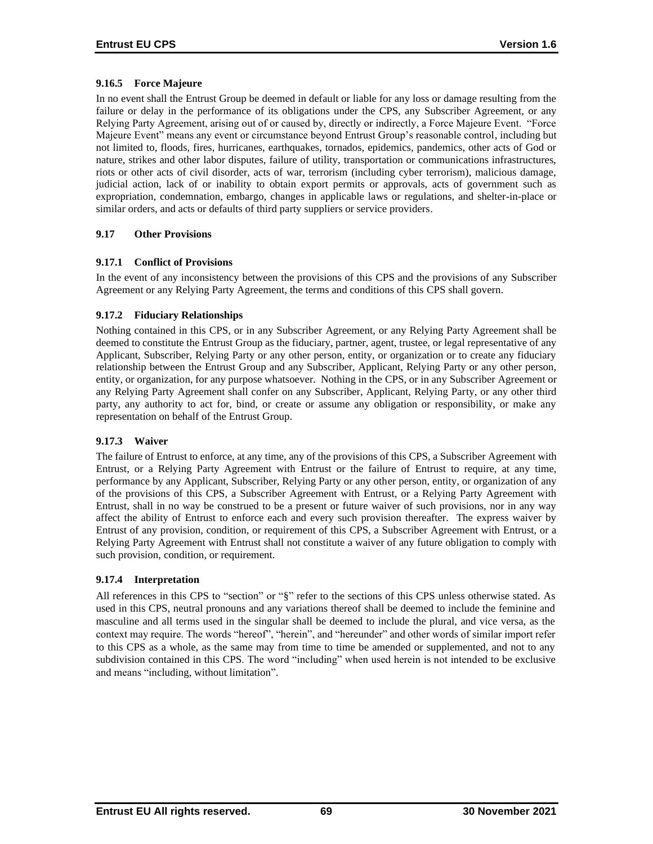# **9.16.5 Force Majeure**

In no event shall the Entrust Group be deemed in default or liable for any loss or damage resulting from the failure or delay in the performance of its obligations under the CPS, any Subscriber Agreement, or any Relying Party Agreement, arising out of or caused by, directly or indirectly, a Force Majeure Event. "Force Majeure Event" means any event or circumstance beyond Entrust Group's reasonable control, including but not limited to, floods, fires, hurricanes, earthquakes, tornados, epidemics, pandemics, other acts of God or nature, strikes and other labor disputes, failure of utility, transportation or communications infrastructures, riots or other acts of civil disorder, acts of war, terrorism (including cyber terrorism), malicious damage, judicial action, lack of or inability to obtain export permits or approvals, acts of government such as expropriation, condemnation, embargo, changes in applicable laws or regulations, and shelter-in-place or similar orders, and acts or defaults of third party suppliers or service providers.

## **9.17 Other Provisions**

## **9.17.1 Conflict of Provisions**

In the event of any inconsistency between the provisions of this CPS and the provisions of any Subscriber Agreement or any Relying Party Agreement, the terms and conditions of this CPS shall govern.

## **9.17.2 Fiduciary Relationships**

Nothing contained in this CPS, or in any Subscriber Agreement, or any Relying Party Agreement shall be deemed to constitute the Entrust Group as the fiduciary, partner, agent, trustee, or legal representative of any Applicant, Subscriber, Relying Party or any other person, entity, or organization or to create any fiduciary relationship between the Entrust Group and any Subscriber, Applicant, Relying Party or any other person, entity, or organization, for any purpose whatsoever. Nothing in the CPS, or in any Subscriber Agreement or any Relying Party Agreement shall confer on any Subscriber, Applicant, Relying Party, or any other third party, any authority to act for, bind, or create or assume any obligation or responsibility, or make any representation on behalf of the Entrust Group.

# **9.17.3 Waiver**

The failure of Entrust to enforce, at any time, any of the provisions of this CPS, a Subscriber Agreement with Entrust, or a Relying Party Agreement with Entrust or the failure of Entrust to require, at any time, performance by any Applicant, Subscriber, Relying Party or any other person, entity, or organization of any of the provisions of this CPS, a Subscriber Agreement with Entrust, or a Relying Party Agreement with Entrust, shall in no way be construed to be a present or future waiver of such provisions, nor in any way affect the ability of Entrust to enforce each and every such provision thereafter. The express waiver by Entrust of any provision, condition, or requirement of this CPS, a Subscriber Agreement with Entrust, or a Relying Party Agreement with Entrust shall not constitute a waiver of any future obligation to comply with such provision, condition, or requirement.

#### **9.17.4 Interpretation**

All references in this CPS to "section" or "§" refer to the sections of this CPS unless otherwise stated. As used in this CPS, neutral pronouns and any variations thereof shall be deemed to include the feminine and masculine and all terms used in the singular shall be deemed to include the plural, and vice versa, as the context may require. The words "hereof", "herein", and "hereunder" and other words of similar import refer to this CPS as a whole, as the same may from time to time be amended or supplemented, and not to any subdivision contained in this CPS. The word "including" when used herein is not intended to be exclusive and means "including, without limitation".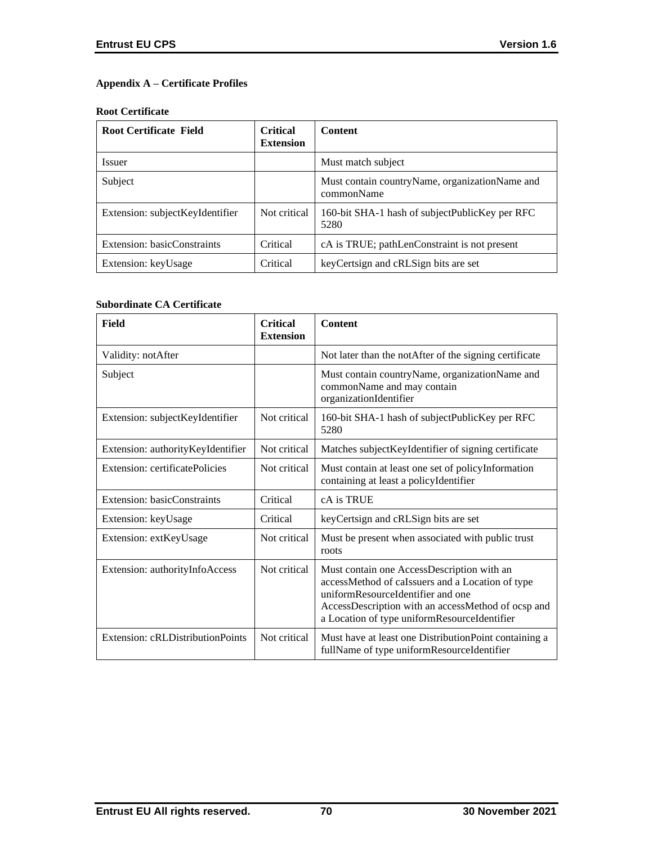# **Appendix A – Certificate Profiles**

#### **Root Certificate**

| <b>Root Certificate Field</b>   | <b>Critical</b><br><b>Extension</b> | <b>Content</b>                                                 |
|---------------------------------|-------------------------------------|----------------------------------------------------------------|
| <i>Issuer</i>                   |                                     | Must match subject                                             |
| Subject                         |                                     | Must contain country Name, organization Name and<br>commonName |
| Extension: subjectKeyIdentifier | Not critical                        | 160-bit SHA-1 hash of subjectPublicKey per RFC<br>5280         |
| Extension: basicConstraints     | Critical                            | cA is TRUE; pathLenConstraint is not present                   |
| Extension: keyUsage             | Critical                            | key Certsign and cRLSign bits are set                          |

## **Subordinate CA Certificate**

| Field                             | <b>Critical</b><br><b>Extension</b> | <b>Content</b>                                                                                                                                                                                                                            |
|-----------------------------------|-------------------------------------|-------------------------------------------------------------------------------------------------------------------------------------------------------------------------------------------------------------------------------------------|
| Validity: notAfter                |                                     | Not later than the notAfter of the signing certificate                                                                                                                                                                                    |
| Subject                           |                                     | Must contain countryName, organizationName and<br>commonName and may contain<br>organizationIdentifier                                                                                                                                    |
| Extension: subjectKeyIdentifier   | Not critical                        | 160-bit SHA-1 hash of subjectPublicKey per RFC<br>5280                                                                                                                                                                                    |
| Extension: authorityKeyIdentifier | Not critical                        | Matches subject KeyIdentifier of signing certificate                                                                                                                                                                                      |
| Extension: certificatePolicies    | Not critical                        | Must contain at least one set of policyInformation<br>containing at least a policyIdentifier                                                                                                                                              |
| Extension: basicConstraints       | Critical                            | cA is TRUE                                                                                                                                                                                                                                |
| Extension: keyUsage               | Critical                            | keyCertsign and cRLSign bits are set                                                                                                                                                                                                      |
| Extension: extKeyUsage            | Not critical                        | Must be present when associated with public trust<br>roots                                                                                                                                                                                |
| Extension: authorityInfoAccess    | Not critical                        | Must contain one AccessDescription with an<br>accessMethod of caIssuers and a Location of type<br>uniformResourceIdentifier and one<br>AccessDescription with an accessMethod of ocsp and<br>a Location of type uniformResourceIdentifier |
| Extension: cRLDistributionPoints  | Not critical                        | Must have at least one DistributionPoint containing a<br>fullName of type uniformResourceIdentifier                                                                                                                                       |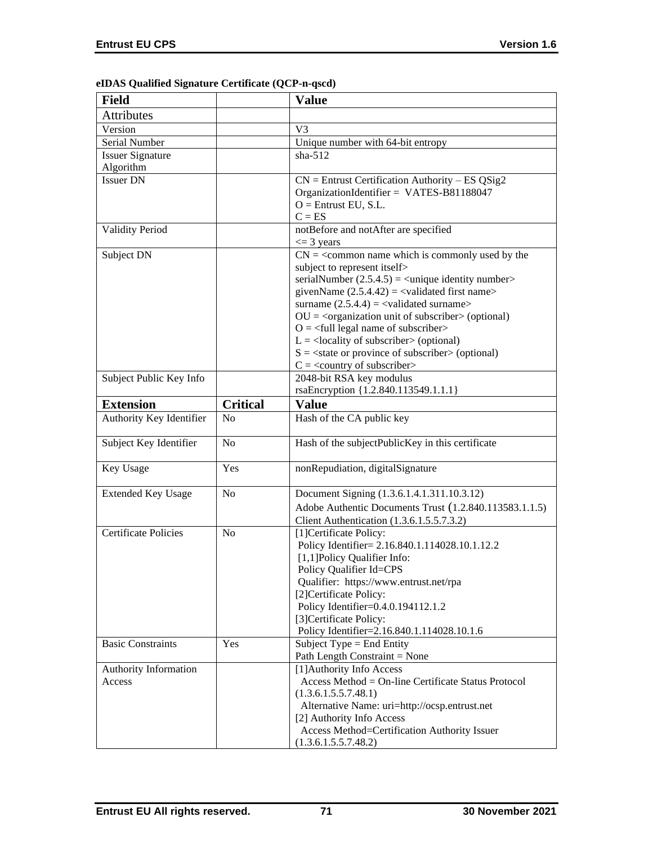|  |  |  |  | eIDAS Qualified Signature Certificate (QCP-n-qscd) |  |
|--|--|--|--|----------------------------------------------------|--|
|--|--|--|--|----------------------------------------------------|--|

| <b>Field</b>                    |                 | <b>Value</b>                                                                                                                                                                                                                                                                                                                                                                                                                                                                                                                                                                                                                                                   |
|---------------------------------|-----------------|----------------------------------------------------------------------------------------------------------------------------------------------------------------------------------------------------------------------------------------------------------------------------------------------------------------------------------------------------------------------------------------------------------------------------------------------------------------------------------------------------------------------------------------------------------------------------------------------------------------------------------------------------------------|
| <b>Attributes</b>               |                 |                                                                                                                                                                                                                                                                                                                                                                                                                                                                                                                                                                                                                                                                |
| Version                         |                 | V <sub>3</sub>                                                                                                                                                                                                                                                                                                                                                                                                                                                                                                                                                                                                                                                 |
| Serial Number                   |                 | Unique number with 64-bit entropy                                                                                                                                                                                                                                                                                                                                                                                                                                                                                                                                                                                                                              |
| <b>Issuer Signature</b>         |                 | $sha-512$                                                                                                                                                                                                                                                                                                                                                                                                                                                                                                                                                                                                                                                      |
| Algorithm                       |                 |                                                                                                                                                                                                                                                                                                                                                                                                                                                                                                                                                                                                                                                                |
| <b>Issuer DN</b>                |                 | $CN =$ Entrust Certification Authority – ES QSig2<br>OrganizationIdentifier = VATES-B81188047<br>$O =$ Entrust EU, S.L.<br>$C = ES$                                                                                                                                                                                                                                                                                                                                                                                                                                                                                                                            |
| <b>Validity Period</b>          |                 | notBefore and notAfter are specified<br>$\leq$ 3 years                                                                                                                                                                                                                                                                                                                                                                                                                                                                                                                                                                                                         |
| Subject DN                      |                 | $CN =$ < common name which is commonly used by the<br>subject to represent itself><br>serialNumber $(2.5.4.5)$ = <unique identity="" number=""><br/>givenName <math>(2.5.4.42) = \langle</math>validated first name&gt;<br/>surname <math>(2.5.4.4) =</math> <validated surname=""><br/><math>OU = corganization unit of subscripter &gt; (optional)</math><br/><math>O = \frac{1}{2}</math> legal name of subscriber<br/><math>L =</math> <locality of="" subscriber=""> (optional)<br/><math>S = \text{state or province of subscriber} &gt; \text{(optional)}</math><br/><math>C = \langle</math> country of subscriber&gt;</locality></validated></unique> |
| Subject Public Key Info         |                 | 2048-bit RSA key modulus                                                                                                                                                                                                                                                                                                                                                                                                                                                                                                                                                                                                                                       |
| <b>Extension</b>                | <b>Critical</b> | rsaEncryption {1.2.840.113549.1.1.1}<br><b>Value</b>                                                                                                                                                                                                                                                                                                                                                                                                                                                                                                                                                                                                           |
|                                 |                 |                                                                                                                                                                                                                                                                                                                                                                                                                                                                                                                                                                                                                                                                |
| Authority Key Identifier        | N <sub>0</sub>  | Hash of the CA public key                                                                                                                                                                                                                                                                                                                                                                                                                                                                                                                                                                                                                                      |
| Subject Key Identifier          | N <sub>o</sub>  | Hash of the subjectPublicKey in this certificate                                                                                                                                                                                                                                                                                                                                                                                                                                                                                                                                                                                                               |
| Key Usage                       | Yes             | nonRepudiation, digitalSignature                                                                                                                                                                                                                                                                                                                                                                                                                                                                                                                                                                                                                               |
| <b>Extended Key Usage</b>       | No              | Document Signing (1.3.6.1.4.1.311.10.3.12)<br>Adobe Authentic Documents Trust (1.2.840.113583.1.1.5)<br>Client Authentication (1.3.6.1.5.5.7.3.2)                                                                                                                                                                                                                                                                                                                                                                                                                                                                                                              |
| <b>Certificate Policies</b>     | No              | [1] Certificate Policy:<br>Policy Identifier= 2.16.840.1.114028.10.1.12.2<br>[1,1]Policy Qualifier Info:<br>Policy Qualifier Id=CPS<br>Qualifier: https://www.entrust.net/rpa<br>[2]Certificate Policy:<br>Policy Identifier=0.4.0.194112.1.2<br>[3] Certificate Policy:<br>Policy Identifier=2.16.840.1.114028.10.1.6                                                                                                                                                                                                                                                                                                                                         |
| <b>Basic Constraints</b>        | Yes             | Subject Type = End Entity<br>Path Length Constraint = None                                                                                                                                                                                                                                                                                                                                                                                                                                                                                                                                                                                                     |
| Authority Information<br>Access |                 | [1] Authority Info Access<br>Access Method = On-line Certificate Status Protocol<br>(1.3.6.1.5.5.7.48.1)<br>Alternative Name: uri=http://ocsp.entrust.net<br>[2] Authority Info Access<br>Access Method=Certification Authority Issuer<br>(1.3.6.1.5.5.7.48.2)                                                                                                                                                                                                                                                                                                                                                                                                 |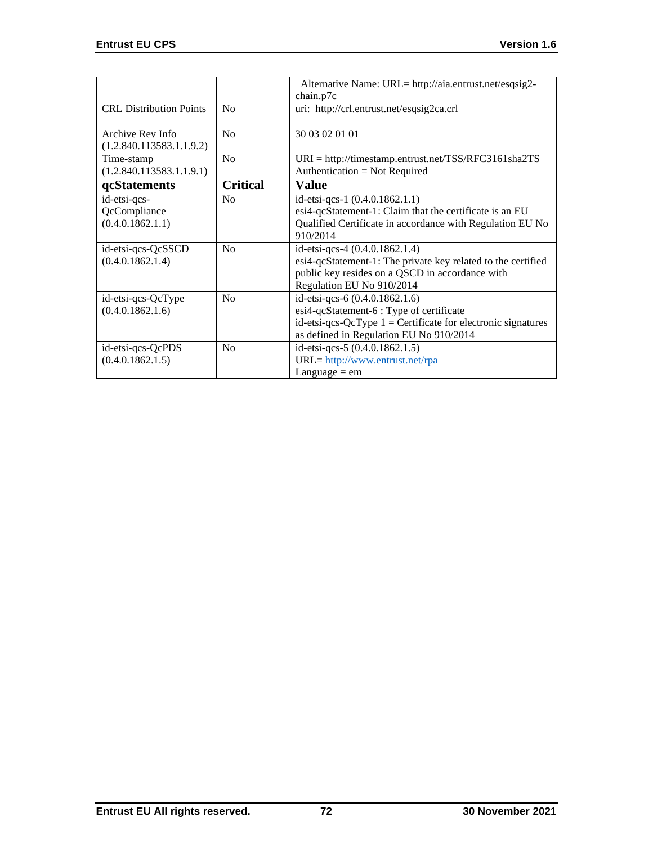|                                |                 | Alternative Name: URL= http://aia.entrust.net/esqsig2-          |
|--------------------------------|-----------------|-----------------------------------------------------------------|
|                                |                 | chain.p7c                                                       |
| <b>CRL</b> Distribution Points | N <sub>0</sub>  | uri: http://crl.entrust.net/esqsig2ca.crl                       |
|                                |                 |                                                                 |
| Archive Rev Info               | No              | 30 03 02 01 01                                                  |
| (1.2.840.113583.1.1.9.2)       |                 |                                                                 |
| Time-stamp                     | No              | $URI = \frac{http://time stamp.entrust.net/TSS/RFC3161sha2TS}{$ |
| (1.2.840.113583.1.1.9.1)       |                 | Authentication = Not Required                                   |
| qcStatements                   | <b>Critical</b> | Value                                                           |
| id-etsi-qcs-                   | No              | id-etsi-qcs-1 (0.4.0.1862.1.1)                                  |
| QcCompliance                   |                 | esi4-qcStatement-1: Claim that the certificate is an EU         |
| (0.4.0.1862.1.1)               |                 | Qualified Certificate in accordance with Regulation EU No       |
|                                |                 | 910/2014                                                        |
| id-etsi-qcs-QcSSCD             | No              | id-etsi-qcs-4 (0.4.0.1862.1.4)                                  |
| (0.4.0.1862.1.4)               |                 | esi4-qcStatement-1: The private key related to the certified    |
|                                |                 | public key resides on a QSCD in accordance with                 |
|                                |                 | Regulation EU No 910/2014                                       |
| id-etsi-qcs-QcType             | No              | id-etsi-qcs-6 (0.4.0.1862.1.6)                                  |
| (0.4.0.1862.1.6)               |                 | esi4-qcStatement-6 : Type of certificate                        |
|                                |                 | id-etsi-qcs-QcType $1 =$ Certificate for electronic signatures  |
|                                |                 | as defined in Regulation EU No 910/2014                         |
| id-etsi-qcs-QcPDS              | No              | id-etsi-qcs-5 (0.4.0.1862.1.5)                                  |
| (0.4.0.1862.1.5)               |                 | URL= http://www.entrust.net/rpa                                 |
|                                |                 | Language $=$ em                                                 |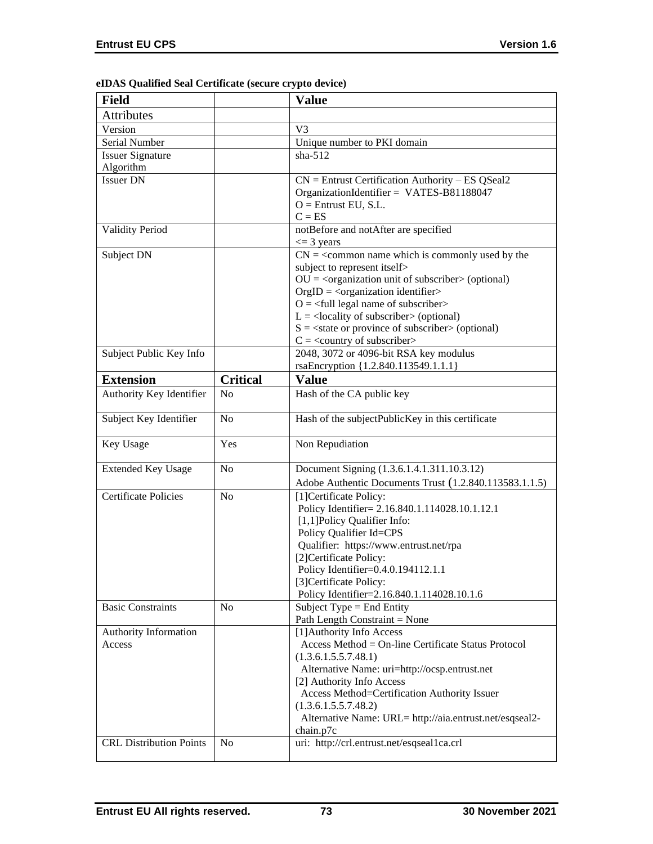| <b>Field</b>                   |                 | <b>Value</b>                                                          |
|--------------------------------|-----------------|-----------------------------------------------------------------------|
| <b>Attributes</b>              |                 |                                                                       |
| Version                        |                 | V <sub>3</sub>                                                        |
| Serial Number                  |                 | Unique number to PKI domain                                           |
| <b>Issuer Signature</b>        |                 | $sha-512$                                                             |
| Algorithm                      |                 |                                                                       |
| <b>Issuer DN</b>               |                 | $CN =$ Entrust Certification Authority – ES QSeal2                    |
|                                |                 | OrganizationIdentifier = VATES-B81188047                              |
|                                |                 | $O =$ Entrust EU, S.L.                                                |
|                                |                 | $C = ES$                                                              |
| <b>Validity Period</b>         |                 | notBefore and notAfter are specified                                  |
| Subject DN                     |                 | $\leq$ 3 years<br>$CN =$ < common name which is commonly used by the  |
|                                |                 | subject to represent itself>                                          |
|                                |                 | $OU = corganization unit of subscripter > (optional)$                 |
|                                |                 | $OrgID = <$ organization identifier>                                  |
|                                |                 | $Q = \text{full legal name of subscriber}$                            |
|                                |                 | $L =$ <locality of="" subscriber=""> (optional)</locality>            |
|                                |                 | $S = \text{state}$ or province of subscriber > (optional)             |
|                                |                 | $C = \langle$ country of subscriber>                                  |
| Subject Public Key Info        |                 | 2048, 3072 or 4096-bit RSA key modulus                                |
|                                |                 | rsaEncryption {1.2.840.113549.1.1.1}                                  |
| <b>Extension</b>               | <b>Critical</b> | <b>Value</b>                                                          |
| Authority Key Identifier       | N <sub>o</sub>  | Hash of the CA public key                                             |
| Subject Key Identifier         | N <sub>o</sub>  | Hash of the subjectPublicKey in this certificate                      |
| Key Usage                      | Yes             | Non Repudiation                                                       |
| <b>Extended Key Usage</b>      | N <sub>o</sub>  | Document Signing (1.3.6.1.4.1.311.10.3.12)                            |
|                                |                 | Adobe Authentic Documents Trust (1.2.840.113583.1.1.5)                |
| <b>Certificate Policies</b>    | N <sub>o</sub>  | [1] Certificate Policy:                                               |
|                                |                 | Policy Identifier= 2.16.840.1.114028.10.1.12.1                        |
|                                |                 | [1,1]Policy Qualifier Info:                                           |
|                                |                 | Policy Qualifier Id=CPS                                               |
|                                |                 | Qualifier: https://www.entrust.net/rpa                                |
|                                |                 | [2]Certificate Policy:                                                |
|                                |                 | Policy Identifier=0.4.0.194112.1.1                                    |
|                                |                 | [3] Certificate Policy:<br>Policy Identifier=2.16.840.1.114028.10.1.6 |
| <b>Basic Constraints</b>       | N <sub>o</sub>  | Subject Type = End Entity                                             |
|                                |                 | Path Length Constraint = None                                         |
| <b>Authority Information</b>   |                 | [1] Authority Info Access                                             |
| Access                         |                 | Access Method = On-line Certificate Status Protocol                   |
|                                |                 | (1.3.6.1.5.5.7.48.1)                                                  |
|                                |                 | Alternative Name: uri=http://ocsp.entrust.net                         |
|                                |                 | [2] Authority Info Access                                             |
|                                |                 | Access Method=Certification Authority Issuer                          |
|                                |                 | (1.3.6.1.5.5.7.48.2)                                                  |
|                                |                 | Alternative Name: URL= http://aia.entrust.net/esqseal2-               |
| <b>CRL Distribution Points</b> | N <sub>o</sub>  | chain.p7c<br>uri: http://crl.entrust.net/esqseal1ca.crl               |
|                                |                 |                                                                       |

# **eIDAS Qualified Seal Certificate (secure crypto device)**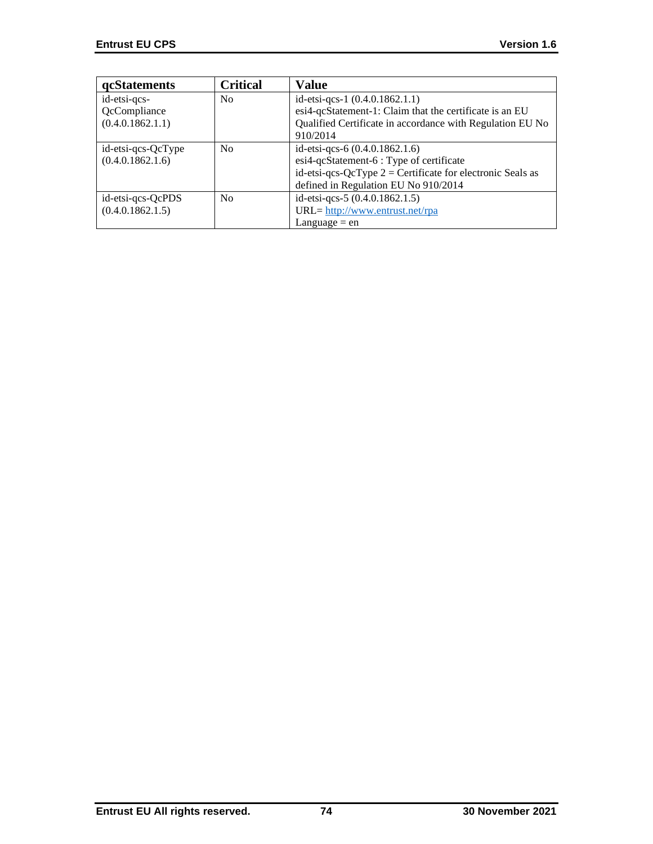| <b>qcStatements</b> | <b>Critical</b> | Value                                                        |
|---------------------|-----------------|--------------------------------------------------------------|
| id-etsi-qcs-        | N <sub>0</sub>  | id-etsi-qcs-1 (0.4.0.1862.1.1)                               |
| QcCompliance        |                 | esi4-qcStatement-1: Claim that the certificate is an EU      |
| (0.4.0.1862.1.1)    |                 | Qualified Certificate in accordance with Regulation EU No    |
|                     |                 | 910/2014                                                     |
| id-etsi-qcs-QcType  | N <sub>0</sub>  | id-etsi-qcs-6 $(0.4.0.1862.1.6)$                             |
| (0.4.0.1862.1.6)    |                 | esi4-qcStatement-6 : Type of certificate                     |
|                     |                 | id-etsi-qcs-QcType $2 =$ Certificate for electronic Seals as |
|                     |                 | defined in Regulation EU No 910/2014                         |
| id-etsi-qcs-QcPDS   | No              | id-etsi-qcs-5 (0.4.0.1862.1.5)                               |
| (0.4.0.1862.1.5)    |                 | URL= http://www.entrust.net/rpa                              |
|                     |                 | Language $=$ en                                              |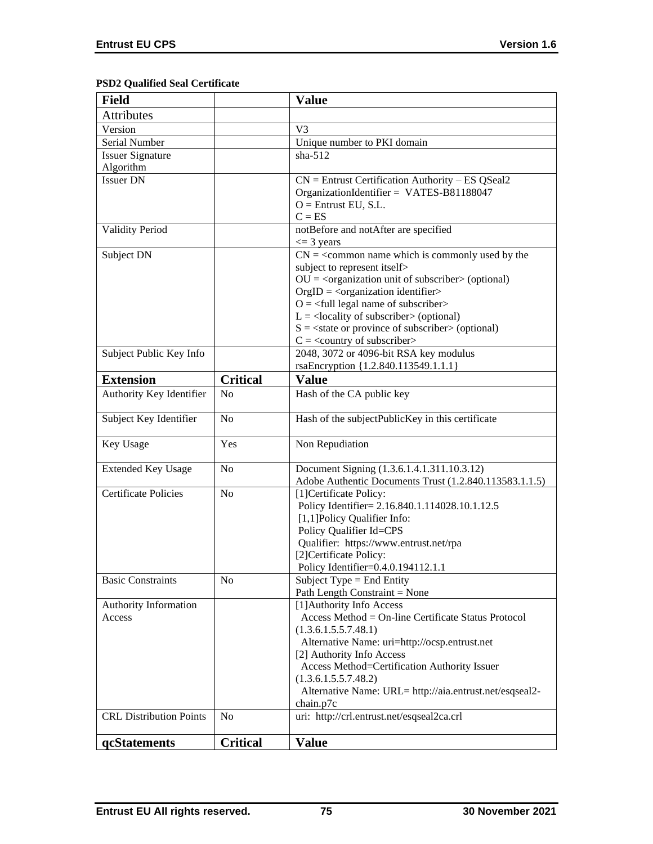# **PSD2 Qualified Seal Certificate**

| <b>Field</b>                   |                 | <b>Value</b>                                                                       |
|--------------------------------|-----------------|------------------------------------------------------------------------------------|
| <b>Attributes</b>              |                 |                                                                                    |
| Version                        |                 | V <sub>3</sub>                                                                     |
| Serial Number                  |                 | Unique number to PKI domain                                                        |
| <b>Issuer Signature</b>        |                 | $sha-512$                                                                          |
| Algorithm                      |                 |                                                                                    |
| <b>Issuer DN</b>               |                 | $CN =$ Entrust Certification Authority – ES QSeal2                                 |
|                                |                 | OrganizationIdentifier = VATES-B81188047                                           |
|                                |                 | $O =$ Entrust EU, S.L.                                                             |
|                                |                 | $C = ES$                                                                           |
| <b>Validity Period</b>         |                 | notBefore and notAfter are specified                                               |
|                                |                 | $\leq$ 3 years                                                                     |
| Subject DN                     |                 | $CN =$ < common name which is commonly used by the                                 |
|                                |                 | subject to represent itself>                                                       |
|                                |                 | $OU = corganization unit of subscripter > (optional)$                              |
|                                |                 | $OrgID = <$ organization identifier><br>$O = \frac{1}{2}$ legal name of subscriber |
|                                |                 | $L =$ <locality of="" subscriber=""> (optional)</locality>                         |
|                                |                 | $S = \text{state or province of subscriber} > \text{(optional)}$                   |
|                                |                 | $C = \langle$ country of subscriber>                                               |
| Subject Public Key Info        |                 | 2048, 3072 or 4096-bit RSA key modulus                                             |
|                                |                 | rsaEncryption {1.2.840.113549.1.1.1}                                               |
| <b>Extension</b>               | <b>Critical</b> | <b>Value</b>                                                                       |
| Authority Key Identifier       | N <sub>o</sub>  | Hash of the CA public key                                                          |
|                                |                 |                                                                                    |
| Subject Key Identifier         | N <sub>o</sub>  | Hash of the subjectPublicKey in this certificate                                   |
|                                |                 |                                                                                    |
| Key Usage                      | Yes             | Non Repudiation                                                                    |
|                                |                 |                                                                                    |
| <b>Extended Key Usage</b>      | N <sub>o</sub>  | Document Signing (1.3.6.1.4.1.311.10.3.12)                                         |
|                                |                 | Adobe Authentic Documents Trust (1.2.840.113583.1.1.5)                             |
| <b>Certificate Policies</b>    | N <sub>o</sub>  | [1] Certificate Policy:                                                            |
|                                |                 | Policy Identifier= 2.16.840.1.114028.10.1.12.5                                     |
|                                |                 | [1,1]Policy Qualifier Info:<br>Policy Qualifier Id=CPS                             |
|                                |                 | Qualifier: https://www.entrust.net/rpa                                             |
|                                |                 | [2]Certificate Policy:                                                             |
|                                |                 | Policy Identifier=0.4.0.194112.1.1                                                 |
| <b>Basic Constraints</b>       | N <sub>0</sub>  | Subject Type = End Entity                                                          |
|                                |                 | Path Length Constraint = None                                                      |
| Authority Information          |                 | [1] Authority Info Access                                                          |
| Access                         |                 | Access Method = On-line Certificate Status Protocol                                |
|                                |                 | (1.3.6.1.5.5.7.48.1)                                                               |
|                                |                 | Alternative Name: uri=http://ocsp.entrust.net                                      |
|                                |                 | [2] Authority Info Access                                                          |
|                                |                 | Access Method=Certification Authority Issuer                                       |
|                                |                 | (1.3.6.1.5.5.7.48.2)                                                               |
|                                |                 | Alternative Name: URL= http://aia.entrust.net/esqseal2-                            |
|                                |                 | chain.p7c                                                                          |
| <b>CRL Distribution Points</b> | N <sub>0</sub>  | uri: http://crl.entrust.net/esqseal2ca.crl                                         |
|                                | <b>Critical</b> | <b>Value</b>                                                                       |
| qcStatements                   |                 |                                                                                    |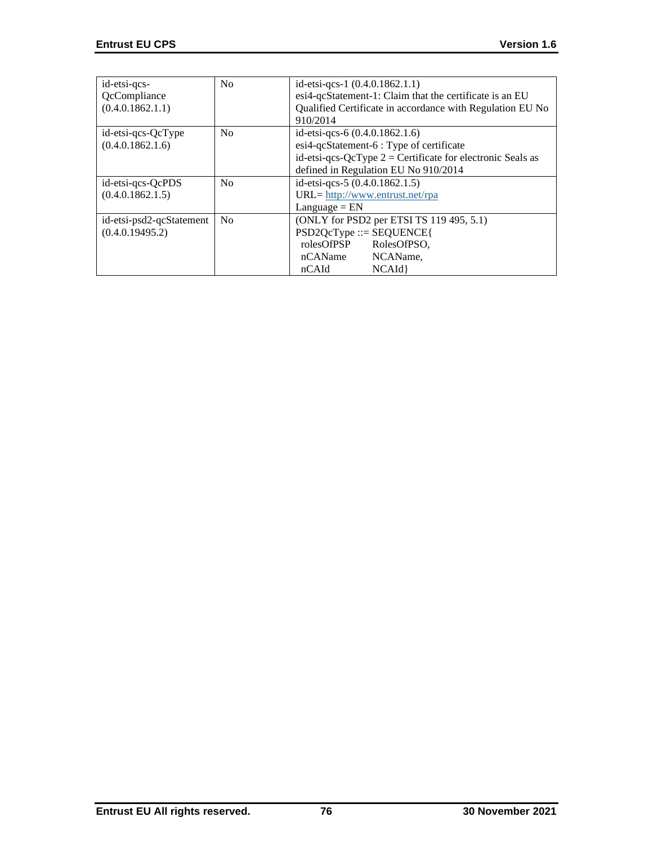| id-etsi-qcs-<br>QcCompliance<br>(0.4.0.1862.1.1) | No | id-etsi-qcs-1 (0.4.0.1862.1.1)<br>esi4-qcStatement-1: Claim that the certificate is an EU<br>Qualified Certificate in accordance with Regulation EU No<br>910/2014                   |
|--------------------------------------------------|----|--------------------------------------------------------------------------------------------------------------------------------------------------------------------------------------|
| id-etsi-qcs-QcType<br>(0.4.0.1862.1.6)           | No | id-etsi-qcs-6 $(0.4.0.1862.1.6)$<br>esi4-qcStatement-6 : Type of certificate<br>id-etsi-qcs-QcType $2 =$ Certificate for electronic Seals as<br>defined in Regulation EU No 910/2014 |
| id-etsi-qcs-QcPDS<br>(0.4.0.1862.1.5)            | No | id-etsi-qcs-5 (0.4.0.1862.1.5)<br>$URL = \frac{http://www.entrust.net/rpa}{}$<br>$L$ anguage = $EN$                                                                                  |
| id-etsi-psd2-qcStatement<br>(0.4.0.19495.2)      | No | (ONLY for PSD2 per ETSI TS 119 495, 5.1)<br>$PSD2QcType ::= SEQUENCE$<br>rolesOfPSP<br>RolesOfPSO,<br>nCAName<br>NCAName.<br>NCAId<br>nCAId                                          |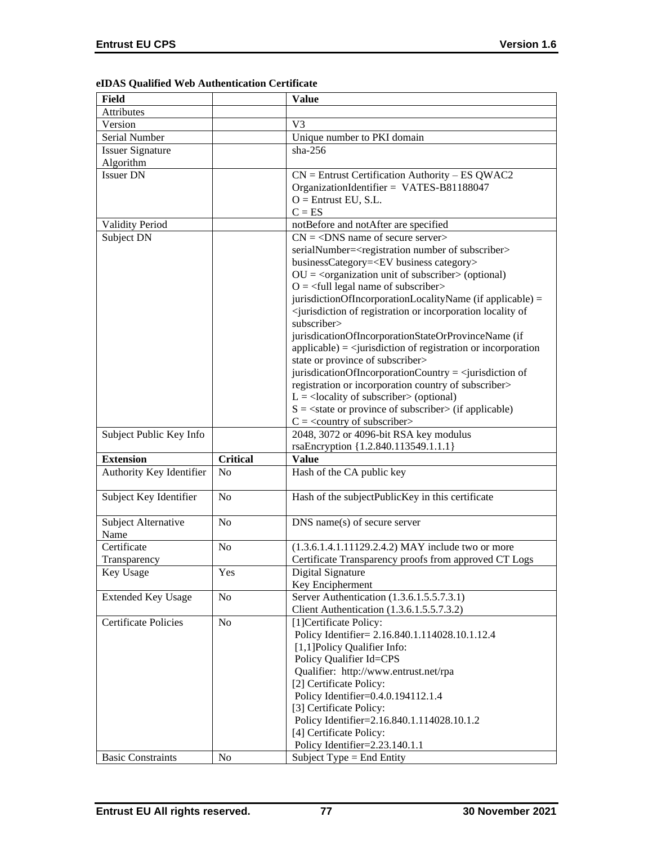|  |  | eIDAS Qualified Web Authentication Certificate |  |
|--|--|------------------------------------------------|--|
|--|--|------------------------------------------------|--|

| <b>Field</b>                |                 | <b>Value</b>                                                                                        |
|-----------------------------|-----------------|-----------------------------------------------------------------------------------------------------|
| <b>Attributes</b>           |                 |                                                                                                     |
| Version                     |                 | V <sub>3</sub>                                                                                      |
| Serial Number               |                 | Unique number to PKI domain                                                                         |
| <b>Issuer Signature</b>     |                 | $sha-256$                                                                                           |
| Algorithm                   |                 |                                                                                                     |
| <b>Issuer DN</b>            |                 | $CN =$ Entrust Certification Authority – ES QWAC2                                                   |
|                             |                 | OrganizationIdentifier = VATES-B81188047                                                            |
|                             |                 | $O =$ Entrust EU, S.L.                                                                              |
|                             |                 | $C = ES$                                                                                            |
| Validity Period             |                 | notBefore and notAfter are specified                                                                |
| Subject DN                  |                 | $CN = <$ DNS name of secure server>                                                                 |
|                             |                 | serialNumber= <registration number="" of="" subscriber=""></registration>                           |
|                             |                 | businessCategory= <ev business="" category=""></ev>                                                 |
|                             |                 | $OU = corganization unit of subscripter > (optional)$                                               |
|                             |                 | $O = \frac{1}{2}$ legal name of subscriber                                                          |
|                             |                 | jurisdictionOfIncorporationLocalityName (if applicable) =                                           |
|                             |                 | <jurisdiction incorporation="" locality="" of="" of<="" or="" registration="" td=""></jurisdiction> |
|                             |                 | subscriber>                                                                                         |
|                             |                 | jurisdicationOfIncorporationStateOrProvinceName (if                                                 |
|                             |                 | $applicable) =$ < jurisdiction of registration or incorporation                                     |
|                             |                 | state or province of subscriber>                                                                    |
|                             |                 | jurisdicationOfIncorporationCountry = $\le$ jurisdiction of                                         |
|                             |                 | registration or incorporation country of subscriber>                                                |
|                             |                 | $L =$ <locality of="" subscriber=""> (optional)</locality>                                          |
|                             |                 | $S = \text{state}$ or province of subscriber $\text{in}$ (if applicable)                            |
|                             |                 | $C = \langle$ country of subscriber>                                                                |
| Subject Public Key Info     |                 | 2048, 3072 or 4096-bit RSA key modulus                                                              |
|                             |                 |                                                                                                     |
|                             |                 | rsaEncryption {1.2.840.113549.1.1.1}                                                                |
| <b>Extension</b>            | <b>Critical</b> | <b>Value</b>                                                                                        |
| Authority Key Identifier    | No              | Hash of the CA public key                                                                           |
| Subject Key Identifier      | No              | Hash of the subjectPublicKey in this certificate                                                    |
|                             | N <sub>o</sub>  |                                                                                                     |
| Subject Alternative<br>Name |                 | DNS name(s) of secure server                                                                        |
| Certificate                 | N <sub>0</sub>  | (1.3.6.1.4.1.11129.2.4.2) MAY include two or more                                                   |
| Transparency                |                 | Certificate Transparency proofs from approved CT Logs                                               |
| Key Usage                   |                 | Digital Signature                                                                                   |
|                             | Yes             | Key Encipherment                                                                                    |
| <b>Extended Key Usage</b>   | No              | Server Authentication (1.3.6.1.5.5.7.3.1)                                                           |
|                             |                 | Client Authentication (1.3.6.1.5.5.7.3.2)                                                           |
| <b>Certificate Policies</b> | No              | [1] Certificate Policy:                                                                             |
|                             |                 | Policy Identifier= 2.16.840.1.114028.10.1.12.4                                                      |
|                             |                 | [1,1] Policy Qualifier Info:                                                                        |
|                             |                 | Policy Qualifier Id=CPS                                                                             |
|                             |                 | Qualifier: http://www.entrust.net/rpa                                                               |
|                             |                 | [2] Certificate Policy:                                                                             |
|                             |                 | Policy Identifier=0.4.0.194112.1.4                                                                  |
|                             |                 | [3] Certificate Policy:                                                                             |
|                             |                 | Policy Identifier=2.16.840.1.114028.10.1.2                                                          |
|                             |                 | [4] Certificate Policy:                                                                             |
|                             |                 | Policy Identifier=2.23.140.1.1                                                                      |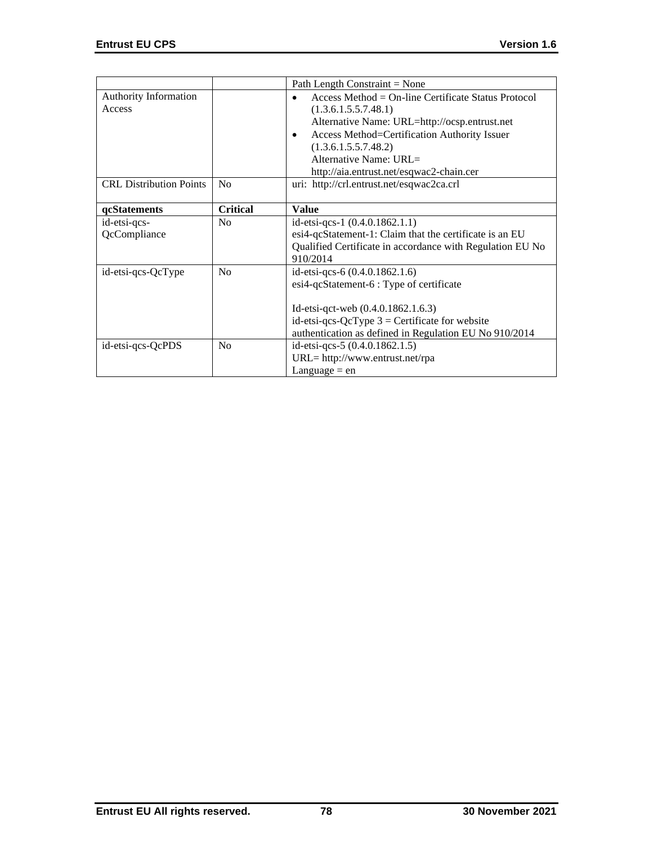|                                        |                 | Path Length Constraint = None                                                                                                                                                                                                    |
|----------------------------------------|-----------------|----------------------------------------------------------------------------------------------------------------------------------------------------------------------------------------------------------------------------------|
| <b>Authority Information</b><br>Access |                 | Access Method = $On$ -line Certificate Status Protocol<br>(1.3.6.1.5.5.7.48.1)<br>Alternative Name: URL=http://ocsp.entrust.net<br>Access Method=Certification Authority Issuer<br>٠<br>(1.3.6.1.5.5.7.48.2)                     |
|                                        |                 | Alternative Name: URL $=$<br>http://aia.entrust.net/esqwac2-chain.cer                                                                                                                                                            |
| <b>CRL Distribution Points</b>         | N <sub>o</sub>  | uri: http://crl.entrust.net/esqwac2ca.crl                                                                                                                                                                                        |
| qcStatements                           | <b>Critical</b> | <b>Value</b>                                                                                                                                                                                                                     |
| id-etsi-qcs-<br>QcCompliance           | No              | id-etsi-qcs-1 $(0.4.0.1862.1.1)$<br>esi4-qcStatement-1: Claim that the certificate is an EU<br>Qualified Certificate in accordance with Regulation EU No<br>910/2014                                                             |
| id-etsi-qcs-QcType                     | No              | id-etsi-qcs-6 (0.4.0.1862.1.6)<br>esi4-qcStatement-6 : Type of certificate<br>Id-etsi-qct-web $(0.4.0.1862.1.6.3)$<br>id-etsi-qcs-QcType $3$ = Certificate for website<br>authentication as defined in Regulation EU No 910/2014 |
| id-etsi-qcs-QcPDS                      | No              | id-etsi-qcs-5 (0.4.0.1862.1.5)<br>URL= http://www.entrust.net/rpa<br>Language $=$ en                                                                                                                                             |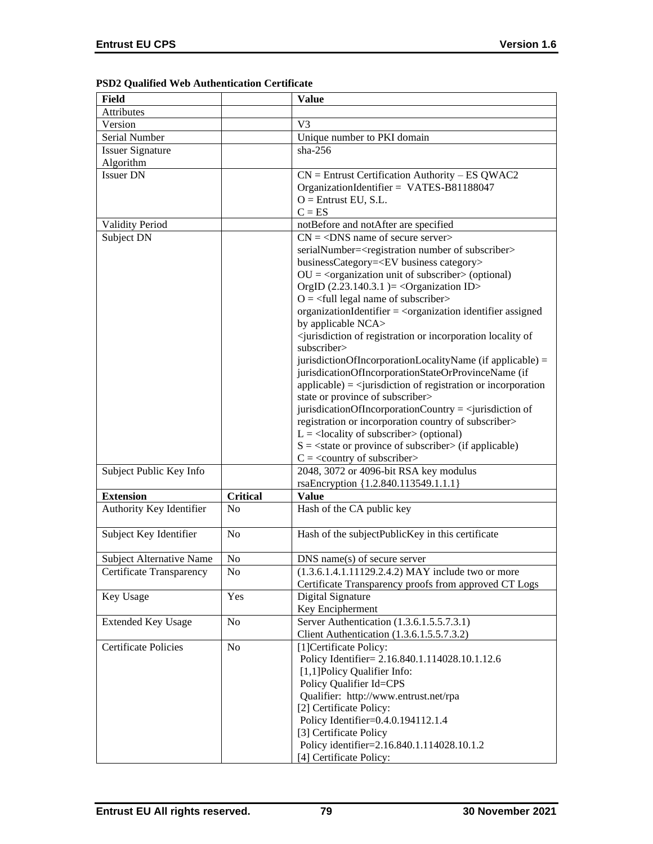| PSD2 Qualified Web Authentication Certificate |  |  |
|-----------------------------------------------|--|--|
|-----------------------------------------------|--|--|

| Field                           |                 | <b>Value</b>                                                                                        |  |
|---------------------------------|-----------------|-----------------------------------------------------------------------------------------------------|--|
| Attributes                      |                 |                                                                                                     |  |
| Version                         |                 | V3                                                                                                  |  |
| Serial Number                   |                 | Unique number to PKI domain                                                                         |  |
| <b>Issuer Signature</b>         |                 | $sha-256$                                                                                           |  |
| Algorithm                       |                 |                                                                                                     |  |
| <b>Issuer DN</b>                |                 | $CN =$ Entrust Certification Authority – ES QWAC2                                                   |  |
|                                 |                 | OrganizationIdentifier = VATES-B81188047                                                            |  |
|                                 |                 | $O =$ Entrust EU, S.L.                                                                              |  |
|                                 |                 | $C = ES$                                                                                            |  |
| <b>Validity Period</b>          |                 | notBefore and notAfter are specified                                                                |  |
| Subject DN                      |                 | $CN = <$ DNS name of secure server>                                                                 |  |
|                                 |                 | serialNumber= <registration number="" of="" subscriber=""></registration>                           |  |
|                                 |                 | businessCategory= <ev business="" category=""></ev>                                                 |  |
|                                 |                 | $OU = corganization unit of subscripter > (optional)$                                               |  |
|                                 |                 | OrgID $(2.23.140.3.1)$ = <organization id=""></organization>                                        |  |
|                                 |                 | $O = \left\langle \text{full legal name of subscripter} \right\rangle$                              |  |
|                                 |                 | organizationIdentifier = <organization assigned<="" identifier="" td=""></organization>             |  |
|                                 |                 | by applicable NCA>                                                                                  |  |
|                                 |                 | <jurisdiction incorporation="" locality="" of="" of<="" or="" registration="" td=""></jurisdiction> |  |
|                                 |                 | subscriber>                                                                                         |  |
|                                 |                 | jurisdictionOfIncorporationLocalityName (if applicable) =                                           |  |
|                                 |                 | jurisdicationOfIncorporationStateOrProvinceName (if                                                 |  |
|                                 |                 | $applicable) = \langle$ invisible in of registration or incorporation                               |  |
|                                 |                 | state or province of subscriber>                                                                    |  |
|                                 |                 | jurisdicationOfIncorporationCountry = $\le$ jurisdiction of                                         |  |
|                                 |                 | registration or incorporation country of subscriber>                                                |  |
|                                 |                 | $L =$ <locality of="" subscriber=""> (optional)</locality>                                          |  |
|                                 |                 | $S = \text{state}$ or province of subscriber $\text{in}$ (if applicable)                            |  |
|                                 |                 | $C = \langle$ country of subscriber>                                                                |  |
| Subject Public Key Info         |                 | 2048, 3072 or 4096-bit RSA key modulus                                                              |  |
|                                 |                 | rsaEncryption {1.2.840.113549.1.1.1}                                                                |  |
| <b>Extension</b>                | <b>Critical</b> | <b>Value</b>                                                                                        |  |
| Authority Key Identifier        | N <sub>o</sub>  | Hash of the CA public key                                                                           |  |
|                                 |                 |                                                                                                     |  |
| Subject Key Identifier          | No              | Hash of the subjectPublicKey in this certificate                                                    |  |
|                                 |                 |                                                                                                     |  |
| <b>Subject Alternative Name</b> | No              | $DNS$ name $(s)$ of secure server                                                                   |  |
| Certificate Transparency        | No              | $(1.3.6.1.4.1.11129.2.4.2)$ MAY include two or more                                                 |  |
|                                 |                 | Certificate Transparency proofs from approved CT Logs                                               |  |
| Key Usage                       | Yes             | Digital Signature                                                                                   |  |
|                                 |                 | Key Encipherment                                                                                    |  |
| <b>Extended Key Usage</b>       | No              | Server Authentication (1.3.6.1.5.5.7.3.1)                                                           |  |
|                                 |                 | Client Authentication (1.3.6.1.5.5.7.3.2)                                                           |  |
| <b>Certificate Policies</b>     | N <sub>0</sub>  | [1] Certificate Policy:                                                                             |  |
|                                 |                 |                                                                                                     |  |
|                                 |                 | Policy Identifier= 2.16.840.1.114028.10.1.12.6                                                      |  |
|                                 |                 | [1,1] Policy Qualifier Info:                                                                        |  |
|                                 |                 | Policy Qualifier Id=CPS<br>Qualifier: http://www.entrust.net/rpa                                    |  |
|                                 |                 |                                                                                                     |  |
|                                 |                 | [2] Certificate Policy:                                                                             |  |
|                                 |                 | Policy Identifier=0.4.0.194112.1.4                                                                  |  |
|                                 |                 | [3] Certificate Policy                                                                              |  |
|                                 |                 | Policy identifier=2.16.840.1.114028.10.1.2                                                          |  |
|                                 |                 | [4] Certificate Policy:                                                                             |  |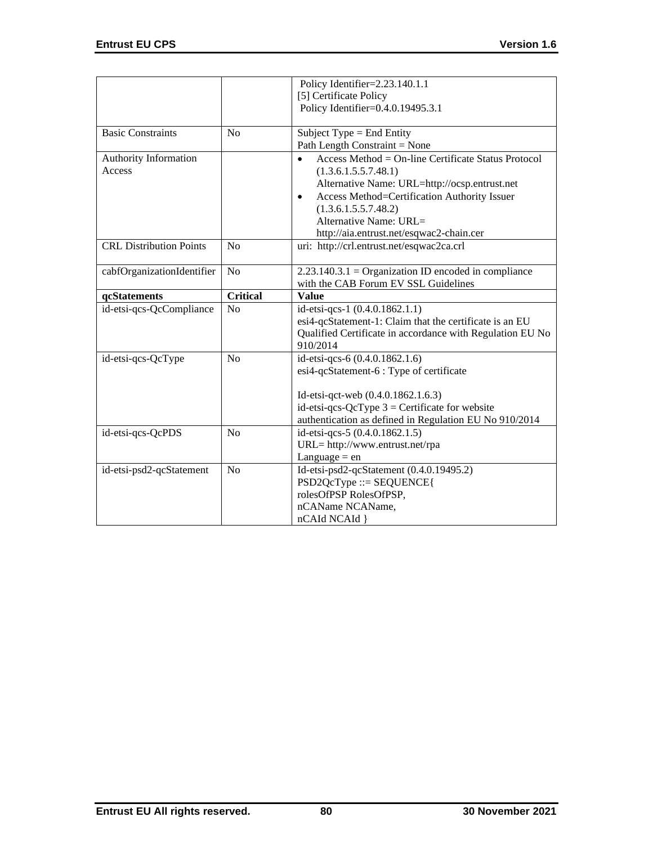|                                |                 | Policy Identifier=2.23.140.1.1                                      |  |
|--------------------------------|-----------------|---------------------------------------------------------------------|--|
|                                |                 | [5] Certificate Policy                                              |  |
|                                |                 | Policy Identifier=0.4.0.19495.3.1                                   |  |
| <b>Basic Constraints</b>       | N <sub>o</sub>  | Subject Type = End Entity                                           |  |
|                                |                 | Path Length Constraint = None                                       |  |
| <b>Authority Information</b>   |                 | Access Method = $On$ -line Certificate Status Protocol<br>$\bullet$ |  |
| Access                         |                 | (1.3.6.1.5.5.7.48.1)                                                |  |
|                                |                 | Alternative Name: URL=http://ocsp.entrust.net                       |  |
|                                |                 | Access Method=Certification Authority Issuer<br>$\bullet$           |  |
|                                |                 | (1.3.6.1.5.5.7.48.2)                                                |  |
|                                |                 | Alternative Name: URL $=$                                           |  |
|                                |                 | http://aia.entrust.net/esqwac2-chain.cer                            |  |
| <b>CRL Distribution Points</b> | No              | uri: http://crl.entrust.net/esqwac2ca.crl                           |  |
| cabfOrganizationIdentifier     | N <sub>o</sub>  | $2.23.140.3.1 =$ Organization ID encoded in compliance              |  |
|                                |                 | with the CAB Forum EV SSL Guidelines                                |  |
| qcStatements                   | <b>Critical</b> | <b>Value</b>                                                        |  |
| id-etsi-qcs-QcCompliance       | N <sub>o</sub>  | id-etsi-qcs-1 (0.4.0.1862.1.1)                                      |  |
|                                |                 | esi4-qcStatement-1: Claim that the certificate is an EU             |  |
|                                |                 | Qualified Certificate in accordance with Regulation EU No           |  |
|                                |                 | 910/2014                                                            |  |
| id-etsi-qcs-QcType             | N <sub>o</sub>  | id-etsi-qcs-6 (0.4.0.1862.1.6)                                      |  |
|                                |                 | esi4-qcStatement-6 : Type of certificate                            |  |
|                                |                 | Id-etsi-qct-web (0.4.0.1862.1.6.3)                                  |  |
|                                |                 | id-etsi-qcs-QcType $3$ = Certificate for website                    |  |
|                                |                 | authentication as defined in Regulation EU No 910/2014              |  |
| id-etsi-qcs-QcPDS              | N <sub>o</sub>  | id-etsi-qcs-5 (0.4.0.1862.1.5)                                      |  |
|                                |                 | URL= http://www.entrust.net/rpa                                     |  |
|                                |                 | Language $=$ en                                                     |  |
| id-etsi-psd2-qcStatement       | N <sub>o</sub>  | Id-etsi-psd2-qcStatement (0.4.0.19495.2)                            |  |
|                                |                 | $PSD2QcType ::= SEQUENCE$                                           |  |
|                                |                 | rolesOfPSP RolesOfPSP,                                              |  |
|                                |                 | nCAName NCAName,                                                    |  |
|                                |                 | nCAId NCAId }                                                       |  |